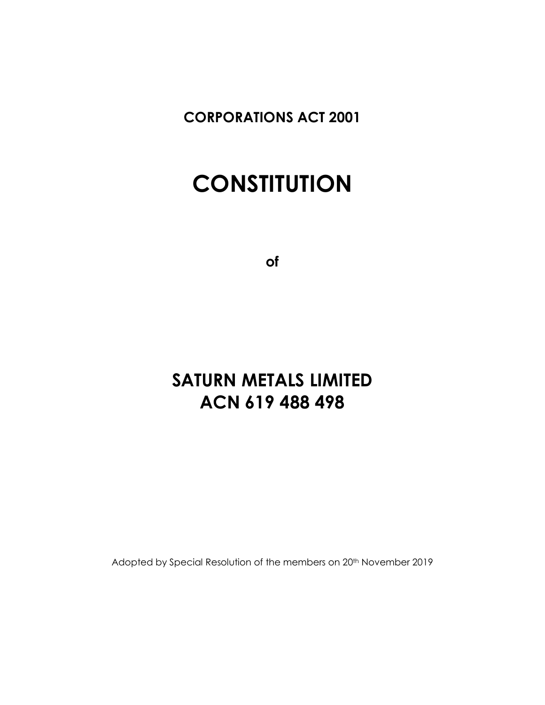**CORPORATIONS ACT 2001**

# **CONSTITUTION**

**of**

## **SATURN METALS LIMITED ACN 619 488 498**

Adopted by Special Resolution of the members on 20<sup>th</sup> November 2019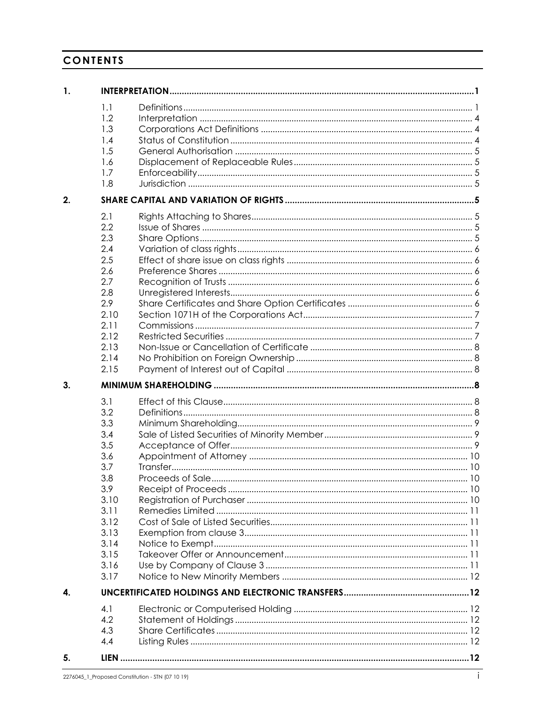## **CONTENTS**

| 1. |      |  |
|----|------|--|
|    | 1.1  |  |
|    | 1.2  |  |
|    | 1.3  |  |
|    | 1.4  |  |
|    | 1.5  |  |
|    | 1.6  |  |
|    | 1.7  |  |
|    | 1.8  |  |
| 2. |      |  |
|    | 2.1  |  |
|    | 2.2  |  |
|    | 2.3  |  |
|    | 2.4  |  |
|    | 2.5  |  |
|    | 2.6  |  |
|    | 2.7  |  |
|    | 2.8  |  |
|    | 2.9  |  |
|    | 2.10 |  |
|    | 2.11 |  |
|    | 2.12 |  |
|    | 2.13 |  |
|    | 2.14 |  |
|    | 2.15 |  |
| 3. |      |  |
|    | 3.1  |  |
|    | 3.2  |  |
|    | 3.3  |  |
|    | 3.4  |  |
|    | 3.5  |  |
|    | 3.6  |  |
|    | 3.7  |  |
|    | 3.8  |  |
|    | 3.9  |  |
|    | 3.10 |  |
|    | 3.11 |  |
|    | 3.12 |  |
|    | 3.13 |  |
|    | 3.14 |  |
|    | 3.15 |  |
|    | 3.16 |  |
|    | 3.17 |  |
| 4. |      |  |
|    |      |  |
|    | 4.1  |  |
|    | 4.2  |  |
|    | 4.3  |  |
|    | 4.4  |  |
|    |      |  |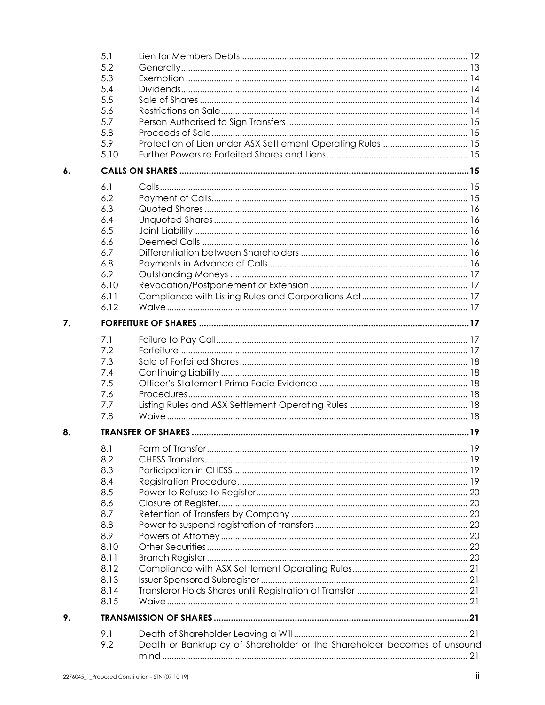|    | 5.1  |                                                                          |  |
|----|------|--------------------------------------------------------------------------|--|
|    | 5.2  |                                                                          |  |
|    | 5.3  |                                                                          |  |
|    | 5.4  |                                                                          |  |
|    | 5.5  |                                                                          |  |
|    | 5.6  |                                                                          |  |
|    | 5.7  |                                                                          |  |
|    | 5.8  |                                                                          |  |
|    | 5.9  | Protection of Lien under ASX Settlement Operating Rules  15              |  |
|    | 5.10 |                                                                          |  |
|    |      |                                                                          |  |
| 6. |      |                                                                          |  |
|    | 6.1  |                                                                          |  |
|    | 6.2  |                                                                          |  |
|    | 6.3  |                                                                          |  |
|    | 6.4  |                                                                          |  |
|    | 6.5  |                                                                          |  |
|    | 6.6  |                                                                          |  |
|    | 6.7  |                                                                          |  |
|    | 6.8  |                                                                          |  |
|    | 6.9  |                                                                          |  |
|    | 6.10 |                                                                          |  |
|    | 6.11 |                                                                          |  |
|    | 6.12 |                                                                          |  |
| 7. |      |                                                                          |  |
|    |      |                                                                          |  |
|    | 7.1  |                                                                          |  |
|    | 7.2  |                                                                          |  |
|    | 7.3  |                                                                          |  |
|    | 7.4  |                                                                          |  |
|    | 7.5  |                                                                          |  |
|    | 7.6  |                                                                          |  |
|    | 7.7  |                                                                          |  |
|    | 7.8  |                                                                          |  |
| 8. |      |                                                                          |  |
|    | 8.1  |                                                                          |  |
|    | 8.2  |                                                                          |  |
|    | 8.3  |                                                                          |  |
|    | 8.4  |                                                                          |  |
|    | 8.5  |                                                                          |  |
|    | 8.6  |                                                                          |  |
|    | 8.7  |                                                                          |  |
|    | 8.8  |                                                                          |  |
|    | 8.9  |                                                                          |  |
|    | 8.10 |                                                                          |  |
|    | 8.11 |                                                                          |  |
|    | 8.12 |                                                                          |  |
|    | 8.13 |                                                                          |  |
|    |      |                                                                          |  |
|    | 8.14 |                                                                          |  |
|    | 8.15 |                                                                          |  |
| 9. |      |                                                                          |  |
|    | 9.1  |                                                                          |  |
|    | 9.2  | Death or Bankruptcy of Shareholder or the Shareholder becomes of unsound |  |
|    |      |                                                                          |  |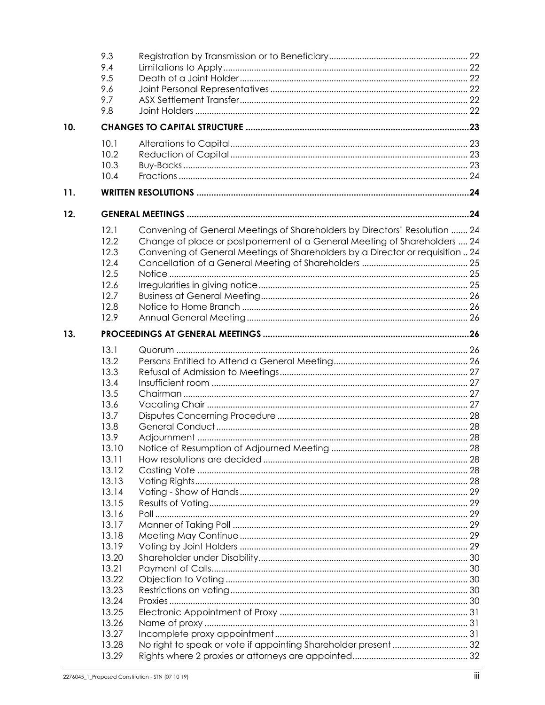|     | 9.3   |                                                                                |  |
|-----|-------|--------------------------------------------------------------------------------|--|
|     | 9.4   |                                                                                |  |
|     | 9.5   |                                                                                |  |
|     | 9.6   |                                                                                |  |
|     | 9.7   |                                                                                |  |
|     | 9.8   |                                                                                |  |
|     |       |                                                                                |  |
| 10. |       |                                                                                |  |
|     | 10.1  |                                                                                |  |
|     | 10.2  |                                                                                |  |
|     | 10.3  |                                                                                |  |
|     | 10.4  |                                                                                |  |
| 11. |       |                                                                                |  |
|     |       |                                                                                |  |
| 12. |       |                                                                                |  |
|     | 12.1  | Convening of General Meetings of Shareholders by Directors' Resolution  24     |  |
|     | 12.2  | Change of place or postponement of a General Meeting of Shareholders  24       |  |
|     | 12.3  | Convening of General Meetings of Shareholders by a Director or requisition  24 |  |
|     | 12.4  |                                                                                |  |
|     | 12.5  |                                                                                |  |
|     | 12.6  |                                                                                |  |
|     | 12.7  |                                                                                |  |
|     | 12.8  |                                                                                |  |
|     | 12.9  |                                                                                |  |
|     |       |                                                                                |  |
| 13. |       |                                                                                |  |
|     | 13.1  |                                                                                |  |
|     | 13.2  |                                                                                |  |
|     | 13.3  |                                                                                |  |
|     | 13.4  |                                                                                |  |
|     | 13.5  |                                                                                |  |
|     | 13.6  |                                                                                |  |
|     | 13.7  |                                                                                |  |
|     | 13.8  |                                                                                |  |
|     | 13.9  |                                                                                |  |
|     | 13.10 |                                                                                |  |
|     | 13.11 |                                                                                |  |
|     | 13.12 |                                                                                |  |
|     | 13.13 |                                                                                |  |
|     | 13.14 |                                                                                |  |
|     | 13.15 |                                                                                |  |
|     |       |                                                                                |  |
|     | 13.16 |                                                                                |  |
|     | 13.17 |                                                                                |  |
|     | 13.18 |                                                                                |  |
|     | 13.19 |                                                                                |  |
|     | 13.20 |                                                                                |  |
|     | 13.21 |                                                                                |  |
|     | 13.22 |                                                                                |  |
|     | 13.23 |                                                                                |  |
|     | 13.24 |                                                                                |  |
|     | 13.25 |                                                                                |  |
|     | 13.26 |                                                                                |  |
|     | 13.27 |                                                                                |  |
|     | 13.28 |                                                                                |  |
|     | 13.29 |                                                                                |  |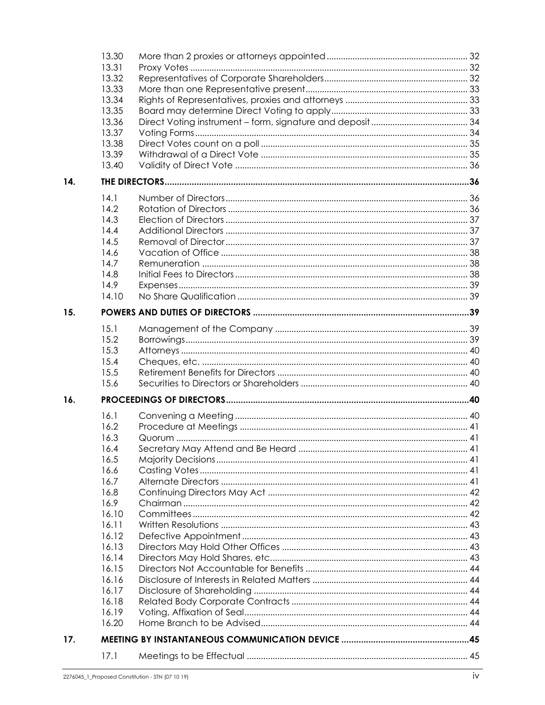|     | 13.30 |  |
|-----|-------|--|
|     | 13.31 |  |
|     | 13.32 |  |
|     | 13.33 |  |
|     | 13.34 |  |
|     | 13.35 |  |
|     | 13.36 |  |
|     | 13.37 |  |
|     | 13.38 |  |
|     |       |  |
|     | 13.39 |  |
|     | 13.40 |  |
| 14. |       |  |
|     | 14.1  |  |
|     | 14.2  |  |
|     | 14.3  |  |
|     | 14.4  |  |
|     | 14.5  |  |
|     | 14.6  |  |
|     | 14.7  |  |
|     | 14.8  |  |
|     | 14.9  |  |
|     | 14.10 |  |
|     |       |  |
| 15. |       |  |
|     | 15.1  |  |
|     | 15.2  |  |
|     | 15.3  |  |
|     | 15.4  |  |
|     | 15.5  |  |
|     | 15.6  |  |
| 16. |       |  |
|     |       |  |
|     | 16.1  |  |
|     | 16.2  |  |
|     | 16.3  |  |
|     | 16.4  |  |
|     | 16.5  |  |
|     | 16.6  |  |
|     | 16.7  |  |
|     | 16.8  |  |
|     | 16.9  |  |
|     | 16.10 |  |
|     | 16.11 |  |
|     | 16.12 |  |
|     | 16.13 |  |
|     | 16.14 |  |
|     | 16.15 |  |
|     | 16.16 |  |
|     |       |  |
|     | 16.17 |  |
|     | 16.18 |  |
|     | 16.19 |  |
|     | 16.20 |  |
| 17. |       |  |
|     | 17.1  |  |
|     |       |  |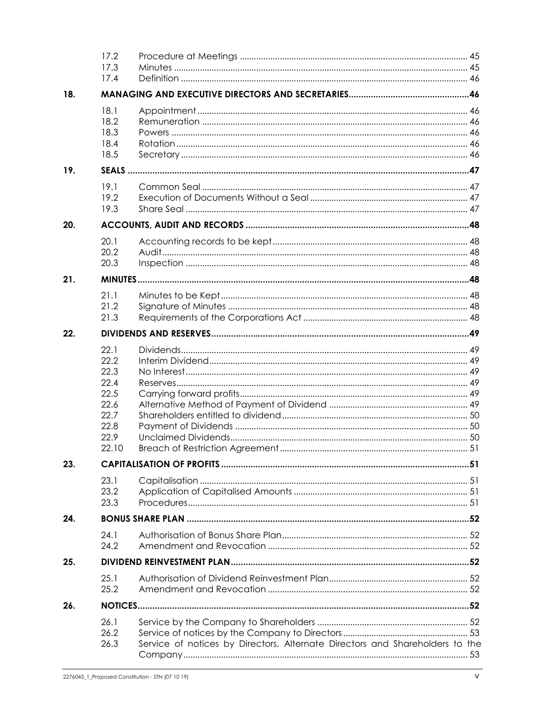|     | 17.2<br>17.3<br>17.4                                                          |                                                                              |  |
|-----|-------------------------------------------------------------------------------|------------------------------------------------------------------------------|--|
| 18. |                                                                               |                                                                              |  |
|     | 18.1<br>18.2<br>18.3<br>18.4<br>18.5                                          |                                                                              |  |
| 19. |                                                                               |                                                                              |  |
|     | 19.1<br>19.2<br>19.3                                                          |                                                                              |  |
| 20. |                                                                               |                                                                              |  |
|     | 20.1<br>20.2<br>20.3                                                          |                                                                              |  |
| 21. |                                                                               |                                                                              |  |
|     | 21.1<br>21.2<br>21.3                                                          |                                                                              |  |
| 22. |                                                                               |                                                                              |  |
|     | 22.1<br>22.2<br>22.3<br>22.4<br>22.5<br>22.6<br>22.7<br>22.8<br>22.9<br>22.10 |                                                                              |  |
| 23. |                                                                               |                                                                              |  |
|     | 23.1<br>23.2<br>23.3                                                          |                                                                              |  |
| 24. |                                                                               |                                                                              |  |
|     | 24.1<br>24.2                                                                  |                                                                              |  |
| 25. |                                                                               |                                                                              |  |
|     | 25.1<br>25.2                                                                  |                                                                              |  |
| 26. |                                                                               |                                                                              |  |
|     | 26.1<br>26.2<br>26.3                                                          | Service of notices by Directors, Alternate Directors and Shareholders to the |  |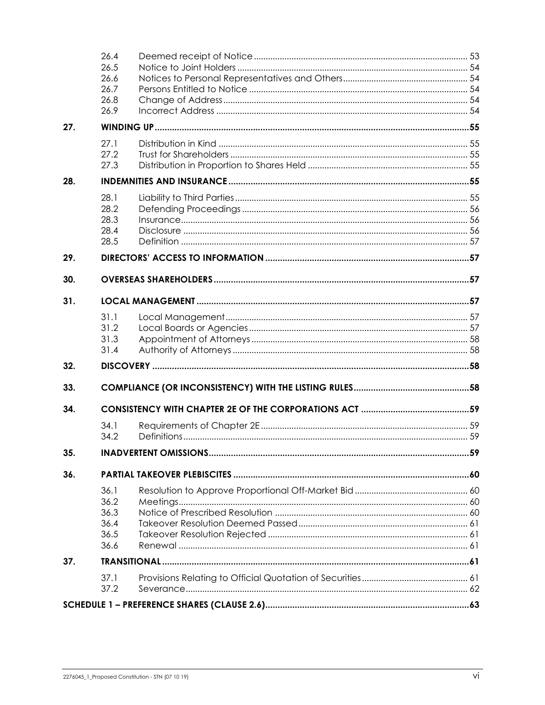|     | 26.4<br>26.5 |  |
|-----|--------------|--|
|     | 26.6         |  |
|     | 26.7         |  |
|     | 26.8         |  |
|     | 26.9         |  |
| 27. |              |  |
|     | 27.1         |  |
|     | 27.2         |  |
|     | 27.3         |  |
| 28. |              |  |
|     | 28.1         |  |
|     | 28.2         |  |
|     | 28.3         |  |
|     | 28.4<br>28.5 |  |
|     |              |  |
| 29. |              |  |
| 30. |              |  |
| 31. |              |  |
|     | 31.1         |  |
|     | 31.2         |  |
|     | 31.3         |  |
|     | 31.4         |  |
| 32. |              |  |
| 33. |              |  |
| 34. |              |  |
|     | 34.1         |  |
|     | 34.2         |  |
| 35. |              |  |
| 36. |              |  |
|     | 36.1         |  |
|     | 36.2         |  |
|     | 36.3         |  |
|     | 36.4         |  |
|     | 36.5         |  |
|     | 36.6         |  |
| 37. |              |  |
|     | 37.1         |  |
|     | 37.2         |  |
|     |              |  |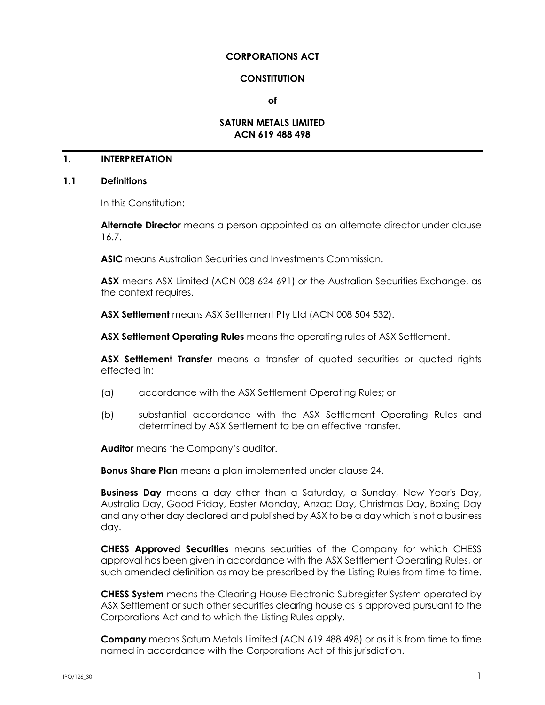#### **CORPORATIONS ACT**

#### **CONSTITUTION**

**of**

#### **SATURN METALS LIMITED ACN 619 488 498**

## **1. INTERPRETATION**

#### <span id="page-7-0"></span>**1.1 Definitions**

In this Constitution:

**Alternate Director** means a person appointed as an alternate director under clause [16.7.](#page-47-0)

**ASIC** means Australian Securities and Investments Commission.

**ASX** means ASX Limited (ACN 008 624 691) or the Australian Securities Exchange, as the context requires.

**ASX Settlement** means ASX Settlement Pty Ltd (ACN 008 504 532).

**ASX Settlement Operating Rules** means the operating rules of ASX Settlement.

**ASX Settlement Transfer** means a transfer of quoted securities or quoted rights effected in:

- (a) accordance with the ASX Settlement Operating Rules; or
- (b) substantial accordance with the ASX Settlement Operating Rules and determined by ASX Settlement to be an effective transfer.

**Auditor** means the Company's auditor.

**Bonus Share Plan** means a plan implemented under clause [24.](#page-58-0)

**Business Day** means a day other than a Saturday, a Sunday, New Year's Day, Australia Day, Good Friday, Easter Monday, Anzac Day, Christmas Day, Boxing Day and any other day declared and published by ASX to be a day which is not a business day.

**CHESS Approved Securities** means securities of the Company for which CHESS approval has been given in accordance with the ASX Settlement Operating Rules, or such amended definition as may be prescribed by the Listing Rules from time to time.

**CHESS System** means the Clearing House Electronic Subregister System operated by ASX Settlement or such other securities clearing house as is approved pursuant to the Corporations Act and to which the Listing Rules apply.

**Company** means Saturn Metals Limited (ACN 619 488 498) or as it is from time to time named in accordance with the Corporations Act of this jurisdiction.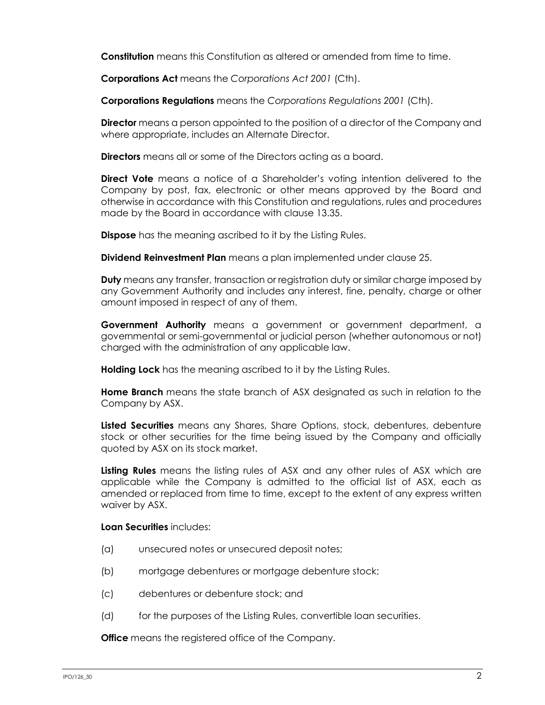**Constitution** means this Constitution as altered or amended from time to time.

**Corporations Act** means the *Corporations Act 2001* (Cth).

**Corporations Regulations** means the *Corporations Regulations 2001* (Cth).

**Director** means a person appointed to the position of a director of the Company and where appropriate, includes an Alternate Director.

**Directors** means all or some of the Directors acting as a board.

**Direct Vote** means a notice of a Shareholder's voting intention delivered to the Company by post, fax, electronic or other means approved by the Board and otherwise in accordance with this Constitution and regulations, rules and procedures made by the Board in accordance with clause [13.35.](#page-39-0)

**Dispose** has the meaning ascribed to it by the Listing Rules.

**Dividend Reinvestment Plan** means a plan implemented under clause [25.](#page-58-1)

**Duty** means any transfer, transaction or registration duty or similar charge imposed by any Government Authority and includes any interest, fine, penalty, charge or other amount imposed in respect of any of them.

**Government Authority** means a government or government department, a governmental or semi-governmental or judicial person (whether autonomous or not) charged with the administration of any applicable law.

**Holding Lock** has the meaning ascribed to it by the Listing Rules.

**Home Branch** means the state branch of ASX designated as such in relation to the Company by ASX.

**Listed Securities** means any Shares, Share Options, stock, debentures, debenture stock or other securities for the time being issued by the Company and officially quoted by ASX on its stock market.

**Listing Rules** means the listing rules of ASX and any other rules of ASX which are applicable while the Company is admitted to the official list of ASX, each as amended or replaced from time to time, except to the extent of any express written waiver by ASX.

#### **Loan Securities** includes:

- (a) unsecured notes or unsecured deposit notes;
- (b) mortgage debentures or mortgage debenture stock;
- (c) debentures or debenture stock; and
- (d) for the purposes of the Listing Rules, convertible loan securities.

**Office** means the registered office of the Company.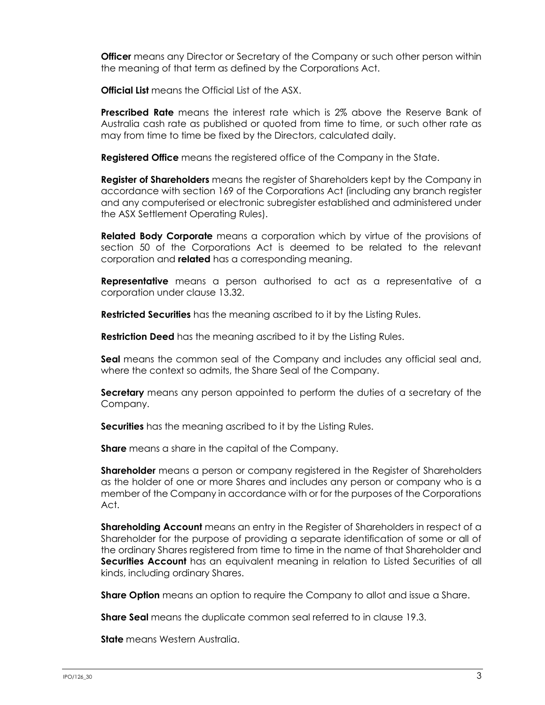**Officer** means any Director or Secretary of the Company or such other person within the meaning of that term as defined by the Corporations Act.

**Official List** means the Official List of the ASX.

**Prescribed Rate** means the interest rate which is 2% above the Reserve Bank of Australia cash rate as published or quoted from time to time, or such other rate as may from time to time be fixed by the Directors, calculated daily.

**Registered Office** means the registered office of the Company in the State.

**Register of Shareholders** means the register of Shareholders kept by the Company in accordance with section 169 of the Corporations Act (including any branch register and any computerised or electronic subregister established and administered under the ASX Settlement Operating Rules).

**Related Body Corporate** means a corporation which by virtue of the provisions of section 50 of the Corporations Act is deemed to be related to the relevant corporation and **related** has a corresponding meaning.

**Representative** means a person authorised to act as a representative of a corporation under clause [13.32.](#page-38-0)

**Restricted Securities** has the meaning ascribed to it by the Listing Rules.

**Restriction Deed** has the meaning ascribed to it by the Listing Rules.

**Seal** means the common seal of the Company and includes any official seal and, where the context so admits, the Share Seal of the Company.

**Secretary** means any person appointed to perform the duties of a secretary of the Company.

**Securities** has the meaning ascribed to it by the Listing Rules.

**Share** means a share in the capital of the Company.

**Shareholder** means a person or company registered in the Register of Shareholders as the holder of one or more Shares and includes any person or company who is a member of the Company in accordance with or for the purposes of the Corporations Act.

**Shareholding Account** means an entry in the Register of Shareholders in respect of a Shareholder for the purpose of providing a separate identification of some or all of the ordinary Shares registered from time to time in the name of that Shareholder and **Securities Account** has an equivalent meaning in relation to Listed Securities of all kinds, including ordinary Shares.

**Share Option** means an option to require the Company to allot and issue a Share.

**Share Seal** means the duplicate common seal referred to in clause [19.3.](#page-53-0)

**State** means Western Australia.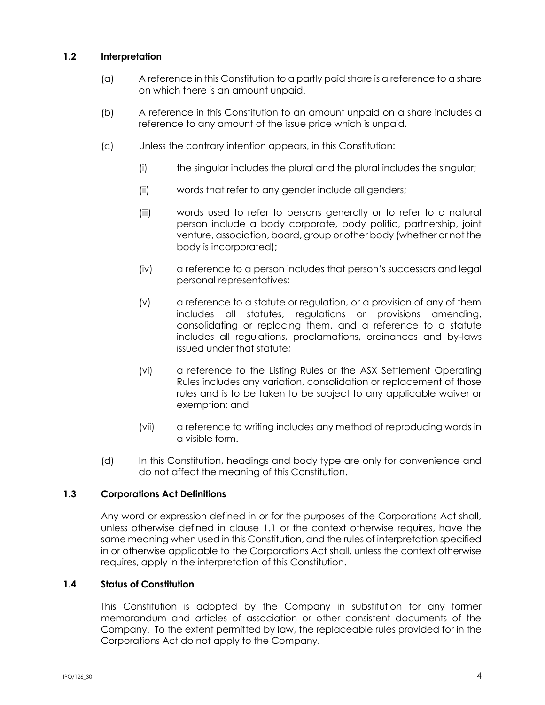## **1.2 Interpretation**

- (a) A reference in this Constitution to a partly paid share is a reference to a share on which there is an amount unpaid.
- (b) A reference in this Constitution to an amount unpaid on a share includes a reference to any amount of the issue price which is unpaid.
- (c) Unless the contrary intention appears, in this Constitution:
	- (i) the singular includes the plural and the plural includes the singular;
	- (ii) words that refer to any gender include all genders;
	- (iii) words used to refer to persons generally or to refer to a natural person include a body corporate, body politic, partnership, joint venture, association, board, group or other body (whether or not the body is incorporated);
	- (iv) a reference to a person includes that person's successors and legal personal representatives;
	- (v) a reference to a statute or regulation, or a provision of any of them includes all statutes, regulations or provisions amending, consolidating or replacing them, and a reference to a statute includes all regulations, proclamations, ordinances and by-laws issued under that statute;
	- (vi) a reference to the Listing Rules or the ASX Settlement Operating Rules includes any variation, consolidation or replacement of those rules and is to be taken to be subject to any applicable waiver or exemption; and
	- (vii) a reference to writing includes any method of reproducing words in a visible form.
- (d) In this Constitution, headings and body type are only for convenience and do not affect the meaning of this Constitution.

## **1.3 Corporations Act Definitions**

Any word or expression defined in or for the purposes of the Corporations Act shall, unless otherwise defined in clause [1.1](#page-7-0) or the context otherwise requires, have the same meaning when used in this Constitution, and the rules of interpretation specified in or otherwise applicable to the Corporations Act shall, unless the context otherwise requires, apply in the interpretation of this Constitution.

## **1.4 Status of Constitution**

This Constitution is adopted by the Company in substitution for any former memorandum and articles of association or other consistent documents of the Company. To the extent permitted by law, the replaceable rules provided for in the Corporations Act do not apply to the Company.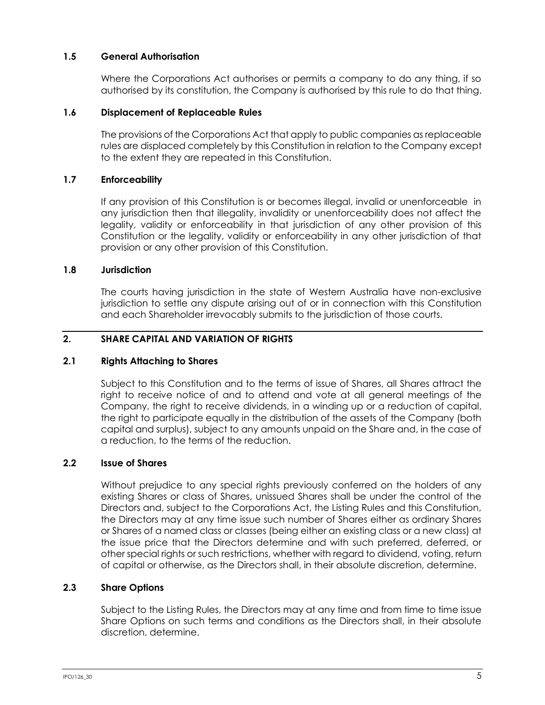## **1.5 General Authorisation**

Where the Corporations Act authorises or permits a company to do any thing, if so authorised by its constitution, the Company is authorised by this rule to do that thing.

## **1.6 Displacement of Replaceable Rules**

The provisions of the Corporations Act that apply to public companies as replaceable rules are displaced completely by this Constitution in relation to the Company except to the extent they are repeated in this Constitution.

## **1.7 Enforceability**

If any provision of this Constitution is or becomes illegal, invalid or unenforceable in any jurisdiction then that illegality, invalidity or unenforceability does not affect the legality, validity or enforceability in that jurisdiction of any other provision of this Constitution or the legality, validity or enforceability in any other jurisdiction of that provision or any other provision of this Constitution.

#### **1.8 Jurisdiction**

The courts having jurisdiction in the state of Western Australia have non-exclusive jurisdiction to settle any dispute arising out of or in connection with this Constitution and each Shareholder irrevocably submits to the jurisdiction of those courts.

## <span id="page-11-0"></span>**2. SHARE CAPITAL AND VARIATION OF RIGHTS**

#### **2.1 Rights Attaching to Shares**

Subject to this Constitution and to the terms of issue of Shares, all Shares attract the right to receive notice of and to attend and vote at all general meetings of the Company, the right to receive dividends, in a winding up or a reduction of capital, the right to participate equally in the distribution of the assets of the Company (both capital and surplus), subject to any amounts unpaid on the Share and, in the case of a reduction, to the terms of the reduction.

## **2.2 Issue of Shares**

Without prejudice to any special rights previously conferred on the holders of any existing Shares or class of Shares, unissued Shares shall be under the control of the Directors and, subject to the Corporations Act, the Listing Rules and this Constitution, the Directors may at any time issue such number of Shares either as ordinary Shares or Shares of a named class or classes (being either an existing class or a new class) at the issue price that the Directors determine and with such preferred, deferred, or other special rights or such restrictions, whether with regard to dividend, voting, return of capital or otherwise, as the Directors shall, in their absolute discretion, determine.

## **2.3 Share Options**

Subject to the Listing Rules, the Directors may at any time and from time to time issue Share Options on such terms and conditions as the Directors shall, in their absolute discretion, determine.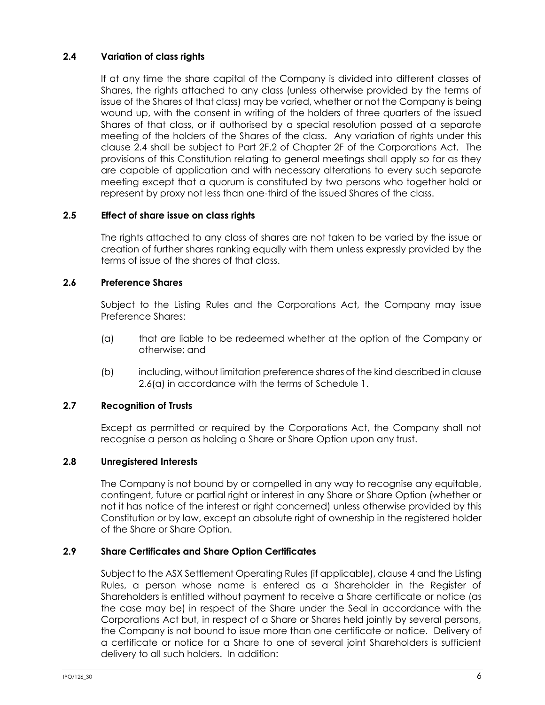## <span id="page-12-0"></span>**2.4 Variation of class rights**

If at any time the share capital of the Company is divided into different classes of Shares, the rights attached to any class (unless otherwise provided by the terms of issue of the Shares of that class) may be varied, whether or not the Company is being wound up, with the consent in writing of the holders of three quarters of the issued Shares of that class, or if authorised by a special resolution passed at a separate meeting of the holders of the Shares of the class. Any variation of rights under this clause [2.4](#page-12-0) shall be subject to Part 2F.2 of Chapter 2F of the Corporations Act. The provisions of this Constitution relating to general meetings shall apply so far as they are capable of application and with necessary alterations to every such separate meeting except that a quorum is constituted by two persons who together hold or represent by proxy not less than one-third of the issued Shares of the class.

## **2.5 Effect of share issue on class rights**

The rights attached to any class of shares are not taken to be varied by the issue or creation of further shares ranking equally with them unless expressly provided by the terms of issue of the shares of that class.

## **2.6 Preference Shares**

Subject to the Listing Rules and the Corporations Act, the Company may issue Preference Shares:

- <span id="page-12-1"></span>(a) that are liable to be redeemed whether at the option of the Company or otherwise; and
- (b) including, without limitation preference shares of the kind described in clause [2.6\(a\)](#page-12-1) in accordance with the terms of [Schedule](#page-69-0) 1.

## **2.7 Recognition of Trusts**

Except as permitted or required by the Corporations Act, the Company shall not recognise a person as holding a Share or Share Option upon any trust.

## **2.8 Unregistered Interests**

The Company is not bound by or compelled in any way to recognise any equitable, contingent, future or partial right or interest in any Share or Share Option (whether or not it has notice of the interest or right concerned) unless otherwise provided by this Constitution or by law, except an absolute right of ownership in the registered holder of the Share or Share Option.

## <span id="page-12-2"></span>**2.9 Share Certificates and Share Option Certificates**

Subject to the ASX Settlement Operating Rules (if applicable), claus[e 4](#page-18-0) and the Listing Rules, a person whose name is entered as a Shareholder in the Register of Shareholders is entitled without payment to receive a Share certificate or notice (as the case may be) in respect of the Share under the Seal in accordance with the Corporations Act but, in respect of a Share or Shares held jointly by several persons, the Company is not bound to issue more than one certificate or notice. Delivery of a certificate or notice for a Share to one of several joint Shareholders is sufficient delivery to all such holders. In addition: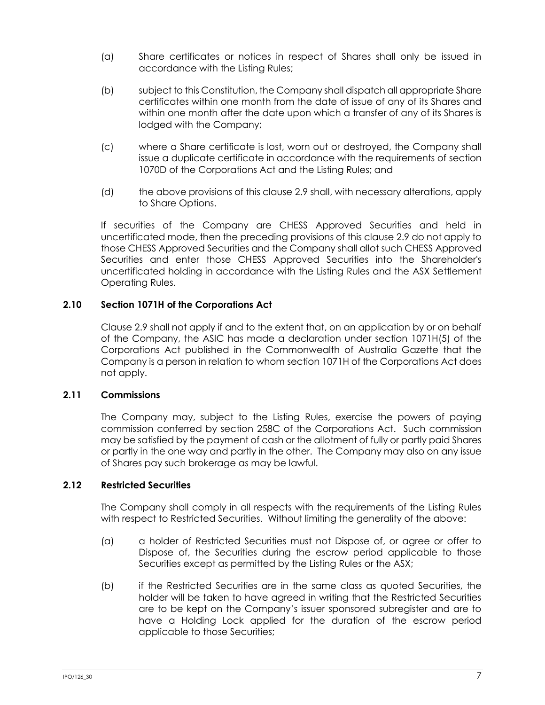- (a) Share certificates or notices in respect of Shares shall only be issued in accordance with the Listing Rules;
- (b) subject to this Constitution, the Company shall dispatch all appropriate Share certificates within one month from the date of issue of any of its Shares and within one month after the date upon which a transfer of any of its Shares is lodged with the Company;
- (c) where a Share certificate is lost, worn out or destroyed, the Company shall issue a duplicate certificate in accordance with the requirements of section 1070D of the Corporations Act and the Listing Rules; and
- (d) the above provisions of this clause [2.9](#page-12-2) shall, with necessary alterations, apply to Share Options.

If securities of the Company are CHESS Approved Securities and held in uncertificated mode, then the preceding provisions of this clause [2.9](#page-12-2) do not apply to those CHESS Approved Securities and the Company shall allot such CHESS Approved Securities and enter those CHESS Approved Securities into the Shareholder's uncertificated holding in accordance with the Listing Rules and the ASX Settlement Operating Rules.

## **2.10 Section 1071H of the Corporations Act**

Clause [2.9](#page-12-2) shall not apply if and to the extent that, on an application by or on behalf of the Company, the ASIC has made a declaration under section 1071H(5) of the Corporations Act published in the Commonwealth of Australia Gazette that the Company is a person in relation to whom section 1071H of the Corporations Act does not apply.

## **2.11 Commissions**

The Company may, subject to the Listing Rules, exercise the powers of paying commission conferred by section 258C of the Corporations Act. Such commission may be satisfied by the payment of cash or the allotment of fully or partly paid Shares or partly in the one way and partly in the other. The Company may also on any issue of Shares pay such brokerage as may be lawful.

## **2.12 Restricted Securities**

The Company shall comply in all respects with the requirements of the Listing Rules with respect to Restricted Securities. Without limiting the generality of the above:

- (a) a holder of Restricted Securities must not Dispose of, or agree or offer to Dispose of, the Securities during the escrow period applicable to those Securities except as permitted by the Listing Rules or the ASX;
- (b) if the Restricted Securities are in the same class as quoted Securities, the holder will be taken to have agreed in writing that the Restricted Securities are to be kept on the Company's issuer sponsored subregister and are to have a Holding Lock applied for the duration of the escrow period applicable to those Securities;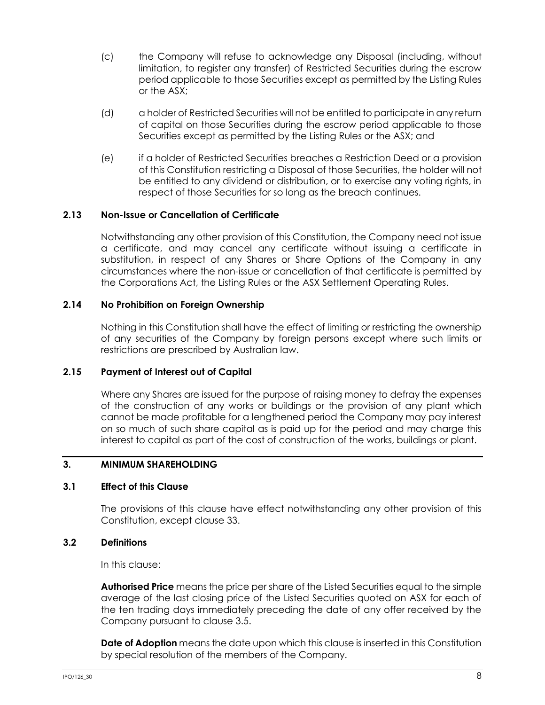- (c) the Company will refuse to acknowledge any Disposal (including, without limitation, to register any transfer) of Restricted Securities during the escrow period applicable to those Securities except as permitted by the Listing Rules or the ASX;
- (d) a holder of Restricted Securities will not be entitled to participate in any return of capital on those Securities during the escrow period applicable to those Securities except as permitted by the Listing Rules or the ASX; and
- (e) if a holder of Restricted Securities breaches a Restriction Deed or a provision of this Constitution restricting a Disposal of those Securities, the holder will not be entitled to any dividend or distribution, or to exercise any voting rights, in respect of those Securities for so long as the breach continues.

## **2.13 Non-Issue or Cancellation of Certificate**

Notwithstanding any other provision of this Constitution, the Company need not issue a certificate, and may cancel any certificate without issuing a certificate in substitution, in respect of any Shares or Share Options of the Company in any circumstances where the non-issue or cancellation of that certificate is permitted by the Corporations Act, the Listing Rules or the ASX Settlement Operating Rules.

## **2.14 No Prohibition on Foreign Ownership**

Nothing in this Constitution shall have the effect of limiting or restricting the ownership of any securities of the Company by foreign persons except where such limits or restrictions are prescribed by Australian law.

#### **2.15 Payment of Interest out of Capital**

Where any Shares are issued for the purpose of raising money to defray the expenses of the construction of any works or buildings or the provision of any plant which cannot be made profitable for a lengthened period the Company may pay interest on so much of such share capital as is paid up for the period and may charge this interest to capital as part of the cost of construction of the works, buildings or plant.

#### <span id="page-14-0"></span>**3. MINIMUM SHAREHOLDING**

#### **3.1 Effect of this Clause**

The provisions of this clause have effect notwithstanding any other provision of this Constitution, except clause [33.](#page-64-0)

#### **3.2 Definitions**

In this clause:

**Authorised Price** means the price per share of the Listed Securities equal to the simple average of the last closing price of the Listed Securities quoted on ASX for each of the ten trading days immediately preceding the date of any offer received by the Company pursuant to clause 3.5.

**Date of Adoption** means the date upon which this clause is inserted in this Constitution by special resolution of the members of the Company.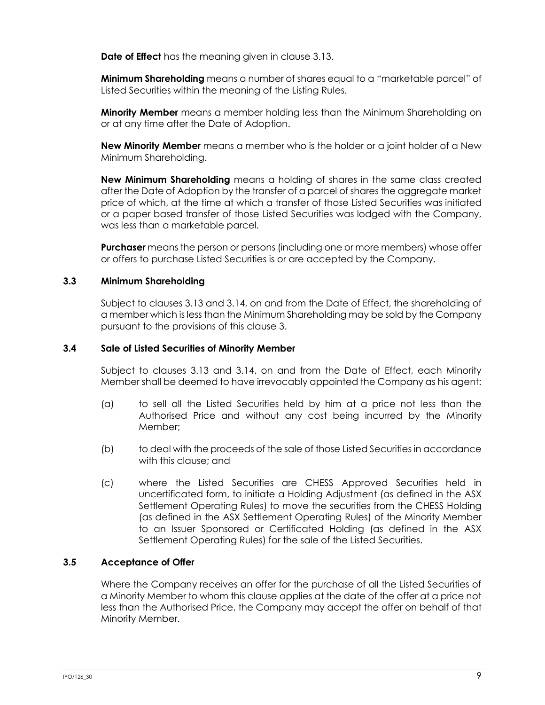**Date of Effect** has the meaning given in clause [3.13.](#page-17-0)

**Minimum Shareholding** means a number of shares equal to a "marketable parcel" of Listed Securities within the meaning of the Listing Rules.

**Minority Member** means a member holding less than the Minimum Shareholding on or at any time after the Date of Adoption.

**New Minority Member** means a member who is the holder or a joint holder of a New Minimum Shareholding.

**New Minimum Shareholding** means a holding of shares in the same class created after the Date of Adoption by the transfer of a parcel of shares the aggregate market price of which, at the time at which a transfer of those Listed Securities was initiated or a paper based transfer of those Listed Securities was lodged with the Company, was less than a marketable parcel.

**Purchaser** means the person or persons (including one or more members) whose offer or offers to purchase Listed Securities is or are accepted by the Company.

#### **3.3 Minimum Shareholding**

Subject to clauses [3.13](#page-17-0) and [3.14,](#page-17-1) on and from the Date of Effect, the shareholding of a member which is less than the Minimum Shareholding may be sold by the Company pursuant to the provisions of this clause [3.](#page-14-0)

#### **3.4 Sale of Listed Securities of Minority Member**

Subject to clauses [3.13](#page-17-0) and [3.14,](#page-17-1) on and from the Date of Effect, each Minority Member shall be deemed to have irrevocably appointed the Company as his agent:

- (a) to sell all the Listed Securities held by him at a price not less than the Authorised Price and without any cost being incurred by the Minority Member;
- (b) to deal with the proceeds of the sale of those Listed Securities in accordance with this clause; and
- (c) where the Listed Securities are CHESS Approved Securities held in uncertificated form, to initiate a Holding Adjustment (as defined in the ASX Settlement Operating Rules) to move the securities from the CHESS Holding (as defined in the ASX Settlement Operating Rules) of the Minority Member to an Issuer Sponsored or Certificated Holding (as defined in the ASX Settlement Operating Rules) for the sale of the Listed Securities.

## **3.5 Acceptance of Offer**

Where the Company receives an offer for the purchase of all the Listed Securities of a Minority Member to whom this clause applies at the date of the offer at a price not less than the Authorised Price, the Company may accept the offer on behalf of that Minority Member.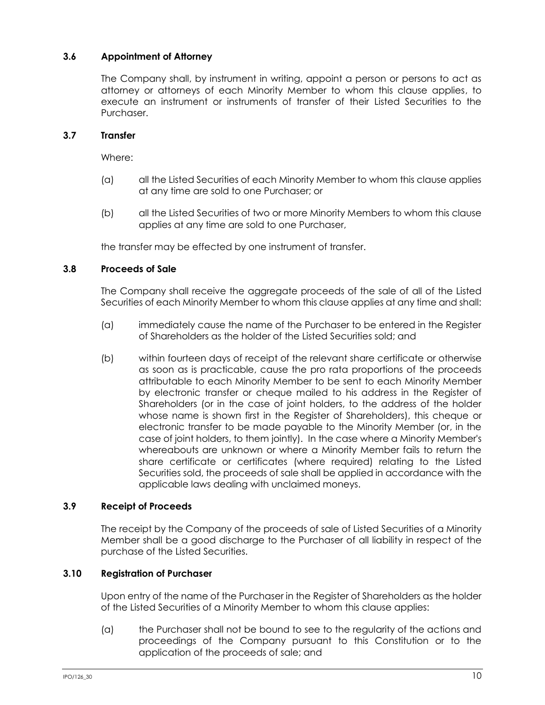## **3.6 Appointment of Attorney**

The Company shall, by instrument in writing, appoint a person or persons to act as attorney or attorneys of each Minority Member to whom this clause applies, to execute an instrument or instruments of transfer of their Listed Securities to the Purchaser.

## **3.7 Transfer**

Where:

- (a) all the Listed Securities of each Minority Member to whom this clause applies at any time are sold to one Purchaser; or
- (b) all the Listed Securities of two or more Minority Members to whom this clause applies at any time are sold to one Purchaser,

the transfer may be effected by one instrument of transfer.

#### <span id="page-16-0"></span>**3.8 Proceeds of Sale**

The Company shall receive the aggregate proceeds of the sale of all of the Listed Securities of each Minority Member to whom this clause applies at any time and shall:

- (a) immediately cause the name of the Purchaser to be entered in the Register of Shareholders as the holder of the Listed Securities sold; and
- (b) within fourteen days of receipt of the relevant share certificate or otherwise as soon as is practicable, cause the pro rata proportions of the proceeds attributable to each Minority Member to be sent to each Minority Member by electronic transfer or cheque mailed to his address in the Register of Shareholders (or in the case of joint holders, to the address of the holder whose name is shown first in the Register of Shareholders), this cheque or electronic transfer to be made payable to the Minority Member (or, in the case of joint holders, to them jointly). In the case where a Minority Member's whereabouts are unknown or where a Minority Member fails to return the share certificate or certificates (where required) relating to the Listed Securities sold, the proceeds of sale shall be applied in accordance with the applicable laws dealing with unclaimed moneys.

## **3.9 Receipt of Proceeds**

The receipt by the Company of the proceeds of sale of Listed Securities of a Minority Member shall be a good discharge to the Purchaser of all liability in respect of the purchase of the Listed Securities.

## **3.10 Registration of Purchaser**

Upon entry of the name of the Purchaser in the Register of Shareholders as the holder of the Listed Securities of a Minority Member to whom this clause applies:

(a) the Purchaser shall not be bound to see to the regularity of the actions and proceedings of the Company pursuant to this Constitution or to the application of the proceeds of sale; and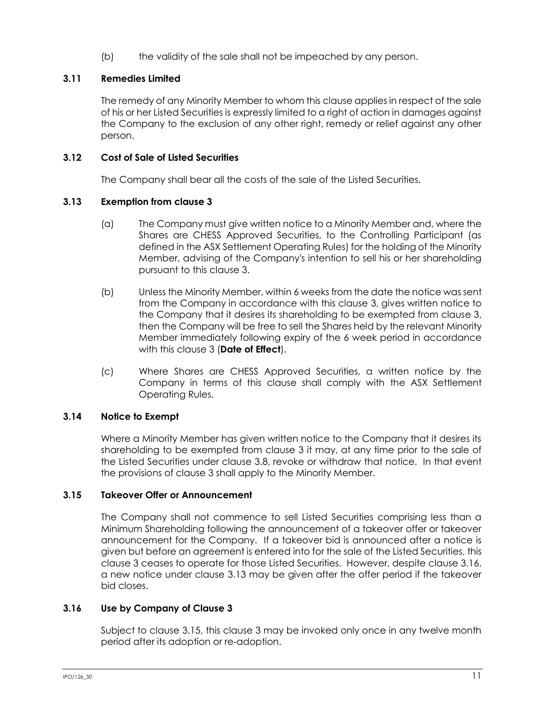(b) the validity of the sale shall not be impeached by any person.

## **3.11 Remedies Limited**

The remedy of any Minority Member to whom this clause applies in respect of the sale of his or her Listed Securities is expressly limited to a right of action in damages against the Company to the exclusion of any other right, remedy or relief against any other person.

## **3.12 Cost of Sale of Listed Securities**

The Company shall bear all the costs of the sale of the Listed Securities.

## <span id="page-17-0"></span>**3.13 Exemption from clause [3](#page-14-0)**

- (a) The Company must give written notice to a Minority Member and, where the Shares are CHESS Approved Securities, to the Controlling Participant (as defined in the ASX Settlement Operating Rules) for the holding of the Minority Member, advising of the Company's intention to sell his or her shareholding pursuant to this clause [3.](#page-14-0)
- (b) Unless the Minority Member, within 6 weeks from the date the notice was sent from the Company in accordance with this clause [3,](#page-14-0) gives written notice to the Company that it desires its shareholding to be exempted from clause [3,](#page-14-0) then the Company will be free to sell the Shares held by the relevant Minority Member immediately following expiry of the 6 week period in accordance with this clause [3](#page-14-0) (**Date of Effect**).
- (c) Where Shares are CHESS Approved Securities, a written notice by the Company in terms of this clause shall comply with the ASX Settlement Operating Rules.

## <span id="page-17-1"></span>**3.14 Notice to Exempt**

Where a Minority Member has given written notice to the Company that it desires its shareholding to be exempted from clause [3](#page-14-0) it may, at any time prior to the sale of the Listed Securities under clause [3.8,](#page-16-0) revoke or withdraw that notice. In that event the provisions of clause [3](#page-14-0) shall apply to the Minority Member.

## <span id="page-17-3"></span>**3.15 Takeover Offer or Announcement**

The Company shall not commence to sell Listed Securities comprising less than a Minimum Shareholding following the announcement of a takeover offer or takeover announcement for the Company. If a takeover bid is announced after a notice is given but before an agreement is entered into for the sale of the Listed Securities, this clause [3](#page-14-0) ceases to operate for those Listed Securities. However, despite clause [3.16,](#page-17-2) a new notice under clause [3.13](#page-17-0) may be given after the offer period if the takeover bid closes.

## <span id="page-17-2"></span>**3.16 Use by Company of Clause [3](#page-14-0)**

Subject to clause [3.15,](#page-17-3) this clause [3](#page-14-0) may be invoked only once in any twelve month period after its adoption or re-adoption.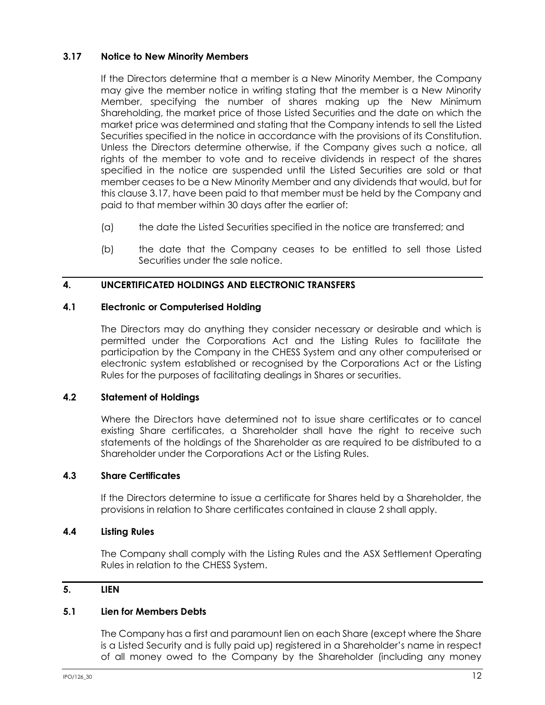## <span id="page-18-1"></span>**3.17 Notice to New Minority Members**

If the Directors determine that a member is a New Minority Member, the Company may give the member notice in writing stating that the member is a New Minority Member, specifying the number of shares making up the New Minimum Shareholding, the market price of those Listed Securities and the date on which the market price was determined and stating that the Company intends to sell the Listed Securities specified in the notice in accordance with the provisions of its Constitution. Unless the Directors determine otherwise, if the Company gives such a notice, all rights of the member to vote and to receive dividends in respect of the shares specified in the notice are suspended until the Listed Securities are sold or that member ceases to be a New Minority Member and any dividends that would, but for this clause [3.17,](#page-18-1) have been paid to that member must be held by the Company and paid to that member within 30 days after the earlier of:

- (a) the date the Listed Securities specified in the notice are transferred; and
- (b) the date that the Company ceases to be entitled to sell those Listed Securities under the sale notice.

## <span id="page-18-0"></span>**4. UNCERTIFICATED HOLDINGS AND ELECTRONIC TRANSFERS**

#### **4.1 Electronic or Computerised Holding**

The Directors may do anything they consider necessary or desirable and which is permitted under the Corporations Act and the Listing Rules to facilitate the participation by the Company in the CHESS System and any other computerised or electronic system established or recognised by the Corporations Act or the Listing Rules for the purposes of facilitating dealings in Shares or securities.

## **4.2 Statement of Holdings**

Where the Directors have determined not to issue share certificates or to cancel existing Share certificates, a Shareholder shall have the right to receive such statements of the holdings of the Shareholder as are required to be distributed to a Shareholder under the Corporations Act or the Listing Rules.

## **4.3 Share Certificates**

If the Directors determine to issue a certificate for Shares held by a Shareholder, the provisions in relation to Share certificates contained in clause [2](#page-11-0) shall apply.

#### **4.4 Listing Rules**

The Company shall comply with the Listing Rules and the ASX Settlement Operating Rules in relation to the CHESS System.

## <span id="page-18-2"></span>**5. LIEN**

## **5.1 Lien for Members Debts**

The Company has a first and paramount lien on each Share (except where the Share is a Listed Security and is fully paid up) registered in a Shareholder's name in respect of all money owed to the Company by the Shareholder (including any money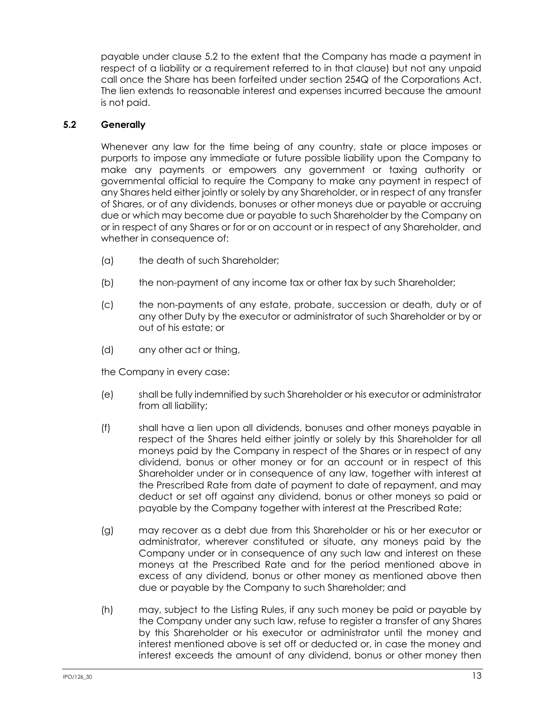payable under clause [5.2](#page-19-0) to the extent that the Company has made a payment in respect of a liability or a requirement referred to in that clause) but not any unpaid call once the Share has been forfeited under section 254Q of the Corporations Act. The lien extends to reasonable interest and expenses incurred because the amount is not paid.

## <span id="page-19-0"></span>**5.2 Generally**

Whenever any law for the time being of any country, state or place imposes or purports to impose any immediate or future possible liability upon the Company to make any payments or empowers any government or taxing authority or governmental official to require the Company to make any payment in respect of any Shares held either jointly or solely by any Shareholder, or in respect of any transfer of Shares, or of any dividends, bonuses or other moneys due or payable or accruing due or which may become due or payable to such Shareholder by the Company on or in respect of any Shares or for or on account or in respect of any Shareholder, and whether in consequence of:

- (a) the death of such Shareholder;
- (b) the non-payment of any income tax or other tax by such Shareholder;
- (c) the non-payments of any estate, probate, succession or death, duty or of any other Duty by the executor or administrator of such Shareholder or by or out of his estate; or
- (d) any other act or thing,

the Company in every case:

- (e) shall be fully indemnified by such Shareholder or his executor or administrator from all liability;
- (f) shall have a lien upon all dividends, bonuses and other moneys payable in respect of the Shares held either jointly or solely by this Shareholder for all moneys paid by the Company in respect of the Shares or in respect of any dividend, bonus or other money or for an account or in respect of this Shareholder under or in consequence of any law, together with interest at the Prescribed Rate from date of payment to date of repayment, and may deduct or set off against any dividend, bonus or other moneys so paid or payable by the Company together with interest at the Prescribed Rate;
- (g) may recover as a debt due from this Shareholder or his or her executor or administrator, wherever constituted or situate, any moneys paid by the Company under or in consequence of any such law and interest on these moneys at the Prescribed Rate and for the period mentioned above in excess of any dividend, bonus or other money as mentioned above then due or payable by the Company to such Shareholder; and
- (h) may, subject to the Listing Rules, if any such money be paid or payable by the Company under any such law, refuse to register a transfer of any Shares by this Shareholder or his executor or administrator until the money and interest mentioned above is set off or deducted or, in case the money and interest exceeds the amount of any dividend, bonus or other money then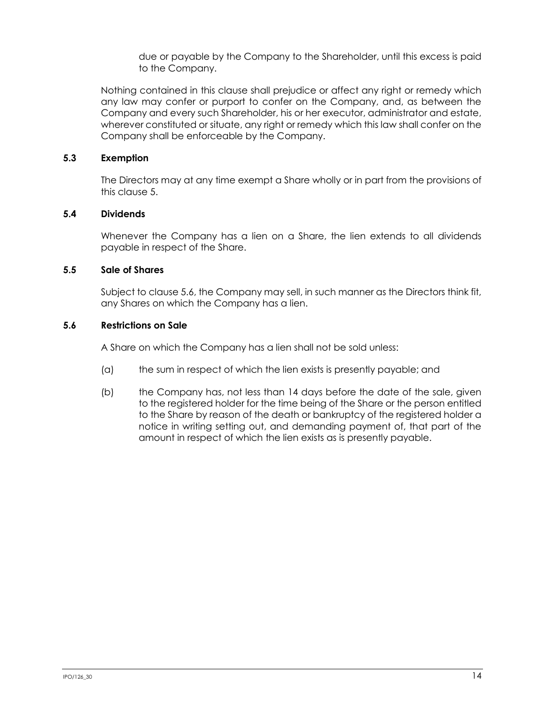due or payable by the Company to the Shareholder, until this excess is paid to the Company.

Nothing contained in this clause shall prejudice or affect any right or remedy which any law may confer or purport to confer on the Company, and, as between the Company and every such Shareholder, his or her executor, administrator and estate, wherever constituted or situate, any right or remedy which this law shall confer on the Company shall be enforceable by the Company.

## **5.3 Exemption**

The Directors may at any time exempt a Share wholly or in part from the provisions of this clause [5.](#page-18-2)

## **5.4 Dividends**

Whenever the Company has a lien on a Share, the lien extends to all dividends payable in respect of the Share.

## <span id="page-20-1"></span>**5.5 Sale of Shares**

Subject to clause [5.6,](#page-20-0) the Company may sell, in such manner as the Directors think fit, any Shares on which the Company has a lien.

## <span id="page-20-0"></span>**5.6 Restrictions on Sale**

A Share on which the Company has a lien shall not be sold unless:

- (a) the sum in respect of which the lien exists is presently payable; and
- (b) the Company has, not less than 14 days before the date of the sale, given to the registered holder for the time being of the Share or the person entitled to the Share by reason of the death or bankruptcy of the registered holder a notice in writing setting out, and demanding payment of, that part of the amount in respect of which the lien exists as is presently payable.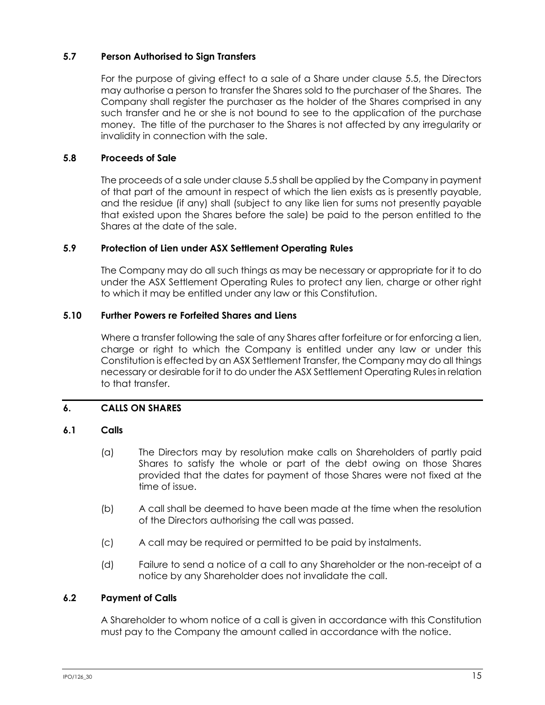## **5.7 Person Authorised to Sign Transfers**

For the purpose of giving effect to a sale of a Share under clause [5.5,](#page-20-1) the Directors may authorise a person to transfer the Shares sold to the purchaser of the Shares. The Company shall register the purchaser as the holder of the Shares comprised in any such transfer and he or she is not bound to see to the application of the purchase money. The title of the purchaser to the Shares is not affected by any irregularity or invalidity in connection with the sale.

## **5.8 Proceeds of Sale**

The proceeds of a sale under claus[e 5.5](#page-20-1) shall be applied by the Company in payment of that part of the amount in respect of which the lien exists as is presently payable, and the residue (if any) shall (subject to any like lien for sums not presently payable that existed upon the Shares before the sale) be paid to the person entitled to the Shares at the date of the sale.

#### **5.9 Protection of Lien under ASX Settlement Operating Rules**

The Company may do all such things as may be necessary or appropriate for it to do under the ASX Settlement Operating Rules to protect any lien, charge or other right to which it may be entitled under any law or this Constitution.

#### **5.10 Further Powers re Forfeited Shares and Liens**

Where a transfer following the sale of any Shares after forfeiture or for enforcing a lien, charge or right to which the Company is entitled under any law or under this Constitution is effected by an ASX Settlement Transfer, the Company may do all things necessary or desirable for it to do under the ASX Settlement Operating Rules in relation to that transfer.

## <span id="page-21-0"></span>**6. CALLS ON SHARES**

## **6.1 Calls**

- (a) The Directors may by resolution make calls on Shareholders of partly paid Shares to satisfy the whole or part of the debt owing on those Shares provided that the dates for payment of those Shares were not fixed at the time of issue.
- (b) A call shall be deemed to have been made at the time when the resolution of the Directors authorising the call was passed.
- (c) A call may be required or permitted to be paid by instalments.
- (d) Failure to send a notice of a call to any Shareholder or the non-receipt of a notice by any Shareholder does not invalidate the call.

## **6.2 Payment of Calls**

A Shareholder to whom notice of a call is given in accordance with this Constitution must pay to the Company the amount called in accordance with the notice.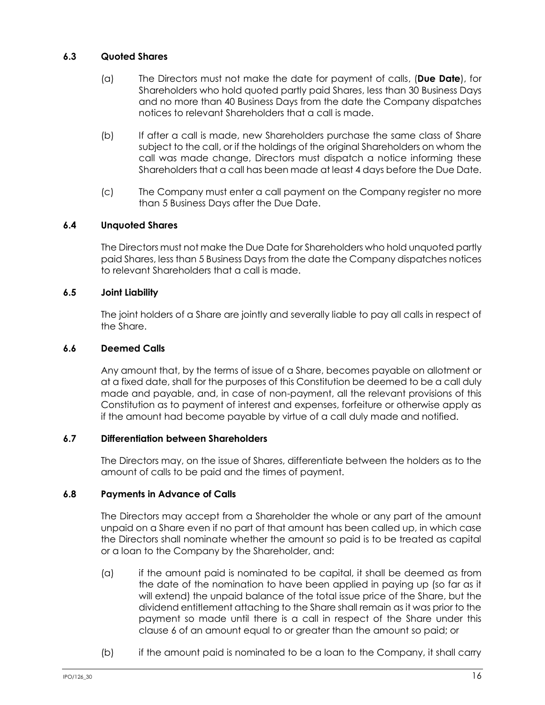## **6.3 Quoted Shares**

- (a) The Directors must not make the date for payment of calls, (**Due Date**), for Shareholders who hold quoted partly paid Shares, less than 30 Business Days and no more than 40 Business Days from the date the Company dispatches notices to relevant Shareholders that a call is made.
- (b) If after a call is made, new Shareholders purchase the same class of Share subject to the call, or if the holdings of the original Shareholders on whom the call was made change, Directors must dispatch a notice informing these Shareholders that a call has been made at least 4 days before the Due Date.
- (c) The Company must enter a call payment on the Company register no more than 5 Business Days after the Due Date.

## **6.4 Unquoted Shares**

The Directors must not make the Due Date for Shareholders who hold unquoted partly paid Shares, less than 5 Business Days from the date the Company dispatches notices to relevant Shareholders that a call is made.

## **6.5 Joint Liability**

The joint holders of a Share are jointly and severally liable to pay all calls in respect of the Share.

#### **6.6 Deemed Calls**

Any amount that, by the terms of issue of a Share, becomes payable on allotment or at a fixed date, shall for the purposes of this Constitution be deemed to be a call duly made and payable, and, in case of non-payment, all the relevant provisions of this Constitution as to payment of interest and expenses, forfeiture or otherwise apply as if the amount had become payable by virtue of a call duly made and notified.

## **6.7 Differentiation between Shareholders**

The Directors may, on the issue of Shares, differentiate between the holders as to the amount of calls to be paid and the times of payment.

## **6.8 Payments in Advance of Calls**

The Directors may accept from a Shareholder the whole or any part of the amount unpaid on a Share even if no part of that amount has been called up, in which case the Directors shall nominate whether the amount so paid is to be treated as capital or a loan to the Company by the Shareholder, and:

- (a) if the amount paid is nominated to be capital, it shall be deemed as from the date of the nomination to have been applied in paying up (so far as it will extend) the unpaid balance of the total issue price of the Share, but the dividend entitlement attaching to the Share shall remain as it was prior to the payment so made until there is a call in respect of the Share under this clause [6](#page-21-0) of an amount equal to or greater than the amount so paid; or
- (b) if the amount paid is nominated to be a loan to the Company, it shall carry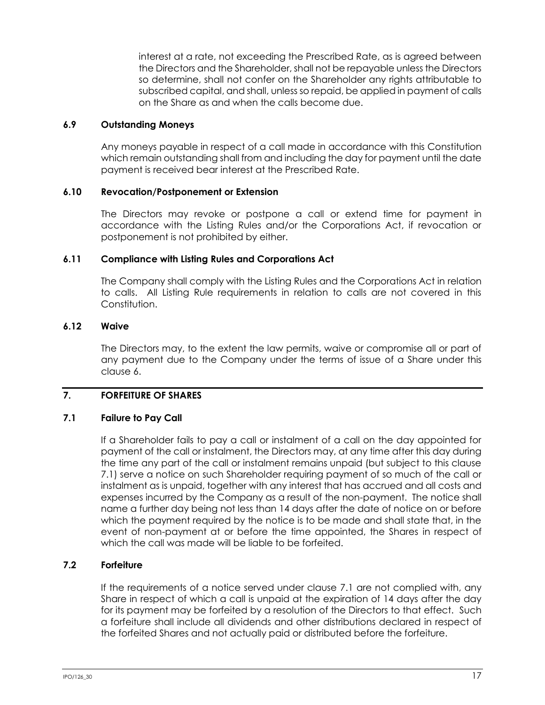interest at a rate, not exceeding the Prescribed Rate, as is agreed between the Directors and the Shareholder, shall not be repayable unless the Directors so determine, shall not confer on the Shareholder any rights attributable to subscribed capital, and shall, unless so repaid, be applied in payment of calls on the Share as and when the calls become due.

## **6.9 Outstanding Moneys**

Any moneys payable in respect of a call made in accordance with this Constitution which remain outstanding shall from and including the day for payment until the date payment is received bear interest at the Prescribed Rate.

## **6.10 Revocation/Postponement or Extension**

The Directors may revoke or postpone a call or extend time for payment in accordance with the Listing Rules and/or the Corporations Act, if revocation or postponement is not prohibited by either.

## **6.11 Compliance with Listing Rules and Corporations Act**

The Company shall comply with the Listing Rules and the Corporations Act in relation to calls. All Listing Rule requirements in relation to calls are not covered in this Constitution.

## **6.12 Waive**

The Directors may, to the extent the law permits, waive or compromise all or part of any payment due to the Company under the terms of issue of a Share under this claus[e 6.](#page-21-0)

## <span id="page-23-1"></span>**7. FORFEITURE OF SHARES**

## <span id="page-23-0"></span>**7.1 Failure to Pay Call**

If a Shareholder fails to pay a call or instalment of a call on the day appointed for payment of the call or instalment, the Directors may, at any time after this day during the time any part of the call or instalment remains unpaid (but subject to this clause [7.1\)](#page-23-0) serve a notice on such Shareholder requiring payment of so much of the call or instalment as is unpaid, together with any interest that has accrued and all costs and expenses incurred by the Company as a result of the non-payment. The notice shall name a further day being not less than 14 days after the date of notice on or before which the payment required by the notice is to be made and shall state that, in the event of non-payment at or before the time appointed, the Shares in respect of which the call was made will be liable to be forfeited.

## **7.2 Forfeiture**

If the requirements of a notice served under clause [7.1](#page-23-0) are not complied with, any Share in respect of which a call is unpaid at the expiration of 14 days after the day for its payment may be forfeited by a resolution of the Directors to that effect. Such a forfeiture shall include all dividends and other distributions declared in respect of the forfeited Shares and not actually paid or distributed before the forfeiture.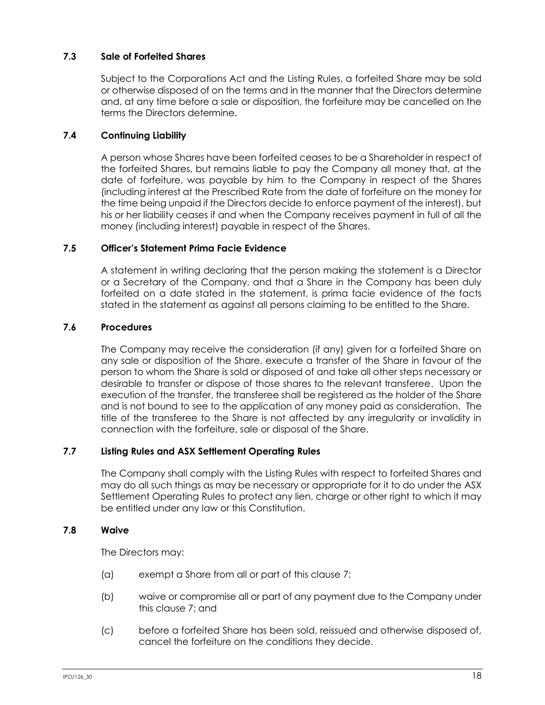## **7.3 Sale of Forfeited Shares**

Subject to the Corporations Act and the Listing Rules, a forfeited Share may be sold or otherwise disposed of on the terms and in the manner that the Directors determine and, at any time before a sale or disposition, the forfeiture may be cancelled on the terms the Directors determine.

## **7.4 Continuing Liability**

A person whose Shares have been forfeited ceases to be a Shareholder in respect of the forfeited Shares, but remains liable to pay the Company all money that, at the date of forfeiture, was payable by him to the Company in respect of the Shares (including interest at the Prescribed Rate from the date of forfeiture on the money for the time being unpaid if the Directors decide to enforce payment of the interest), but his or her liability ceases if and when the Company receives payment in full of all the money (including interest) payable in respect of the Shares.

## **7.5 Officer's Statement Prima Facie Evidence**

A statement in writing declaring that the person making the statement is a Director or a Secretary of the Company, and that a Share in the Company has been duly forfeited on a date stated in the statement, is prima facie evidence of the facts stated in the statement as against all persons claiming to be entitled to the Share.

## **7.6 Procedures**

The Company may receive the consideration (if any) given for a forfeited Share on any sale or disposition of the Share, execute a transfer of the Share in favour of the person to whom the Share is sold or disposed of and take all other steps necessary or desirable to transfer or dispose of those shares to the relevant transferee. Upon the execution of the transfer, the transferee shall be registered as the holder of the Share and is not bound to see to the application of any money paid as consideration. The title of the transferee to the Share is not affected by any irregularity or invalidity in connection with the forfeiture, sale or disposal of the Share.

## **7.7 Listing Rules and ASX Settlement Operating Rules**

The Company shall comply with the Listing Rules with respect to forfeited Shares and may do all such things as may be necessary or appropriate for it to do under the ASX Settlement Operating Rules to protect any lien, charge or other right to which it may be entitled under any law or this Constitution.

#### **7.8 Waive**

The Directors may:

- (a) exempt a Share from all or part of this clause [7;](#page-23-1)
- (b) waive or compromise all or part of any payment due to the Company under this clause [7;](#page-23-1) and
- (c) before a forfeited Share has been sold, reissued and otherwise disposed of, cancel the forfeiture on the conditions they decide.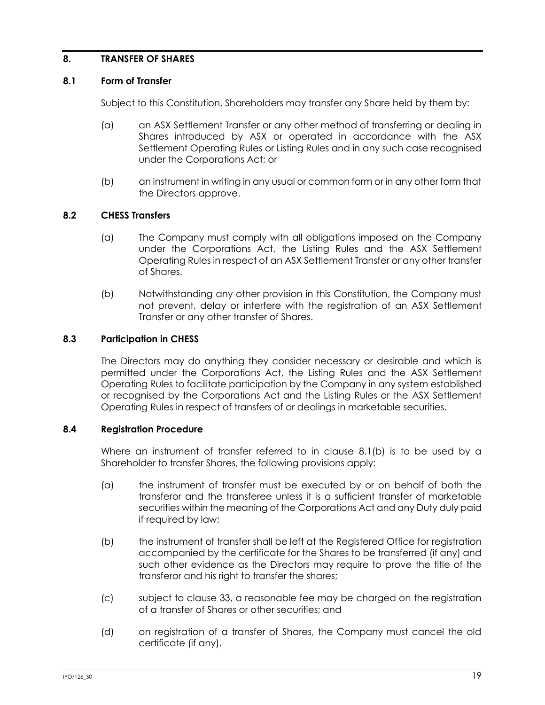## <span id="page-25-1"></span>**8. TRANSFER OF SHARES**

#### **8.1 Form of Transfer**

Subject to this Constitution, Shareholders may transfer any Share held by them by:

- (a) an ASX Settlement Transfer or any other method of transferring or dealing in Shares introduced by ASX or operated in accordance with the ASX Settlement Operating Rules or Listing Rules and in any such case recognised under the Corporations Act; or
- (b) an instrument in writing in any usual or common form or in any other form that the Directors approve.

#### <span id="page-25-0"></span>**8.2 CHESS Transfers**

- (a) The Company must comply with all obligations imposed on the Company under the Corporations Act, the Listing Rules and the ASX Settlement Operating Rules in respect of an ASX Settlement Transfer or any other transfer of Shares.
- (b) Notwithstanding any other provision in this Constitution, the Company must not prevent, delay or interfere with the registration of an ASX Settlement Transfer or any other transfer of Shares.

#### **8.3 Participation in CHESS**

The Directors may do anything they consider necessary or desirable and which is permitted under the Corporations Act, the Listing Rules and the ASX Settlement Operating Rules to facilitate participation by the Company in any system established or recognised by the Corporations Act and the Listing Rules or the ASX Settlement Operating Rules in respect of transfers of or dealings in marketable securities.

#### **8.4 Registration Procedure**

Where an instrument of transfer referred to in clause [8.1\(b\)](#page-25-0) is to be used by a Shareholder to transfer Shares, the following provisions apply:

- (a) the instrument of transfer must be executed by or on behalf of both the transferor and the transferee unless it is a sufficient transfer of marketable securities within the meaning of the Corporations Act and any Duty duly paid if required by law;
- (b) the instrument of transfer shall be left at the Registered Office for registration accompanied by the certificate for the Shares to be transferred (if any) and such other evidence as the Directors may require to prove the title of the transferor and his right to transfer the shares;
- (c) subject to clause [33,](#page-64-0) a reasonable fee may be charged on the registration of a transfer of Shares or other securities; and
- (d) on registration of a transfer of Shares, the Company must cancel the old certificate (if any).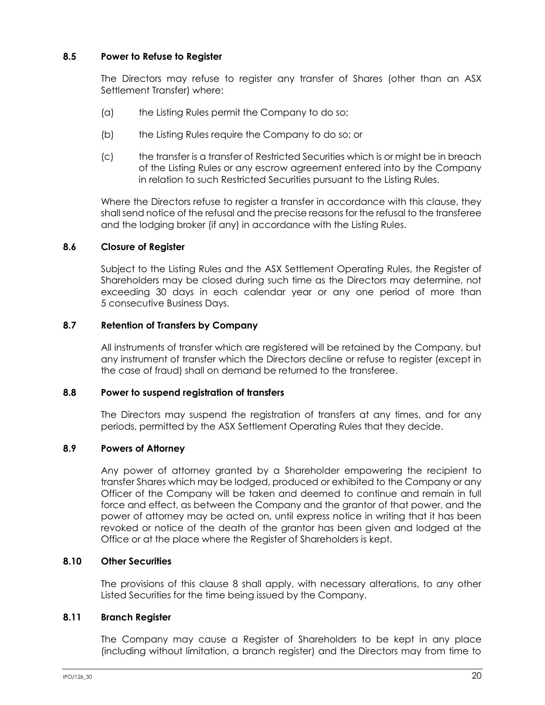## **8.5 Power to Refuse to Register**

The Directors may refuse to register any transfer of Shares (other than an ASX Settlement Transfer) where:

- (a) the Listing Rules permit the Company to do so;
- (b) the Listing Rules require the Company to do so; or
- (c) the transfer is a transfer of Restricted Securities which is or might be in breach of the Listing Rules or any escrow agreement entered into by the Company in relation to such Restricted Securities pursuant to the Listing Rules.

Where the Directors refuse to register a transfer in accordance with this clause, they shall send notice of the refusal and the precise reasons for the refusal to the transferee and the lodging broker (if any) in accordance with the Listing Rules.

## **8.6 Closure of Register**

Subject to the Listing Rules and the ASX Settlement Operating Rules, the Register of Shareholders may be closed during such time as the Directors may determine, not exceeding 30 days in each calendar year or any one period of more than 5 consecutive Business Days.

## **8.7 Retention of Transfers by Company**

All instruments of transfer which are registered will be retained by the Company, but any instrument of transfer which the Directors decline or refuse to register (except in the case of fraud) shall on demand be returned to the transferee.

## **8.8 Power to suspend registration of transfers**

The Directors may suspend the registration of transfers at any times, and for any periods, permitted by the ASX Settlement Operating Rules that they decide.

## **8.9 Powers of Attorney**

Any power of attorney granted by a Shareholder empowering the recipient to transfer Shares which may be lodged, produced or exhibited to the Company or any Officer of the Company will be taken and deemed to continue and remain in full force and effect, as between the Company and the grantor of that power, and the power of attorney may be acted on, until express notice in writing that it has been revoked or notice of the death of the grantor has been given and lodged at the Office or at the place where the Register of Shareholders is kept.

## **8.10 Other Securities**

The provisions of this clause [8](#page-25-1) shall apply, with necessary alterations, to any other Listed Securities for the time being issued by the Company.

## **8.11 Branch Register**

The Company may cause a Register of Shareholders to be kept in any place (including without limitation, a branch register) and the Directors may from time to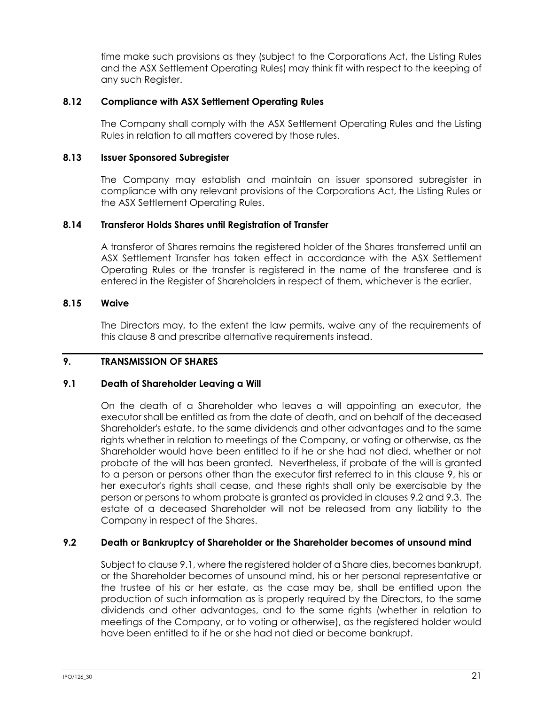time make such provisions as they (subject to the Corporations Act, the Listing Rules and the ASX Settlement Operating Rules) may think fit with respect to the keeping of any such Register.

## **8.12 Compliance with ASX Settlement Operating Rules**

The Company shall comply with the ASX Settlement Operating Rules and the Listing Rules in relation to all matters covered by those rules.

#### **8.13 Issuer Sponsored Subregister**

The Company may establish and maintain an issuer sponsored subregister in compliance with any relevant provisions of the Corporations Act, the Listing Rules or the ASX Settlement Operating Rules.

#### **8.14 Transferor Holds Shares until Registration of Transfer**

A transferor of Shares remains the registered holder of the Shares transferred until an ASX Settlement Transfer has taken effect in accordance with the ASX Settlement Operating Rules or the transfer is registered in the name of the transferee and is entered in the Register of Shareholders in respect of them, whichever is the earlier.

#### **8.15 Waive**

The Directors may, to the extent the law permits, waive any of the requirements of this clause [8](#page-25-1) and prescribe alternative requirements instead.

#### <span id="page-27-0"></span>**9. TRANSMISSION OF SHARES**

#### <span id="page-27-2"></span>**9.1 Death of Shareholder Leaving a Will**

On the death of a Shareholder who leaves a will appointing an executor, the executor shall be entitled as from the date of death, and on behalf of the deceased Shareholder's estate, to the same dividends and other advantages and to the same rights whether in relation to meetings of the Company, or voting or otherwise, as the Shareholder would have been entitled to if he or she had not died, whether or not probate of the will has been granted. Nevertheless, if probate of the will is granted to a person or persons other than the executor first referred to in this clause [9,](#page-27-0) his or her executor's rights shall cease, and these rights shall only be exercisable by the person or persons to whom probate is granted as provided in clauses [9.2](#page-27-1) and [9.3.](#page-28-0) The estate of a deceased Shareholder will not be released from any liability to the Company in respect of the Shares.

## <span id="page-27-1"></span>**9.2 Death or Bankruptcy of Shareholder or the Shareholder becomes of unsound mind**

Subject to clause [9.1,](#page-27-2) where the registered holder of a Share dies, becomes bankrupt, or the Shareholder becomes of unsound mind, his or her personal representative or the trustee of his or her estate, as the case may be, shall be entitled upon the production of such information as is properly required by the Directors, to the same dividends and other advantages, and to the same rights (whether in relation to meetings of the Company, or to voting or otherwise), as the registered holder would have been entitled to if he or she had not died or become bankrupt.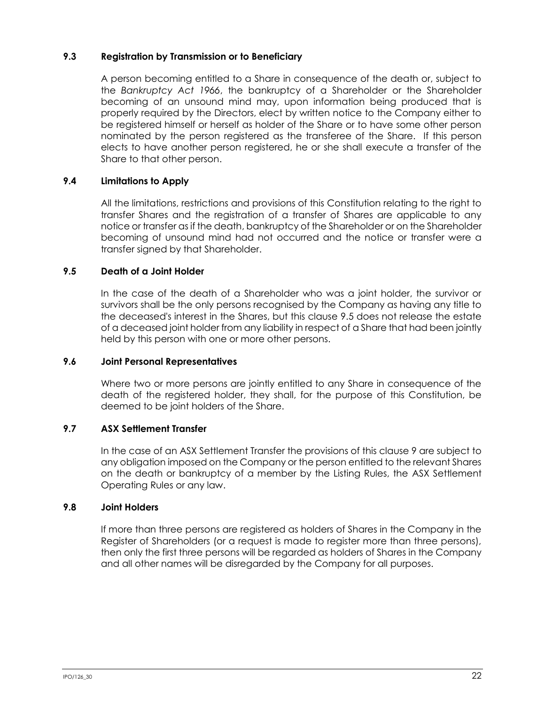## <span id="page-28-0"></span>**9.3 Registration by Transmission or to Beneficiary**

A person becoming entitled to a Share in consequence of the death or, subject to the *Bankruptcy Act 1966*, the bankruptcy of a Shareholder or the Shareholder becoming of an unsound mind may, upon information being produced that is properly required by the Directors, elect by written notice to the Company either to be registered himself or herself as holder of the Share or to have some other person nominated by the person registered as the transferee of the Share. If this person elects to have another person registered, he or she shall execute a transfer of the Share to that other person.

## **9.4 Limitations to Apply**

All the limitations, restrictions and provisions of this Constitution relating to the right to transfer Shares and the registration of a transfer of Shares are applicable to any notice or transfer as if the death, bankruptcy of the Shareholder or on the Shareholder becoming of unsound mind had not occurred and the notice or transfer were a transfer signed by that Shareholder.

## <span id="page-28-1"></span>**9.5 Death of a Joint Holder**

In the case of the death of a Shareholder who was a joint holder, the survivor or survivors shall be the only persons recognised by the Company as having any title to the deceased's interest in the Shares, but this clause [9.5](#page-28-1) does not release the estate of a deceased joint holder from any liability in respect of a Share that had been jointly held by this person with one or more other persons.

## **9.6 Joint Personal Representatives**

Where two or more persons are jointly entitled to any Share in consequence of the death of the registered holder, they shall, for the purpose of this Constitution, be deemed to be joint holders of the Share.

## **9.7 ASX Settlement Transfer**

In the case of an ASX Settlement Transfer the provisions of this clause [9](#page-27-0) are subject to any obligation imposed on the Company or the person entitled to the relevant Shares on the death or bankruptcy of a member by the Listing Rules, the ASX Settlement Operating Rules or any law.

## **9.8 Joint Holders**

If more than three persons are registered as holders of Shares in the Company in the Register of Shareholders (or a request is made to register more than three persons), then only the first three persons will be regarded as holders of Shares in the Company and all other names will be disregarded by the Company for all purposes.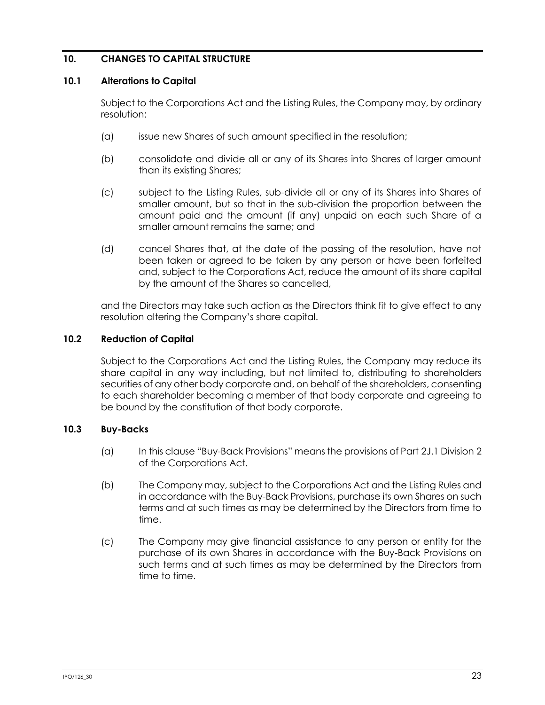## **10. CHANGES TO CAPITAL STRUCTURE**

#### **10.1 Alterations to Capital**

Subject to the Corporations Act and the Listing Rules, the Company may, by ordinary resolution:

- (a) issue new Shares of such amount specified in the resolution;
- (b) consolidate and divide all or any of its Shares into Shares of larger amount than its existing Shares;
- (c) subject to the Listing Rules, sub-divide all or any of its Shares into Shares of smaller amount, but so that in the sub-division the proportion between the amount paid and the amount (if any) unpaid on each such Share of a smaller amount remains the same; and
- (d) cancel Shares that, at the date of the passing of the resolution, have not been taken or agreed to be taken by any person or have been forfeited and, subject to the Corporations Act, reduce the amount of its share capital by the amount of the Shares so cancelled,

and the Directors may take such action as the Directors think fit to give effect to any resolution altering the Company's share capital.

#### **10.2 Reduction of Capital**

Subject to the Corporations Act and the Listing Rules, the Company may reduce its share capital in any way including, but not limited to, distributing to shareholders securities of any other body corporate and, on behalf of the shareholders, consenting to each shareholder becoming a member of that body corporate and agreeing to be bound by the constitution of that body corporate.

## **10.3 Buy-Backs**

- (a) In this clause "Buy-Back Provisions" means the provisions of Part 2J.1 Division 2 of the Corporations Act.
- (b) The Company may, subject to the Corporations Act and the Listing Rules and in accordance with the Buy-Back Provisions, purchase its own Shares on such terms and at such times as may be determined by the Directors from time to time.
- (c) The Company may give financial assistance to any person or entity for the purchase of its own Shares in accordance with the Buy-Back Provisions on such terms and at such times as may be determined by the Directors from time to time.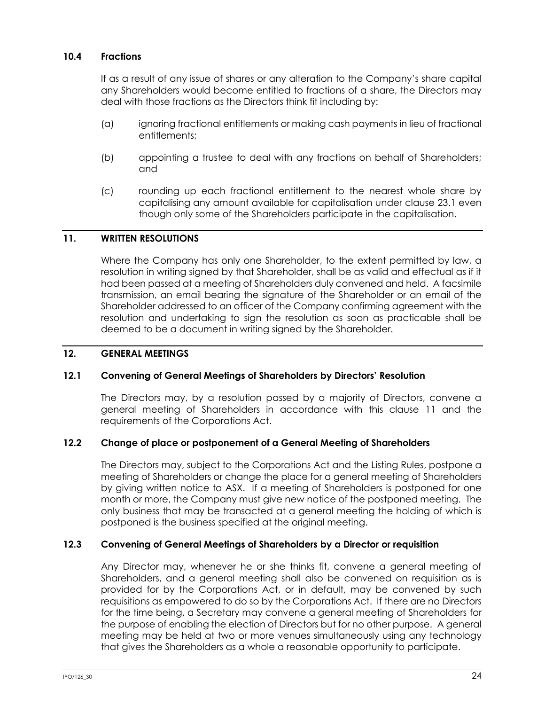## **10.4 Fractions**

If as a result of any issue of shares or any alteration to the Company's share capital any Shareholders would become entitled to fractions of a share, the Directors may deal with those fractions as the Directors think fit including by:

- (a) ignoring fractional entitlements or making cash payments in lieu of fractional entitlements;
- (b) appointing a trustee to deal with any fractions on behalf of Shareholders; and
- (c) rounding up each fractional entitlement to the nearest whole share by capitalising any amount available for capitalisation under clause [23.1](#page-57-0) even though only some of the Shareholders participate in the capitalisation.

### <span id="page-30-0"></span>**11. WRITTEN RESOLUTIONS**

Where the Company has only one Shareholder, to the extent permitted by law, a resolution in writing signed by that Shareholder, shall be as valid and effectual as if it had been passed at a meeting of Shareholders duly convened and held. A facsimile transmission, an email bearing the signature of the Shareholder or an email of the Shareholder addressed to an officer of the Company confirming agreement with the resolution and undertaking to sign the resolution as soon as practicable shall be deemed to be a document in writing signed by the Shareholder.

#### **12. GENERAL MEETINGS**

## <span id="page-30-1"></span>**12.1 Convening of General Meetings of Shareholders by Directors' Resolution**

The Directors may, by a resolution passed by a majority of Directors, convene a general meeting of Shareholders in accordance with this clause [11](#page-30-0) and the requirements of the Corporations Act.

## **12.2 Change of place or postponement of a General Meeting of Shareholders**

The Directors may, subject to the Corporations Act and the Listing Rules, postpone a meeting of Shareholders or change the place for a general meeting of Shareholders by giving written notice to ASX. If a meeting of Shareholders is postponed for one month or more, the Company must give new notice of the postponed meeting. The only business that may be transacted at a general meeting the holding of which is postponed is the business specified at the original meeting.

## **12.3 Convening of General Meetings of Shareholders by a Director or requisition**

Any Director may, whenever he or she thinks fit, convene a general meeting of Shareholders, and a general meeting shall also be convened on requisition as is provided for by the Corporations Act, or in default, may be convened by such requisitions as empowered to do so by the Corporations Act. If there are no Directors for the time being, a Secretary may convene a general meeting of Shareholders for the purpose of enabling the election of Directors but for no other purpose. A general meeting may be held at two or more venues simultaneously using any technology that gives the Shareholders as a whole a reasonable opportunity to participate.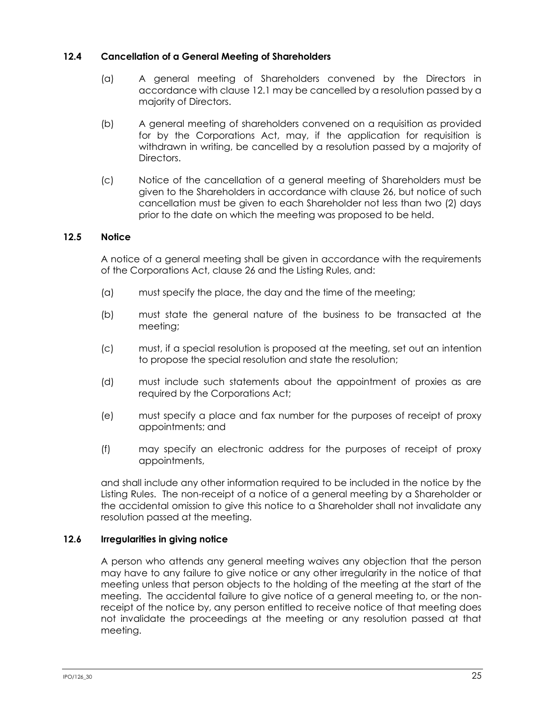## **12.4 Cancellation of a General Meeting of Shareholders**

- (a) A general meeting of Shareholders convened by the Directors in accordance with clause [12.1](#page-30-1) may be cancelled by a resolution passed by a majority of Directors.
- (b) A general meeting of shareholders convened on a requisition as provided for by the Corporations Act, may, if the application for requisition is withdrawn in writing, be cancelled by a resolution passed by a majority of Directors.
- (c) Notice of the cancellation of a general meeting of Shareholders must be given to the Shareholders in accordance with clause [26,](#page-58-2) but notice of such cancellation must be given to each Shareholder not less than two (2) days prior to the date on which the meeting was proposed to be held.

## **12.5 Notice**

A notice of a general meeting shall be given in accordance with the requirements of the Corporations Act, clause [26](#page-58-2) and the Listing Rules, and:

- (a) must specify the place, the day and the time of the meeting;
- (b) must state the general nature of the business to be transacted at the meeting;
- (c) must, if a special resolution is proposed at the meeting, set out an intention to propose the special resolution and state the resolution;
- (d) must include such statements about the appointment of proxies as are required by the Corporations Act;
- (e) must specify a place and fax number for the purposes of receipt of proxy appointments; and
- (f) may specify an electronic address for the purposes of receipt of proxy appointments,

and shall include any other information required to be included in the notice by the Listing Rules. The non-receipt of a notice of a general meeting by a Shareholder or the accidental omission to give this notice to a Shareholder shall not invalidate any resolution passed at the meeting.

## **12.6 Irregularities in giving notice**

A person who attends any general meeting waives any objection that the person may have to any failure to give notice or any other irregularity in the notice of that meeting unless that person objects to the holding of the meeting at the start of the meeting. The accidental failure to give notice of a general meeting to, or the nonreceipt of the notice by, any person entitled to receive notice of that meeting does not invalidate the proceedings at the meeting or any resolution passed at that meeting.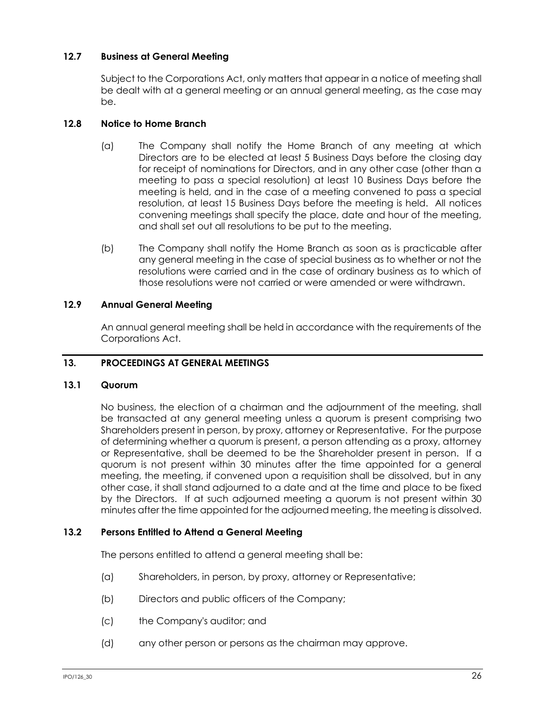## **12.7 Business at General Meeting**

Subject to the Corporations Act, only matters that appear in a notice of meeting shall be dealt with at a general meeting or an annual general meeting, as the case may be.

## **12.8 Notice to Home Branch**

- (a) The Company shall notify the Home Branch of any meeting at which Directors are to be elected at least 5 Business Days before the closing day for receipt of nominations for Directors, and in any other case (other than a meeting to pass a special resolution) at least 10 Business Days before the meeting is held, and in the case of a meeting convened to pass a special resolution, at least 15 Business Days before the meeting is held. All notices convening meetings shall specify the place, date and hour of the meeting, and shall set out all resolutions to be put to the meeting.
- (b) The Company shall notify the Home Branch as soon as is practicable after any general meeting in the case of special business as to whether or not the resolutions were carried and in the case of ordinary business as to which of those resolutions were not carried or were amended or were withdrawn.

## **12.9 Annual General Meeting**

An annual general meeting shall be held in accordance with the requirements of the Corporations Act.

## **13. PROCEEDINGS AT GENERAL MEETINGS**

#### **13.1 Quorum**

No business, the election of a chairman and the adjournment of the meeting, shall be transacted at any general meeting unless a quorum is present comprising two Shareholders present in person, by proxy, attorney or Representative. For the purpose of determining whether a quorum is present, a person attending as a proxy, attorney or Representative, shall be deemed to be the Shareholder present in person. If a quorum is not present within 30 minutes after the time appointed for a general meeting, the meeting, if convened upon a requisition shall be dissolved, but in any other case, it shall stand adjourned to a date and at the time and place to be fixed by the Directors. If at such adjourned meeting a quorum is not present within 30 minutes after the time appointed for the adjourned meeting, the meeting is dissolved.

#### **13.2 Persons Entitled to Attend a General Meeting**

The persons entitled to attend a general meeting shall be:

- (a) Shareholders, in person, by proxy, attorney or Representative;
- (b) Directors and public officers of the Company;
- (c) the Company's auditor; and
- (d) any other person or persons as the chairman may approve.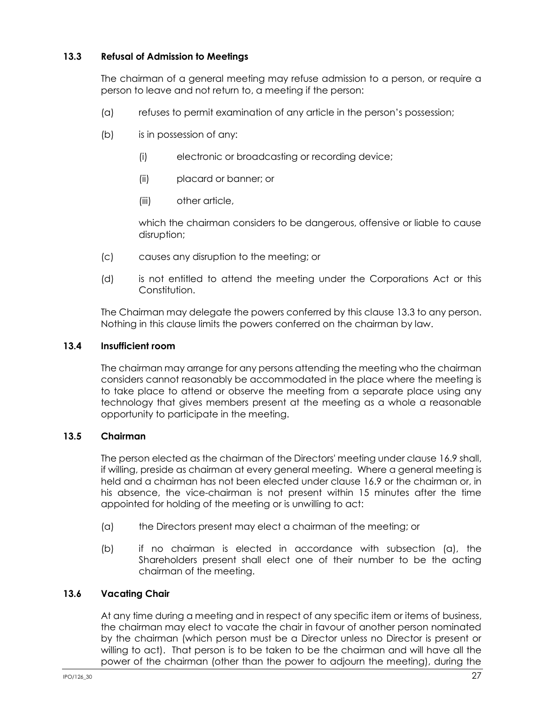## <span id="page-33-0"></span>**13.3 Refusal of Admission to Meetings**

The chairman of a general meeting may refuse admission to a person, or require a person to leave and not return to, a meeting if the person:

- (a) refuses to permit examination of any article in the person's possession;
- (b) is in possession of any:
	- (i) electronic or broadcasting or recording device;
	- (ii) placard or banner; or
	- (iii) other article,

which the chairman considers to be dangerous, offensive or liable to cause disruption;

- (c) causes any disruption to the meeting; or
- (d) is not entitled to attend the meeting under the Corporations Act or this Constitution.

The Chairman may delegate the powers conferred by this clause [13.3](#page-33-0) to any person. Nothing in this clause limits the powers conferred on the chairman by law.

## **13.4 Insufficient room**

The chairman may arrange for any persons attending the meeting who the chairman considers cannot reasonably be accommodated in the place where the meeting is to take place to attend or observe the meeting from a separate place using any technology that gives members present at the meeting as a whole a reasonable opportunity to participate in the meeting.

## **13.5 Chairman**

The person elected as the chairman of the Directors' meeting under clause [16.9](#page-48-0) shall, if willing, preside as chairman at every general meeting. Where a general meeting is held and a chairman has not been elected under clause [16.9](#page-48-0) or the chairman or, in his absence, the vice-chairman is not present within 15 minutes after the time appointed for holding of the meeting or is unwilling to act:

- (a) the Directors present may elect a chairman of the meeting; or
- (b) if no chairman is elected in accordance with subsection (a), the Shareholders present shall elect one of their number to be the acting chairman of the meeting.

## **13.6 Vacating Chair**

At any time during a meeting and in respect of any specific item or items of business, the chairman may elect to vacate the chair in favour of another person nominated by the chairman (which person must be a Director unless no Director is present or willing to act). That person is to be taken to be the chairman and will have all the power of the chairman (other than the power to adjourn the meeting), during the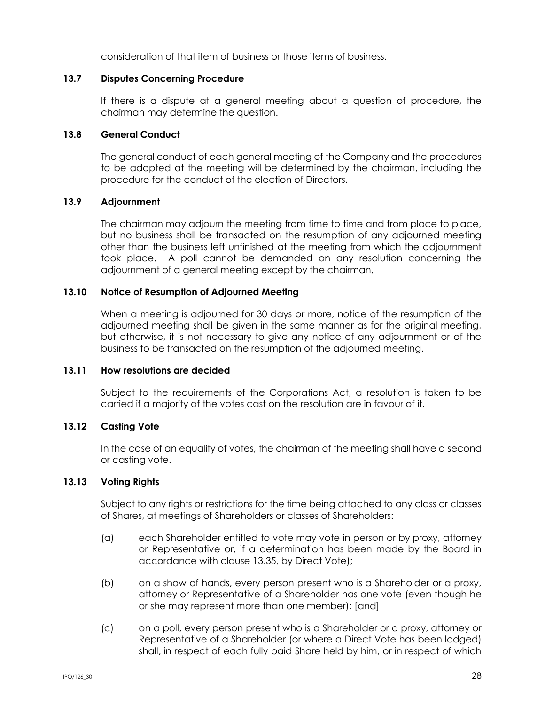consideration of that item of business or those items of business.

#### **13.7 Disputes Concerning Procedure**

If there is a dispute at a general meeting about a question of procedure, the chairman may determine the question.

#### **13.8 General Conduct**

The general conduct of each general meeting of the Company and the procedures to be adopted at the meeting will be determined by the chairman, including the procedure for the conduct of the election of Directors.

#### **13.9 Adjournment**

The chairman may adjourn the meeting from time to time and from place to place, but no business shall be transacted on the resumption of any adjourned meeting other than the business left unfinished at the meeting from which the adjournment took place. A poll cannot be demanded on any resolution concerning the adjournment of a general meeting except by the chairman.

#### **13.10 Notice of Resumption of Adjourned Meeting**

When a meeting is adjourned for 30 days or more, notice of the resumption of the adjourned meeting shall be given in the same manner as for the original meeting, but otherwise, it is not necessary to give any notice of any adjournment or of the business to be transacted on the resumption of the adjourned meeting.

#### **13.11 How resolutions are decided**

Subject to the requirements of the Corporations Act, a resolution is taken to be carried if a majority of the votes cast on the resolution are in favour of it.

## **13.12 Casting Vote**

In the case of an equality of votes, the chairman of the meeting shall have a second or casting vote.

## **13.13 Voting Rights**

Subject to any rights or restrictions for the time being attached to any class or classes of Shares, at meetings of Shareholders or classes of Shareholders:

- (a) each Shareholder entitled to vote may vote in person or by proxy, attorney or Representative or, if a determination has been made by the Board in accordance with clause [13.35,](#page-39-0) by Direct Vote);
- (b) on a show of hands, every person present who is a Shareholder or a proxy, attorney or Representative of a Shareholder has one vote (even though he or she may represent more than one member); [and]
- (c) on a poll, every person present who is a Shareholder or a proxy, attorney or Representative of a Shareholder (or where a Direct Vote has been lodged) shall, in respect of each fully paid Share held by him, or in respect of which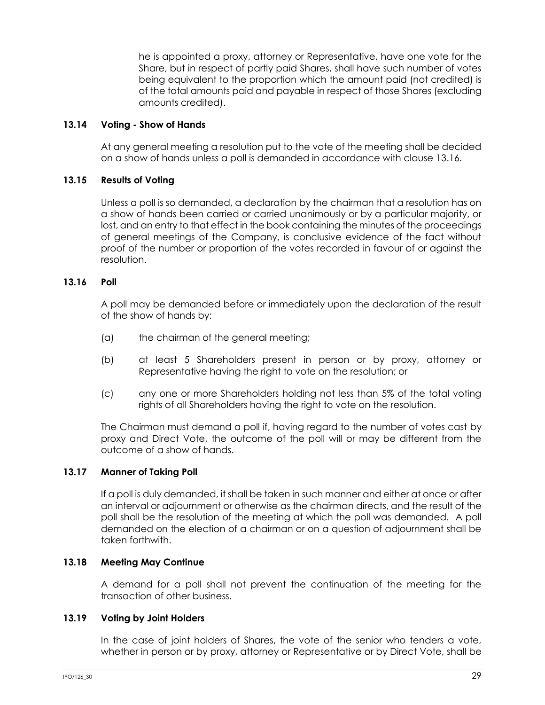he is appointed a proxy, attorney or Representative, have one vote for the Share, but in respect of partly paid Shares, shall have such number of votes being equivalent to the proportion which the amount paid (not credited) is of the total amounts paid and payable in respect of those Shares (excluding amounts credited).

## **13.14 Voting - Show of Hands**

At any general meeting a resolution put to the vote of the meeting shall be decided on a show of hands unless a poll is demanded in accordance with clause [13.16.](#page-35-0)

## **13.15 Results of Voting**

Unless a poll is so demanded, a declaration by the chairman that a resolution has on a show of hands been carried or carried unanimously or by a particular majority, or lost, and an entry to that effect in the book containing the minutes of the proceedings of general meetings of the Company, is conclusive evidence of the fact without proof of the number or proportion of the votes recorded in favour of or against the resolution.

## <span id="page-35-0"></span>**13.16 Poll**

A poll may be demanded before or immediately upon the declaration of the result of the show of hands by:

- (a) the chairman of the general meeting;
- (b) at least 5 Shareholders present in person or by proxy, attorney or Representative having the right to vote on the resolution; or
- (c) any one or more Shareholders holding not less than 5% of the total voting rights of all Shareholders having the right to vote on the resolution.

The Chairman must demand a poll if, having regard to the number of votes cast by proxy and Direct Vote, the outcome of the poll will or may be different from the outcome of a show of hands.

## **13.17 Manner of Taking Poll**

If a poll is duly demanded, it shall be taken in such manner and either at once or after an interval or adjournment or otherwise as the chairman directs, and the result of the poll shall be the resolution of the meeting at which the poll was demanded. A poll demanded on the election of a chairman or on a question of adjournment shall be taken forthwith.

## **13.18 Meeting May Continue**

A demand for a poll shall not prevent the continuation of the meeting for the transaction of other business.

#### **13.19 Voting by Joint Holders**

In the case of joint holders of Shares, the vote of the senior who tenders a vote, whether in person or by proxy, attorney or Representative or by Direct Vote, shall be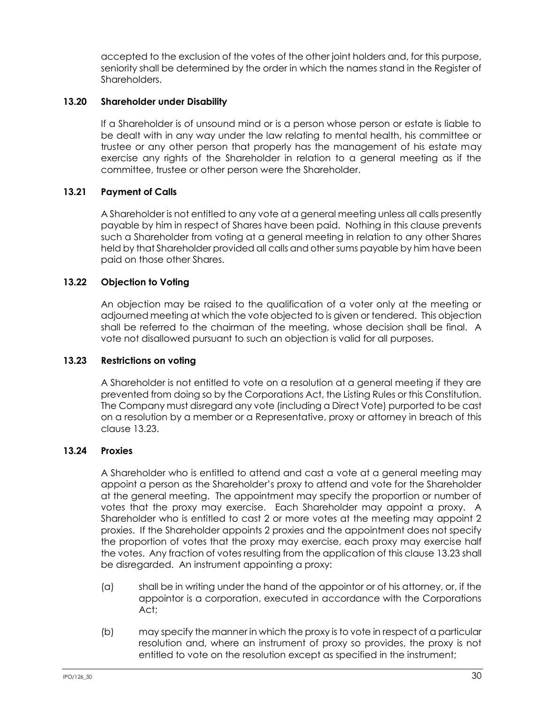accepted to the exclusion of the votes of the other joint holders and, for this purpose, seniority shall be determined by the order in which the names stand in the Register of Shareholders.

## **13.20 Shareholder under Disability**

If a Shareholder is of unsound mind or is a person whose person or estate is liable to be dealt with in any way under the law relating to mental health, his committee or trustee or any other person that properly has the management of his estate may exercise any rights of the Shareholder in relation to a general meeting as if the committee, trustee or other person were the Shareholder.

## **13.21 Payment of Calls**

A Shareholder is not entitled to any vote at a general meeting unless all calls presently payable by him in respect of Shares have been paid. Nothing in this clause prevents such a Shareholder from voting at a general meeting in relation to any other Shares held by that Shareholder provided all calls and other sums payable by him have been paid on those other Shares.

## **13.22 Objection to Voting**

An objection may be raised to the qualification of a voter only at the meeting or adjourned meeting at which the vote objected to is given or tendered. This objection shall be referred to the chairman of the meeting, whose decision shall be final. A vote not disallowed pursuant to such an objection is valid for all purposes.

### <span id="page-36-0"></span>**13.23 Restrictions on voting**

A Shareholder is not entitled to vote on a resolution at a general meeting if they are prevented from doing so by the Corporations Act, the Listing Rules or this Constitution. The Company must disregard any vote (including a Direct Vote) purported to be cast on a resolution by a member or a Representative, proxy or attorney in breach of this clause [13.23.](#page-36-0)

### <span id="page-36-1"></span>**13.24 Proxies**

A Shareholder who is entitled to attend and cast a vote at a general meeting may appoint a person as the Shareholder's proxy to attend and vote for the Shareholder at the general meeting. The appointment may specify the proportion or number of votes that the proxy may exercise. Each Shareholder may appoint a proxy. A Shareholder who is entitled to cast 2 or more votes at the meeting may appoint 2 proxies. If the Shareholder appoints 2 proxies and the appointment does not specify the proportion of votes that the proxy may exercise, each proxy may exercise half the votes. Any fraction of votes resulting from the application of this claus[e 13.23](#page-36-0) shall be disregarded. An instrument appointing a proxy:

- (a) shall be in writing under the hand of the appointor or of his attorney, or, if the appointor is a corporation, executed in accordance with the Corporations Act;
- (b) may specify the manner in which the proxy is to vote in respect of a particular resolution and, where an instrument of proxy so provides, the proxy is not entitled to vote on the resolution except as specified in the instrument;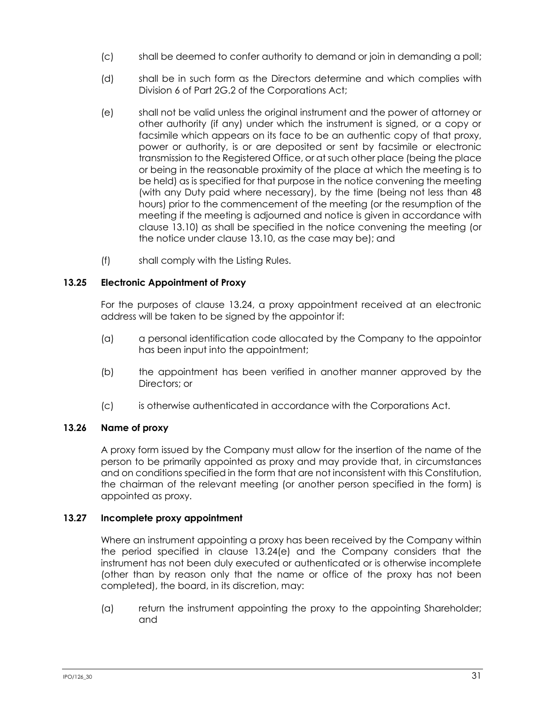- (c) shall be deemed to confer authority to demand or join in demanding a poll;
- (d) shall be in such form as the Directors determine and which complies with Division 6 of Part 2G.2 of the Corporations Act;
- <span id="page-37-0"></span>(e) shall not be valid unless the original instrument and the power of attorney or other authority (if any) under which the instrument is signed, or a copy or facsimile which appears on its face to be an authentic copy of that proxy, power or authority, is or are deposited or sent by facsimile or electronic transmission to the Registered Office, or at such other place (being the place or being in the reasonable proximity of the place at which the meeting is to be held) as is specified for that purpose in the notice convening the meeting (with any Duty paid where necessary), by the time (being not less than 48 hours) prior to the commencement of the meeting (or the resumption of the meeting if the meeting is adjourned and notice is given in accordance with clause [13.10\)](#page-34-0) as shall be specified in the notice convening the meeting (or the notice under clause [13.10,](#page-34-0) as the case may be); and
- (f) shall comply with the Listing Rules.

# **13.25 Electronic Appointment of Proxy**

For the purposes of clause [13.24,](#page-36-1) a proxy appointment received at an electronic address will be taken to be signed by the appointor if:

- (a) a personal identification code allocated by the Company to the appointor has been input into the appointment;
- (b) the appointment has been verified in another manner approved by the Directors; or
- (c) is otherwise authenticated in accordance with the Corporations Act.

## **13.26 Name of proxy**

A proxy form issued by the Company must allow for the insertion of the name of the person to be primarily appointed as proxy and may provide that, in circumstances and on conditions specified in the form that are not inconsistent with this Constitution, the chairman of the relevant meeting (or another person specified in the form) is appointed as proxy.

## **13.27 Incomplete proxy appointment**

Where an instrument appointing a proxy has been received by the Company within the period specified in clause [13.24\(e\)](#page-37-0) and the Company considers that the instrument has not been duly executed or authenticated or is otherwise incomplete (other than by reason only that the name or office of the proxy has not been completed), the board, in its discretion, may:

(a) return the instrument appointing the proxy to the appointing Shareholder; and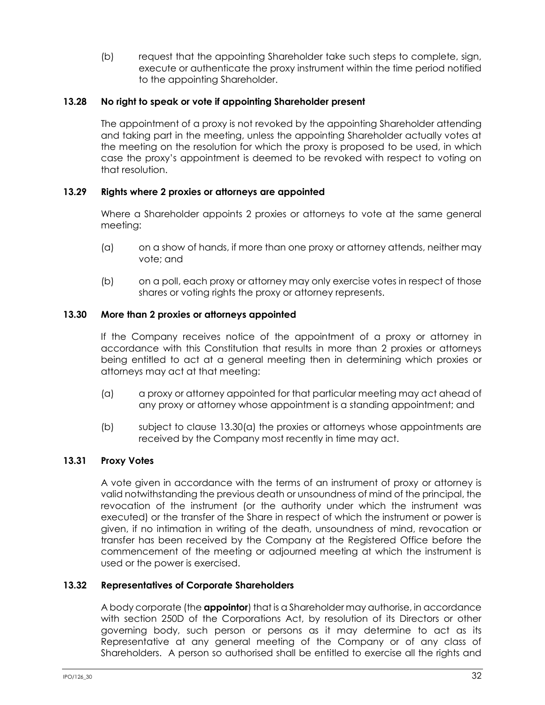(b) request that the appointing Shareholder take such steps to complete, sign, execute or authenticate the proxy instrument within the time period notified to the appointing Shareholder.

## **13.28 No right to speak or vote if appointing Shareholder present**

The appointment of a proxy is not revoked by the appointing Shareholder attending and taking part in the meeting, unless the appointing Shareholder actually votes at the meeting on the resolution for which the proxy is proposed to be used, in which case the proxy's appointment is deemed to be revoked with respect to voting on that resolution.

## **13.29 Rights where 2 proxies or attorneys are appointed**

Where a Shareholder appoints 2 proxies or attorneys to vote at the same general meeting:

- (a) on a show of hands, if more than one proxy or attorney attends, neither may vote; and
- (b) on a poll, each proxy or attorney may only exercise votes in respect of those shares or voting rights the proxy or attorney represents.

### **13.30 More than 2 proxies or attorneys appointed**

If the Company receives notice of the appointment of a proxy or attorney in accordance with this Constitution that results in more than 2 proxies or attorneys being entitled to act at a general meeting then in determining which proxies or attorneys may act at that meeting:

- <span id="page-38-0"></span>(a) a proxy or attorney appointed for that particular meeting may act ahead of any proxy or attorney whose appointment is a standing appointment; and
- (b) subject to clause [13.30\(a\)](#page-38-0) the proxies or attorneys whose appointments are received by the Company most recently in time may act.

## **13.31 Proxy Votes**

A vote given in accordance with the terms of an instrument of proxy or attorney is valid notwithstanding the previous death or unsoundness of mind of the principal, the revocation of the instrument (or the authority under which the instrument was executed) or the transfer of the Share in respect of which the instrument or power is given, if no intimation in writing of the death, unsoundness of mind, revocation or transfer has been received by the Company at the Registered Office before the commencement of the meeting or adjourned meeting at which the instrument is used or the power is exercised.

## <span id="page-38-1"></span>**13.32 Representatives of Corporate Shareholders**

A body corporate (the **appointor**) that is a Shareholder may authorise, in accordance with section 250D of the Corporations Act, by resolution of its Directors or other governing body, such person or persons as it may determine to act as its Representative at any general meeting of the Company or of any class of Shareholders. A person so authorised shall be entitled to exercise all the rights and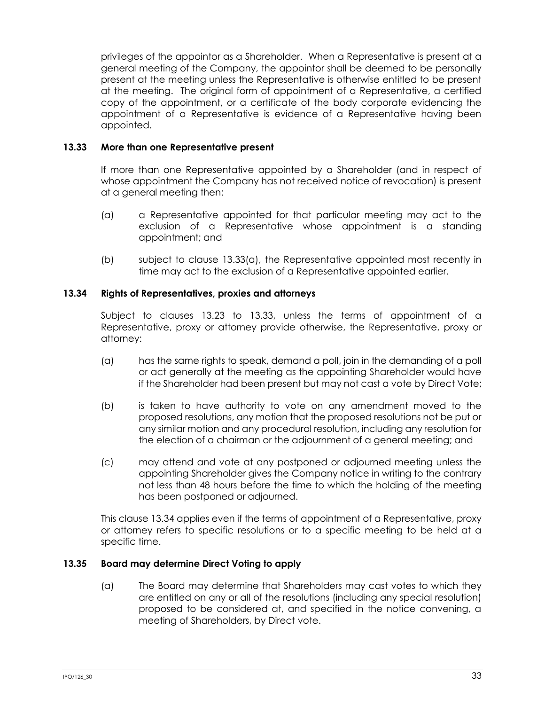privileges of the appointor as a Shareholder. When a Representative is present at a general meeting of the Company, the appointor shall be deemed to be personally present at the meeting unless the Representative is otherwise entitled to be present at the meeting. The original form of appointment of a Representative, a certified copy of the appointment, or a certificate of the body corporate evidencing the appointment of a Representative is evidence of a Representative having been appointed.

### <span id="page-39-1"></span>**13.33 More than one Representative present**

If more than one Representative appointed by a Shareholder (and in respect of whose appointment the Company has not received notice of revocation) is present at a general meeting then:

- <span id="page-39-0"></span>(a) a Representative appointed for that particular meeting may act to the exclusion of a Representative whose appointment is a standing appointment; and
- (b) subject to clause [13.33\(a\),](#page-39-0) the Representative appointed most recently in time may act to the exclusion of a Representative appointed earlier.

## <span id="page-39-2"></span>**13.34 Rights of Representatives, proxies and attorneys**

Subject to clauses [13.23](#page-36-0) to [13.33,](#page-39-1) unless the terms of appointment of a Representative, proxy or attorney provide otherwise, the Representative, proxy or attorney:

- (a) has the same rights to speak, demand a poll, join in the demanding of a poll or act generally at the meeting as the appointing Shareholder would have if the Shareholder had been present but may not cast a vote by Direct Vote;
- (b) is taken to have authority to vote on any amendment moved to the proposed resolutions, any motion that the proposed resolutions not be put or any similar motion and any procedural resolution, including any resolution for the election of a chairman or the adjournment of a general meeting; and
- (c) may attend and vote at any postponed or adjourned meeting unless the appointing Shareholder gives the Company notice in writing to the contrary not less than 48 hours before the time to which the holding of the meeting has been postponed or adjourned.

This clause [13.34](#page-39-2) applies even if the terms of appointment of a Representative, proxy or attorney refers to specific resolutions or to a specific meeting to be held at a specific time.

### <span id="page-39-3"></span>**13.35 Board may determine Direct Voting to apply**

(a) The Board may determine that Shareholders may cast votes to which they are entitled on any or all of the resolutions (including any special resolution) proposed to be considered at, and specified in the notice convening, a meeting of Shareholders, by Direct vote.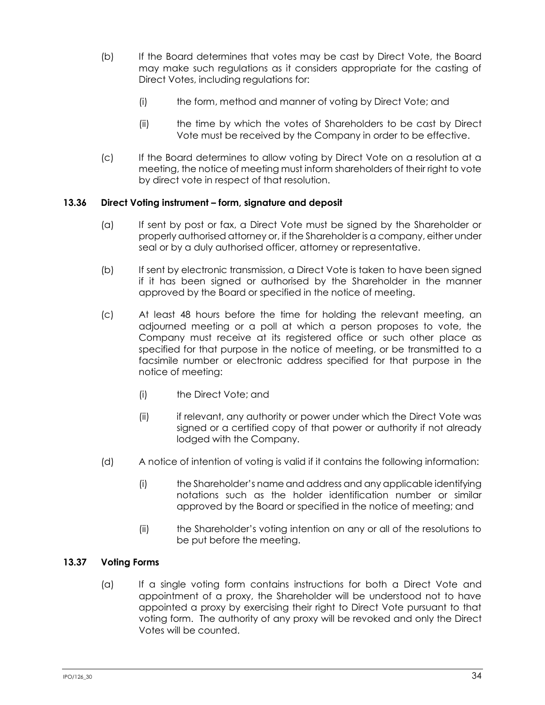- (b) If the Board determines that votes may be cast by Direct Vote, the Board may make such regulations as it considers appropriate for the casting of Direct Votes, including regulations for:
	- (i) the form, method and manner of voting by Direct Vote; and
	- (ii) the time by which the votes of Shareholders to be cast by Direct Vote must be received by the Company in order to be effective.
- (c) If the Board determines to allow voting by Direct Vote on a resolution at a meeting, the notice of meeting must inform shareholders of their right to vote by direct vote in respect of that resolution.

## **13.36 Direct Voting instrument – form, signature and deposit**

- (a) If sent by post or fax, a Direct Vote must be signed by the Shareholder or properly authorised attorney or, if the Shareholder is a company, either under seal or by a duly authorised officer, attorney or representative.
- (b) If sent by electronic transmission, a Direct Vote is taken to have been signed if it has been signed or authorised by the Shareholder in the manner approved by the Board or specified in the notice of meeting.
- (c) At least 48 hours before the time for holding the relevant meeting, an adjourned meeting or a poll at which a person proposes to vote, the Company must receive at its registered office or such other place as specified for that purpose in the notice of meeting, or be transmitted to a facsimile number or electronic address specified for that purpose in the notice of meeting:
	- (i) the Direct Vote; and
	- (ii) if relevant, any authority or power under which the Direct Vote was signed or a certified copy of that power or authority if not already lodged with the Company.
- (d) A notice of intention of voting is valid if it contains the following information:
	- (i) the Shareholder's name and address and any applicable identifying notations such as the holder identification number or similar approved by the Board or specified in the notice of meeting; and
	- (ii) the Shareholder's voting intention on any or all of the resolutions to be put before the meeting.

## **13.37 Voting Forms**

(a) If a single voting form contains instructions for both a Direct Vote and appointment of a proxy, the Shareholder will be understood not to have appointed a proxy by exercising their right to Direct Vote pursuant to that voting form. The authority of any proxy will be revoked and only the Direct Votes will be counted.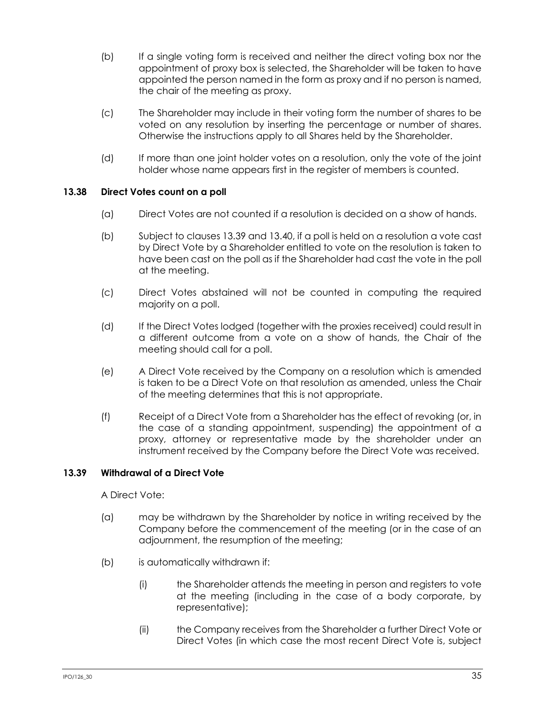- (b) If a single voting form is received and neither the direct voting box nor the appointment of proxy box is selected, the Shareholder will be taken to have appointed the person named in the form as proxy and if no person is named, the chair of the meeting as proxy.
- (c) The Shareholder may include in their voting form the number of shares to be voted on any resolution by inserting the percentage or number of shares. Otherwise the instructions apply to all Shares held by the Shareholder.
- (d) If more than one joint holder votes on a resolution, only the vote of the joint holder whose name appears first in the register of members is counted.

# **13.38 Direct Votes count on a poll**

- (a) Direct Votes are not counted if a resolution is decided on a show of hands.
- (b) Subject to clauses [13.39](#page-41-0) and [13.40,](#page-42-0) if a poll is held on a resolution a vote cast by Direct Vote by a Shareholder entitled to vote on the resolution is taken to have been cast on the poll as if the Shareholder had cast the vote in the poll at the meeting.
- (c) Direct Votes abstained will not be counted in computing the required majority on a poll.
- (d) If the Direct Votes lodged (together with the proxies received) could result in a different outcome from a vote on a show of hands, the Chair of the meeting should call for a poll.
- (e) A Direct Vote received by the Company on a resolution which is amended is taken to be a Direct Vote on that resolution as amended, unless the Chair of the meeting determines that this is not appropriate.
- (f) Receipt of a Direct Vote from a Shareholder has the effect of revoking (or, in the case of a standing appointment, suspending) the appointment of a proxy, attorney or representative made by the shareholder under an instrument received by the Company before the Direct Vote was received.

## <span id="page-41-0"></span>**13.39 Withdrawal of a Direct Vote**

A Direct Vote:

- (a) may be withdrawn by the Shareholder by notice in writing received by the Company before the commencement of the meeting (or in the case of an adjournment, the resumption of the meeting;
- (b) is automatically withdrawn if:
	- (i) the Shareholder attends the meeting in person and registers to vote at the meeting (including in the case of a body corporate, by representative);
	- (ii) the Company receives from the Shareholder a further Direct Vote or Direct Votes (in which case the most recent Direct Vote is, subject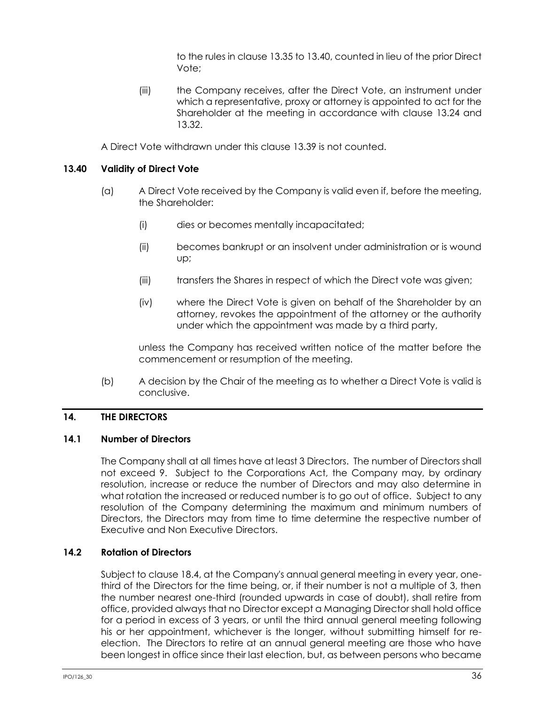to the rules in clause [13.35](#page-39-3) t[o 13.40,](#page-42-0) counted in lieu of the prior Direct Vote;

(iii) the Company receives, after the Direct Vote, an instrument under which a representative, proxy or attorney is appointed to act for the Shareholder at the meeting in accordance with clause [13.24](#page-36-1) and [13.32.](#page-38-1)

A Direct Vote withdrawn under this clause [13.39](#page-41-0) is not counted.

# <span id="page-42-0"></span>**13.40 Validity of Direct Vote**

- (a) A Direct Vote received by the Company is valid even if, before the meeting, the Shareholder:
	- (i) dies or becomes mentally incapacitated;
	- (ii) becomes bankrupt or an insolvent under administration or is wound up;
	- (iii) transfers the Shares in respect of which the Direct vote was given;
	- (iv) where the Direct Vote is given on behalf of the Shareholder by an attorney, revokes the appointment of the attorney or the authority under which the appointment was made by a third party,

unless the Company has received written notice of the matter before the commencement or resumption of the meeting.

(b) A decision by the Chair of the meeting as to whether a Direct Vote is valid is conclusive.

## **14. THE DIRECTORS**

## <span id="page-42-1"></span>**14.1 Number of Directors**

The Company shall at all times have at least 3 Directors. The number of Directors shall not exceed 9. Subject to the Corporations Act, the Company may, by ordinary resolution, increase or reduce the number of Directors and may also determine in what rotation the increased or reduced number is to go out of office. Subject to any resolution of the Company determining the maximum and minimum numbers of Directors, the Directors may from time to time determine the respective number of Executive and Non Executive Directors.

## <span id="page-42-2"></span>**14.2 Rotation of Directors**

Subject to clause [18.4,](#page-52-0) at the Company's annual general meeting in every year, onethird of the Directors for the time being, or, if their number is not a multiple of 3, then the number nearest one-third (rounded upwards in case of doubt), shall retire from office, provided always that no Director except a Managing Director shall hold office for a period in excess of 3 years, or until the third annual general meeting following his or her appointment, whichever is the longer, without submitting himself for reelection. The Directors to retire at an annual general meeting are those who have been longest in office since their last election, but, as between persons who became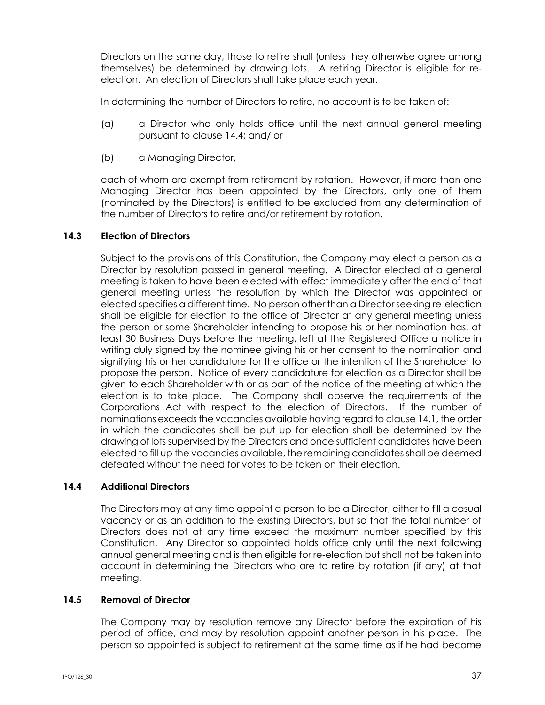Directors on the same day, those to retire shall (unless they otherwise agree among themselves) be determined by drawing lots. A retiring Director is eligible for reelection. An election of Directors shall take place each year.

In determining the number of Directors to retire, no account is to be taken of:

- (a) a Director who only holds office until the next annual general meeting pursuant to claus[e 14.4;](#page-43-0) and/ or
- (b) a Managing Director,

each of whom are exempt from retirement by rotation. However, if more than one Managing Director has been appointed by the Directors, only one of them (nominated by the Directors) is entitled to be excluded from any determination of the number of Directors to retire and/or retirement by rotation.

# **14.3 Election of Directors**

Subject to the provisions of this Constitution, the Company may elect a person as a Director by resolution passed in general meeting. A Director elected at a general meeting is taken to have been elected with effect immediately after the end of that general meeting unless the resolution by which the Director was appointed or elected specifies a different time. No person other than a Director seeking re-election shall be eligible for election to the office of Director at any general meeting unless the person or some Shareholder intending to propose his or her nomination has, at least 30 Business Days before the meeting, left at the Registered Office a notice in writing duly signed by the nominee giving his or her consent to the nomination and signifying his or her candidature for the office or the intention of the Shareholder to propose the person. Notice of every candidature for election as a Director shall be given to each Shareholder with or as part of the notice of the meeting at which the election is to take place. The Company shall observe the requirements of the Corporations Act with respect to the election of Directors. If the number of nominations exceeds the vacancies available having regard to claus[e 14.1,](#page-42-1) the order in which the candidates shall be put up for election shall be determined by the drawing of lots supervised by the Directors and once sufficient candidates have been elected to fill up the vacancies available, the remaining candidates shall be deemed defeated without the need for votes to be taken on their election.

# <span id="page-43-0"></span>**14.4 Additional Directors**

The Directors may at any time appoint a person to be a Director, either to fill a casual vacancy or as an addition to the existing Directors, but so that the total number of Directors does not at any time exceed the maximum number specified by this Constitution. Any Director so appointed holds office only until the next following annual general meeting and is then eligible for re-election but shall not be taken into account in determining the Directors who are to retire by rotation (if any) at that meeting.

# <span id="page-43-1"></span>**14.5 Removal of Director**

The Company may by resolution remove any Director before the expiration of his period of office, and may by resolution appoint another person in his place. The person so appointed is subject to retirement at the same time as if he had become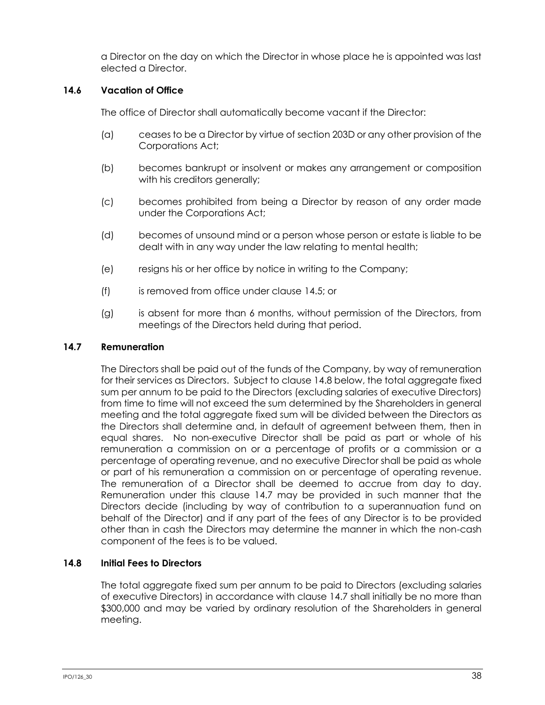a Director on the day on which the Director in whose place he is appointed was last elected a Director.

# **14.6 Vacation of Office**

The office of Director shall automatically become vacant if the Director:

- (a) ceases to be a Director by virtue of section 203D or any other provision of the Corporations Act;
- (b) becomes bankrupt or insolvent or makes any arrangement or composition with his creditors generally;
- (c) becomes prohibited from being a Director by reason of any order made under the Corporations Act;
- (d) becomes of unsound mind or a person whose person or estate is liable to be dealt with in any way under the law relating to mental health;
- (e) resigns his or her office by notice in writing to the Company;
- (f) is removed from office under clause [14.5;](#page-43-1) or
- (g) is absent for more than 6 months, without permission of the Directors, from meetings of the Directors held during that period.

## <span id="page-44-1"></span>**14.7 Remuneration**

The Directors shall be paid out of the funds of the Company, by way of remuneration for their services as Directors. Subject to claus[e 14.8](#page-44-0) below, the total aggregate fixed sum per annum to be paid to the Directors (excluding salaries of executive Directors) from time to time will not exceed the sum determined by the Shareholders in general meeting and the total aggregate fixed sum will be divided between the Directors as the Directors shall determine and, in default of agreement between them, then in equal shares. No non-executive Director shall be paid as part or whole of his remuneration a commission on or a percentage of profits or a commission or a percentage of operating revenue, and no executive Director shall be paid as whole or part of his remuneration a commission on or percentage of operating revenue. The remuneration of a Director shall be deemed to accrue from day to day. Remuneration under this clause [14.7](#page-44-1) may be provided in such manner that the Directors decide (including by way of contribution to a superannuation fund on behalf of the Director) and if any part of the fees of any Director is to be provided other than in cash the Directors may determine the manner in which the non-cash component of the fees is to be valued.

## <span id="page-44-0"></span>**14.8 Initial Fees to Directors**

The total aggregate fixed sum per annum to be paid to Directors (excluding salaries of executive Directors) in accordance with clause [14.7](#page-44-1) shall initially be no more than \$300,000 and may be varied by ordinary resolution of the Shareholders in general meeting.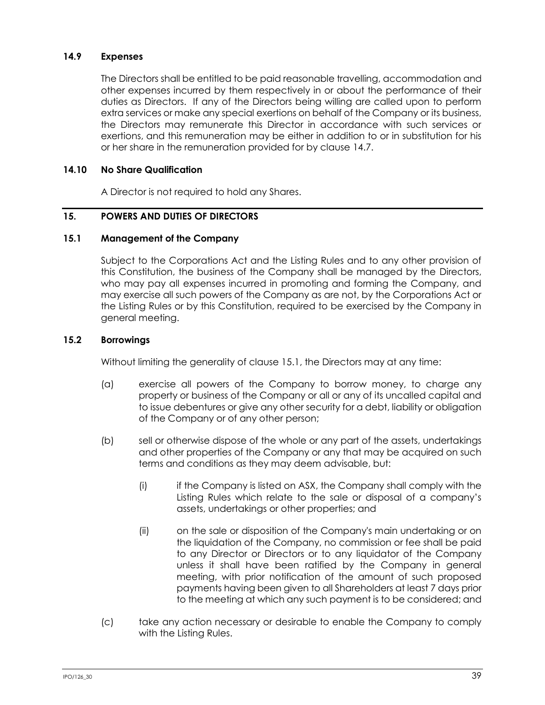## **14.9 Expenses**

The Directors shall be entitled to be paid reasonable travelling, accommodation and other expenses incurred by them respectively in or about the performance of their duties as Directors. If any of the Directors being willing are called upon to perform extra services or make any special exertions on behalf of the Company or its business, the Directors may remunerate this Director in accordance with such services or exertions, and this remuneration may be either in addition to or in substitution for his or her share in the remuneration provided for by clause [14.7.](#page-44-1)

### **14.10 No Share Qualification**

A Director is not required to hold any Shares.

### **15. POWERS AND DUTIES OF DIRECTORS**

### <span id="page-45-0"></span>**15.1 Management of the Company**

Subject to the Corporations Act and the Listing Rules and to any other provision of this Constitution, the business of the Company shall be managed by the Directors, who may pay all expenses incurred in promoting and forming the Company, and may exercise all such powers of the Company as are not, by the Corporations Act or the Listing Rules or by this Constitution, required to be exercised by the Company in general meeting.

### **15.2 Borrowings**

Without limiting the generality of clause [15.1,](#page-45-0) the Directors may at any time:

- (a) exercise all powers of the Company to borrow money, to charge any property or business of the Company or all or any of its uncalled capital and to issue debentures or give any other security for a debt, liability or obligation of the Company or of any other person;
- (b) sell or otherwise dispose of the whole or any part of the assets, undertakings and other properties of the Company or any that may be acquired on such terms and conditions as they may deem advisable, but:
	- (i) if the Company is listed on ASX, the Company shall comply with the Listing Rules which relate to the sale or disposal of a company's assets, undertakings or other properties; and
	- (ii) on the sale or disposition of the Company's main undertaking or on the liquidation of the Company, no commission or fee shall be paid to any Director or Directors or to any liquidator of the Company unless it shall have been ratified by the Company in general meeting, with prior notification of the amount of such proposed payments having been given to all Shareholders at least 7 days prior to the meeting at which any such payment is to be considered; and
- (c) take any action necessary or desirable to enable the Company to comply with the Listing Rules.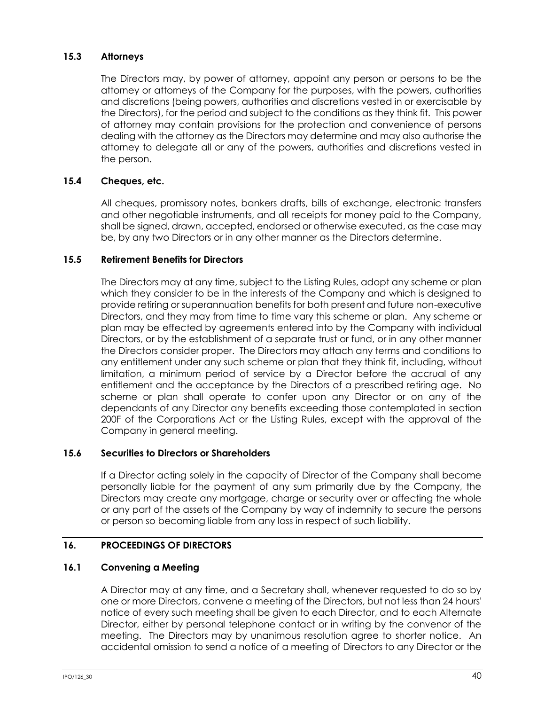# **15.3 Attorneys**

The Directors may, by power of attorney, appoint any person or persons to be the attorney or attorneys of the Company for the purposes, with the powers, authorities and discretions (being powers, authorities and discretions vested in or exercisable by the Directors), for the period and subject to the conditions as they think fit. This power of attorney may contain provisions for the protection and convenience of persons dealing with the attorney as the Directors may determine and may also authorise the attorney to delegate all or any of the powers, authorities and discretions vested in the person.

# **15.4 Cheques, etc.**

All cheques, promissory notes, bankers drafts, bills of exchange, electronic transfers and other negotiable instruments, and all receipts for money paid to the Company, shall be signed, drawn, accepted, endorsed or otherwise executed, as the case may be, by any two Directors or in any other manner as the Directors determine.

## **15.5 Retirement Benefits for Directors**

The Directors may at any time, subject to the Listing Rules, adopt any scheme or plan which they consider to be in the interests of the Company and which is designed to provide retiring or superannuation benefits for both present and future non-executive Directors, and they may from time to time vary this scheme or plan. Any scheme or plan may be effected by agreements entered into by the Company with individual Directors, or by the establishment of a separate trust or fund, or in any other manner the Directors consider proper. The Directors may attach any terms and conditions to any entitlement under any such scheme or plan that they think fit, including, without limitation, a minimum period of service by a Director before the accrual of any entitlement and the acceptance by the Directors of a prescribed retiring age. No scheme or plan shall operate to confer upon any Director or on any of the dependants of any Director any benefits exceeding those contemplated in section 200F of the Corporations Act or the Listing Rules, except with the approval of the Company in general meeting.

## **15.6 Securities to Directors or Shareholders**

If a Director acting solely in the capacity of Director of the Company shall become personally liable for the payment of any sum primarily due by the Company, the Directors may create any mortgage, charge or security over or affecting the whole or any part of the assets of the Company by way of indemnity to secure the persons or person so becoming liable from any loss in respect of such liability.

# <span id="page-46-0"></span>**16. PROCEEDINGS OF DIRECTORS**

## **16.1 Convening a Meeting**

A Director may at any time, and a Secretary shall, whenever requested to do so by one or more Directors, convene a meeting of the Directors, but not less than 24 hours' notice of every such meeting shall be given to each Director, and to each Alternate Director, either by personal telephone contact or in writing by the convenor of the meeting. The Directors may by unanimous resolution agree to shorter notice. An accidental omission to send a notice of a meeting of Directors to any Director or the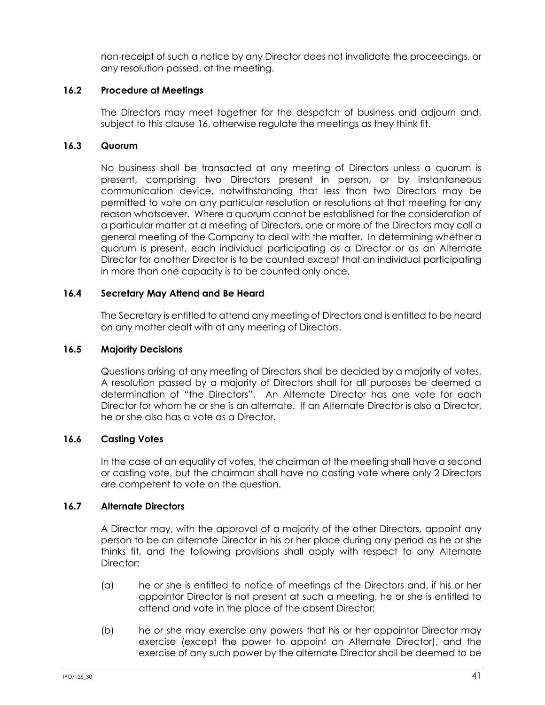non-receipt of such a notice by any Director does not invalidate the proceedings, or any resolution passed, at the meeting.

# **16.2 Procedure at Meetings**

The Directors may meet together for the despatch of business and adjourn and, subject to this clause [16,](#page-46-0) otherwise regulate the meetings as they think fit.

# **16.3 Quorum**

No business shall be transacted at any meeting of Directors unless a quorum is present, comprising two Directors present in person, or by instantaneous communication device, notwithstanding that less than two Directors may be permitted to vote on any particular resolution or resolutions at that meeting for any reason whatsoever. Where a quorum cannot be established for the consideration of a particular matter at a meeting of Directors, one or more of the Directors may call a general meeting of the Company to deal with the matter. In determining whether a quorum is present, each individual participating as a Director or as an Alternate Director for another Director is to be counted except that an individual participating in more than one capacity is to be counted only once.

# **16.4 Secretary May Attend and Be Heard**

The Secretary is entitled to attend any meeting of Directors and is entitled to be heard on any matter dealt with at any meeting of Directors.

## **16.5 Majority Decisions**

Questions arising at any meeting of Directors shall be decided by a majority of votes. A resolution passed by a majority of Directors shall for all purposes be deemed a determination of "the Directors". An Alternate Director has one vote for each Director for whom he or she is an alternate. If an Alternate Director is also a Director, he or she also has a vote as a Director.

## **16.6 Casting Votes**

In the case of an equality of votes, the chairman of the meeting shall have a second or casting vote, but the chairman shall have no casting vote where only 2 Directors are competent to vote on the question.

## **16.7 Alternate Directors**

A Director may, with the approval of a majority of the other Directors, appoint any person to be an alternate Director in his or her place during any period as he or she thinks fit, and the following provisions shall apply with respect to any Alternate Director:

- (a) he or she is entitled to notice of meetings of the Directors and, if his or her appointor Director is not present at such a meeting, he or she is entitled to attend and vote in the place of the absent Director;
- (b) he or she may exercise any powers that his or her appointor Director may exercise (except the power to appoint an Alternate Director), and the exercise of any such power by the alternate Director shall be deemed to be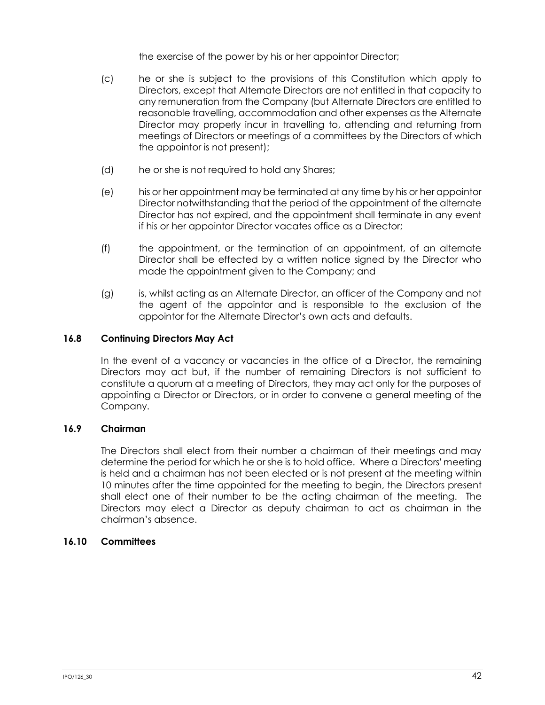the exercise of the power by his or her appointor Director;

- (c) he or she is subject to the provisions of this Constitution which apply to Directors, except that Alternate Directors are not entitled in that capacity to any remuneration from the Company (but Alternate Directors are entitled to reasonable travelling, accommodation and other expenses as the Alternate Director may properly incur in travelling to, attending and returning from meetings of Directors or meetings of a committees by the Directors of which the appointor is not present);
- (d) he or she is not required to hold any Shares;
- (e) his or her appointment may be terminated at any time by his or her appointor Director notwithstanding that the period of the appointment of the alternate Director has not expired, and the appointment shall terminate in any event if his or her appointor Director vacates office as a Director;
- (f) the appointment, or the termination of an appointment, of an alternate Director shall be effected by a written notice signed by the Director who made the appointment given to the Company; and
- (g) is, whilst acting as an Alternate Director, an officer of the Company and not the agent of the appointor and is responsible to the exclusion of the appointor for the Alternate Director's own acts and defaults.

### **16.8 Continuing Directors May Act**

In the event of a vacancy or vacancies in the office of a Director, the remaining Directors may act but, if the number of remaining Directors is not sufficient to constitute a quorum at a meeting of Directors, they may act only for the purposes of appointing a Director or Directors, or in order to convene a general meeting of the Company.

### **16.9 Chairman**

The Directors shall elect from their number a chairman of their meetings and may determine the period for which he or she is to hold office. Where a Directors' meeting is held and a chairman has not been elected or is not present at the meeting within 10 minutes after the time appointed for the meeting to begin, the Directors present shall elect one of their number to be the acting chairman of the meeting. The Directors may elect a Director as deputy chairman to act as chairman in the chairman's absence.

## <span id="page-48-0"></span>**16.10 Committees**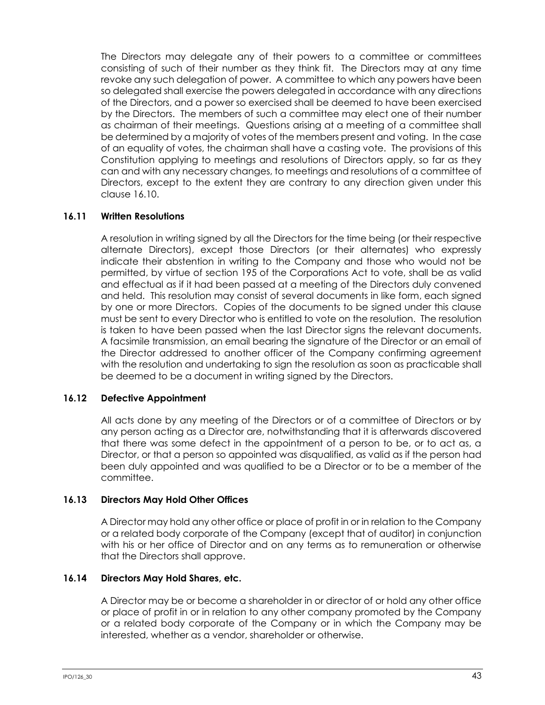The Directors may delegate any of their powers to a committee or committees consisting of such of their number as they think fit. The Directors may at any time revoke any such delegation of power. A committee to which any powers have been so delegated shall exercise the powers delegated in accordance with any directions of the Directors, and a power so exercised shall be deemed to have been exercised by the Directors. The members of such a committee may elect one of their number as chairman of their meetings. Questions arising at a meeting of a committee shall be determined by a majority of votes of the members present and voting. In the case of an equality of votes, the chairman shall have a casting vote. The provisions of this Constitution applying to meetings and resolutions of Directors apply, so far as they can and with any necessary changes, to meetings and resolutions of a committee of Directors, except to the extent they are contrary to any direction given under this clause [16.10.](#page-48-0)

## **16.11 Written Resolutions**

A resolution in writing signed by all the Directors for the time being (or their respective alternate Directors), except those Directors (or their alternates) who expressly indicate their abstention in writing to the Company and those who would not be permitted, by virtue of section 195 of the Corporations Act to vote, shall be as valid and effectual as if it had been passed at a meeting of the Directors duly convened and held. This resolution may consist of several documents in like form, each signed by one or more Directors. Copies of the documents to be signed under this clause must be sent to every Director who is entitled to vote on the resolution. The resolution is taken to have been passed when the last Director signs the relevant documents. A facsimile transmission, an email bearing the signature of the Director or an email of the Director addressed to another officer of the Company confirming agreement with the resolution and undertaking to sign the resolution as soon as practicable shall be deemed to be a document in writing signed by the Directors.

## **16.12 Defective Appointment**

All acts done by any meeting of the Directors or of a committee of Directors or by any person acting as a Director are, notwithstanding that it is afterwards discovered that there was some defect in the appointment of a person to be, or to act as, a Director, or that a person so appointed was disqualified, as valid as if the person had been duly appointed and was qualified to be a Director or to be a member of the committee.

## **16.13 Directors May Hold Other Offices**

A Director may hold any other office or place of profit in or in relation to the Company or a related body corporate of the Company (except that of auditor) in conjunction with his or her office of Director and on any terms as to remuneration or otherwise that the Directors shall approve.

## <span id="page-49-0"></span>**16.14 Directors May Hold Shares, etc.**

A Director may be or become a shareholder in or director of or hold any other office or place of profit in or in relation to any other company promoted by the Company or a related body corporate of the Company or in which the Company may be interested, whether as a vendor, shareholder or otherwise.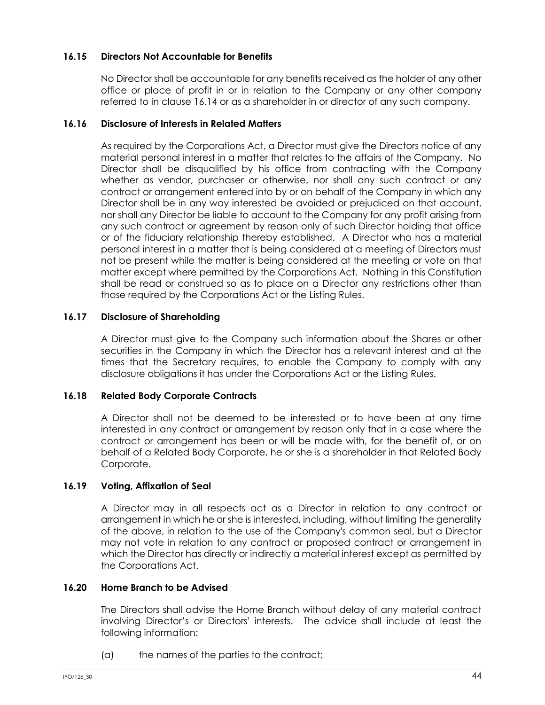# **16.15 Directors Not Accountable for Benefits**

No Director shall be accountable for any benefits received as the holder of any other office or place of profit in or in relation to the Company or any other company referred to in clause [16.14](#page-49-0) or as a shareholder in or director of any such company.

### **16.16 Disclosure of Interests in Related Matters**

As required by the Corporations Act, a Director must give the Directors notice of any material personal interest in a matter that relates to the affairs of the Company. No Director shall be disqualified by his office from contracting with the Company whether as vendor, purchaser or otherwise, nor shall any such contract or any contract or arrangement entered into by or on behalf of the Company in which any Director shall be in any way interested be avoided or prejudiced on that account, nor shall any Director be liable to account to the Company for any profit arising from any such contract or agreement by reason only of such Director holding that office or of the fiduciary relationship thereby established. A Director who has a material personal interest in a matter that is being considered at a meeting of Directors must not be present while the matter is being considered at the meeting or vote on that matter except where permitted by the Corporations Act. Nothing in this Constitution shall be read or construed so as to place on a Director any restrictions other than those required by the Corporations Act or the Listing Rules.

### **16.17 Disclosure of Shareholding**

A Director must give to the Company such information about the Shares or other securities in the Company in which the Director has a relevant interest and at the times that the Secretary requires, to enable the Company to comply with any disclosure obligations it has under the Corporations Act or the Listing Rules.

## **16.18 Related Body Corporate Contracts**

A Director shall not be deemed to be interested or to have been at any time interested in any contract or arrangement by reason only that in a case where the contract or arrangement has been or will be made with, for the benefit of, or on behalf of a Related Body Corporate, he or she is a shareholder in that Related Body Corporate.

## **16.19 Voting, Affixation of Seal**

A Director may in all respects act as a Director in relation to any contract or arrangement in which he or she is interested, including, without limiting the generality of the above, in relation to the use of the Company's common seal, but a Director may not vote in relation to any contract or proposed contract or arrangement in which the Director has directly or indirectly a material interest except as permitted by the Corporations Act.

# **16.20 Home Branch to be Advised**

The Directors shall advise the Home Branch without delay of any material contract involving Director's or Directors' interests. The advice shall include at least the following information:

(a) the names of the parties to the contract;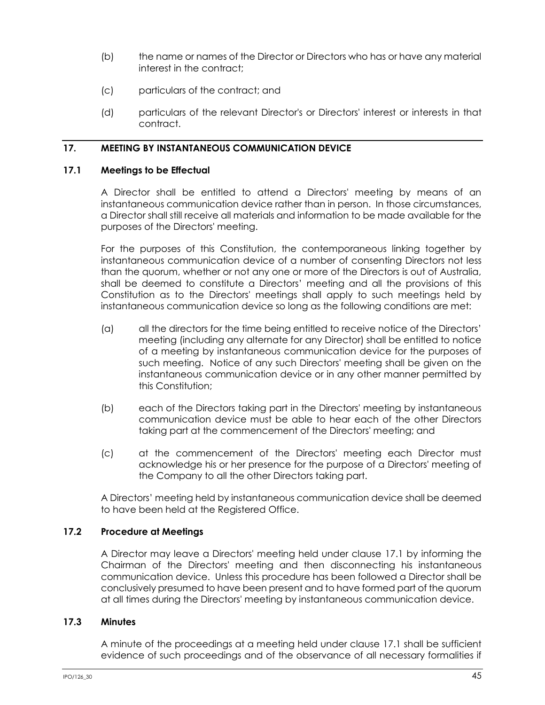- (b) the name or names of the Director or Directors who has or have any material interest in the contract;
- (c) particulars of the contract; and
- (d) particulars of the relevant Director's or Directors' interest or interests in that contract.

# **17. MEETING BY INSTANTANEOUS COMMUNICATION DEVICE**

## <span id="page-51-0"></span>**17.1 Meetings to be Effectual**

A Director shall be entitled to attend a Directors' meeting by means of an instantaneous communication device rather than in person. In those circumstances, a Director shall still receive all materials and information to be made available for the purposes of the Directors' meeting.

For the purposes of this Constitution, the contemporaneous linking together by instantaneous communication device of a number of consenting Directors not less than the quorum, whether or not any one or more of the Directors is out of Australia, shall be deemed to constitute a Directors' meeting and all the provisions of this Constitution as to the Directors' meetings shall apply to such meetings held by instantaneous communication device so long as the following conditions are met:

- (a) all the directors for the time being entitled to receive notice of the Directors' meeting (including any alternate for any Director) shall be entitled to notice of a meeting by instantaneous communication device for the purposes of such meeting. Notice of any such Directors' meeting shall be given on the instantaneous communication device or in any other manner permitted by this Constitution;
- (b) each of the Directors taking part in the Directors' meeting by instantaneous communication device must be able to hear each of the other Directors taking part at the commencement of the Directors' meeting; and
- (c) at the commencement of the Directors' meeting each Director must acknowledge his or her presence for the purpose of a Directors' meeting of the Company to all the other Directors taking part.

A Directors' meeting held by instantaneous communication device shall be deemed to have been held at the Registered Office.

## **17.2 Procedure at Meetings**

A Director may leave a Directors' meeting held under clause [17.1](#page-51-0) by informing the Chairman of the Directors' meeting and then disconnecting his instantaneous communication device. Unless this procedure has been followed a Director shall be conclusively presumed to have been present and to have formed part of the quorum at all times during the Directors' meeting by instantaneous communication device.

## **17.3 Minutes**

A minute of the proceedings at a meeting held under clause [17.1](#page-51-0) shall be sufficient evidence of such proceedings and of the observance of all necessary formalities if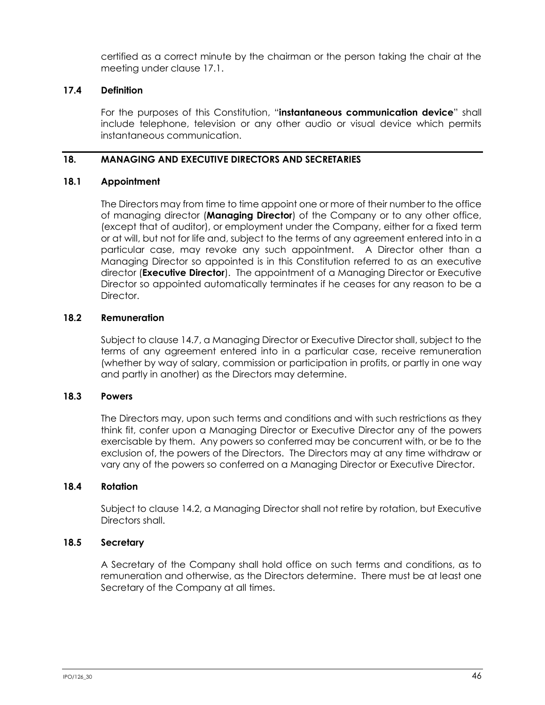certified as a correct minute by the chairman or the person taking the chair at the meeting under clause [17.1.](#page-51-0)

# **17.4 Definition**

For the purposes of this Constitution, "**instantaneous communication device**" shall include telephone, television or any other audio or visual device which permits instantaneous communication.

# **18. MANAGING AND EXECUTIVE DIRECTORS AND SECRETARIES**

## **18.1 Appointment**

The Directors may from time to time appoint one or more of their number to the office of managing director (**Managing Director**) of the Company or to any other office, (except that of auditor), or employment under the Company, either for a fixed term or at will, but not for life and, subject to the terms of any agreement entered into in a particular case, may revoke any such appointment. A Director other than a Managing Director so appointed is in this Constitution referred to as an executive director (**Executive Director**). The appointment of a Managing Director or Executive Director so appointed automatically terminates if he ceases for any reason to be a Director.

# **18.2 Remuneration**

Subject to clause [14.7,](#page-44-1) a Managing Director or Executive Director shall, subject to the terms of any agreement entered into in a particular case, receive remuneration (whether by way of salary, commission or participation in profits, or partly in one way and partly in another) as the Directors may determine.

# **18.3 Powers**

The Directors may, upon such terms and conditions and with such restrictions as they think fit, confer upon a Managing Director or Executive Director any of the powers exercisable by them. Any powers so conferred may be concurrent with, or be to the exclusion of, the powers of the Directors. The Directors may at any time withdraw or vary any of the powers so conferred on a Managing Director or Executive Director.

## <span id="page-52-0"></span>**18.4 Rotation**

Subject to claus[e 14.2,](#page-42-2) a Managing Director shall not retire by rotation, but Executive Directors shall.

## **18.5 Secretary**

A Secretary of the Company shall hold office on such terms and conditions, as to remuneration and otherwise, as the Directors determine. There must be at least one Secretary of the Company at all times.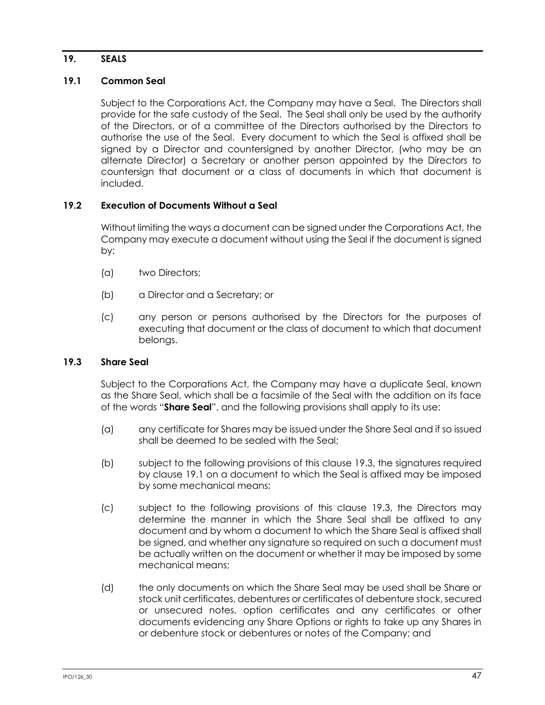# **19. SEALS**

## <span id="page-53-1"></span>**19.1 Common Seal**

Subject to the Corporations Act, the Company may have a Seal. The Directors shall provide for the safe custody of the Seal. The Seal shall only be used by the authority of the Directors, or of a committee of the Directors authorised by the Directors to authorise the use of the Seal. Every document to which the Seal is affixed shall be signed by a Director and countersigned by another Director, (who may be an alternate Director) a Secretary or another person appointed by the Directors to countersign that document or a class of documents in which that document is included.

### **19.2 Execution of Documents Without a Seal**

Without limiting the ways a document can be signed under the Corporations Act, the Company may execute a document without using the Seal if the document is signed by:

- (a) two Directors;
- (b) a Director and a Secretary; or
- (c) any person or persons authorised by the Directors for the purposes of executing that document or the class of document to which that document belongs.

# <span id="page-53-0"></span>**19.3 Share Seal**

Subject to the Corporations Act, the Company may have a duplicate Seal, known as the Share Seal, which shall be a facsimile of the Seal with the addition on its face of the words "**Share Seal**", and the following provisions shall apply to its use:

- (a) any certificate for Shares may be issued under the Share Seal and if so issued shall be deemed to be sealed with the Seal;
- (b) subject to the following provisions of this clause [19.3,](#page-53-0) the signatures required by clause [19.1](#page-53-1) on a document to which the Seal is affixed may be imposed by some mechanical means;
- (c) subject to the following provisions of this clause [19.3,](#page-53-0) the Directors may determine the manner in which the Share Seal shall be affixed to any document and by whom a document to which the Share Seal is affixed shall be signed, and whether any signature so required on such a document must be actually written on the document or whether it may be imposed by some mechanical means;
- <span id="page-53-2"></span>(d) the only documents on which the Share Seal may be used shall be Share or stock unit certificates, debentures or certificates of debenture stock, secured or unsecured notes, option certificates and any certificates or other documents evidencing any Share Options or rights to take up any Shares in or debenture stock or debentures or notes of the Company; and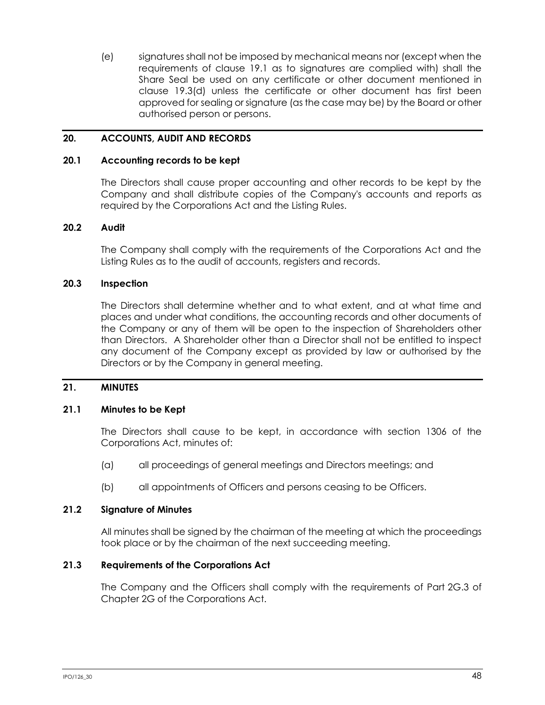(e) signatures shall not be imposed by mechanical means nor (except when the requirements of clause [19.1](#page-53-1) as to signatures are complied with) shall the Share Seal be used on any certificate or other document mentioned in clause [19.3\(d\)](#page-53-2) unless the certificate or other document has first been approved for sealing or signature (as the case may be) by the Board or other authorised person or persons.

## **20. ACCOUNTS, AUDIT AND RECORDS**

### **20.1 Accounting records to be kept**

The Directors shall cause proper accounting and other records to be kept by the Company and shall distribute copies of the Company's accounts and reports as required by the Corporations Act and the Listing Rules.

### **20.2 Audit**

The Company shall comply with the requirements of the Corporations Act and the Listing Rules as to the audit of accounts, registers and records.

#### **20.3 Inspection**

The Directors shall determine whether and to what extent, and at what time and places and under what conditions, the accounting records and other documents of the Company or any of them will be open to the inspection of Shareholders other than Directors. A Shareholder other than a Director shall not be entitled to inspect any document of the Company except as provided by law or authorised by the Directors or by the Company in general meeting.

### **21. MINUTES**

#### **21.1 Minutes to be Kept**

The Directors shall cause to be kept, in accordance with section 1306 of the Corporations Act, minutes of:

- (a) all proceedings of general meetings and Directors meetings; and
- (b) all appointments of Officers and persons ceasing to be Officers.

#### **21.2 Signature of Minutes**

All minutes shall be signed by the chairman of the meeting at which the proceedings took place or by the chairman of the next succeeding meeting.

### **21.3 Requirements of the Corporations Act**

The Company and the Officers shall comply with the requirements of Part 2G.3 of Chapter 2G of the Corporations Act.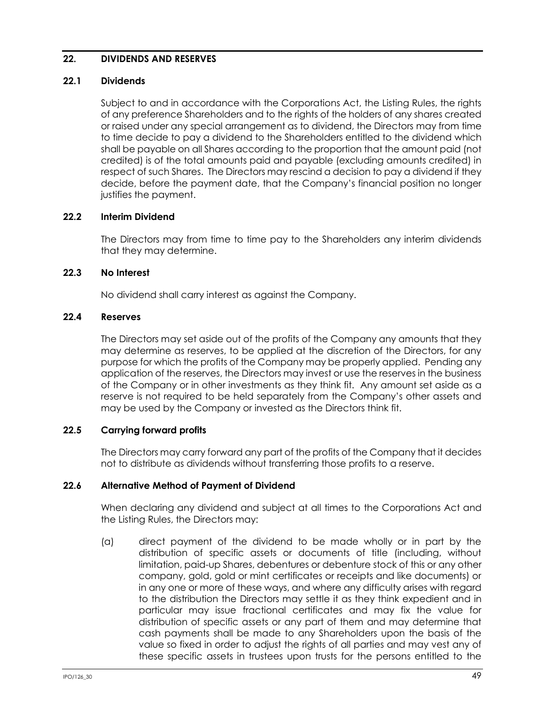# <span id="page-55-0"></span>**22. DIVIDENDS AND RESERVES**

### **22.1 Dividends**

Subject to and in accordance with the Corporations Act, the Listing Rules, the rights of any preference Shareholders and to the rights of the holders of any shares created or raised under any special arrangement as to dividend, the Directors may from time to time decide to pay a dividend to the Shareholders entitled to the dividend which shall be payable on all Shares according to the proportion that the amount paid (not credited) is of the total amounts paid and payable (excluding amounts credited) in respect of such Shares. The Directors may rescind a decision to pay a dividend if they decide, before the payment date, that the Company's financial position no longer justifies the payment.

## **22.2 Interim Dividend**

The Directors may from time to time pay to the Shareholders any interim dividends that they may determine.

### **22.3 No Interest**

No dividend shall carry interest as against the Company.

### **22.4 Reserves**

The Directors may set aside out of the profits of the Company any amounts that they may determine as reserves, to be applied at the discretion of the Directors, for any purpose for which the profits of the Company may be properly applied. Pending any application of the reserves, the Directors may invest or use the reserves in the business of the Company or in other investments as they think fit. Any amount set aside as a reserve is not required to be held separately from the Company's other assets and may be used by the Company or invested as the Directors think fit.

## **22.5 Carrying forward profits**

The Directors may carry forward any part of the profits of the Company that it decides not to distribute as dividends without transferring those profits to a reserve.

## **22.6 Alternative Method of Payment of Dividend**

When declaring any dividend and subject at all times to the Corporations Act and the Listing Rules, the Directors may:

(a) direct payment of the dividend to be made wholly or in part by the distribution of specific assets or documents of title (including, without limitation, paid-up Shares, debentures or debenture stock of this or any other company, gold, gold or mint certificates or receipts and like documents) or in any one or more of these ways, and where any difficulty arises with regard to the distribution the Directors may settle it as they think expedient and in particular may issue fractional certificates and may fix the value for distribution of specific assets or any part of them and may determine that cash payments shall be made to any Shareholders upon the basis of the value so fixed in order to adjust the rights of all parties and may vest any of these specific assets in trustees upon trusts for the persons entitled to the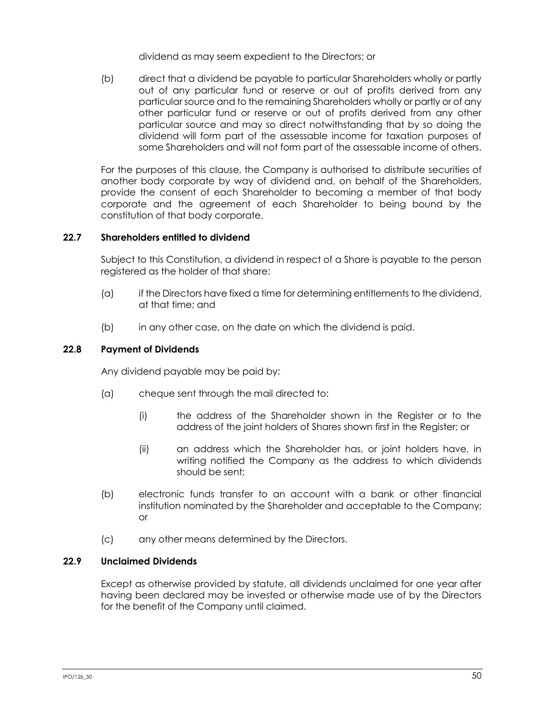dividend as may seem expedient to the Directors; or

(b) direct that a dividend be payable to particular Shareholders wholly or partly out of any particular fund or reserve or out of profits derived from any particular source and to the remaining Shareholders wholly or partly or of any other particular fund or reserve or out of profits derived from any other particular source and may so direct notwithstanding that by so doing the dividend will form part of the assessable income for taxation purposes of some Shareholders and will not form part of the assessable income of others.

For the purposes of this clause, the Company is authorised to distribute securities of another body corporate by way of dividend and, on behalf of the Shareholders, provide the consent of each Shareholder to becoming a member of that body corporate and the agreement of each Shareholder to being bound by the constitution of that body corporate.

## **22.7 Shareholders entitled to dividend**

Subject to this Constitution, a dividend in respect of a Share is payable to the person registered as the holder of that share:

- (a) if the Directors have fixed a time for determining entitlements to the dividend, at that time; and
- (b) in any other case, on the date on which the dividend is paid.

### **22.8 Payment of Dividends**

Any dividend payable may be paid by:

- (a) cheque sent through the mail directed to:
	- (i) the address of the Shareholder shown in the Register or to the address of the joint holders of Shares shown first in the Register; or
	- (ii) an address which the Shareholder has, or joint holders have, in writing notified the Company as the address to which dividends should be sent;
- (b) electronic funds transfer to an account with a bank or other financial institution nominated by the Shareholder and acceptable to the Company; or
- (c) any other means determined by the Directors.

# **22.9 Unclaimed Dividends**

Except as otherwise provided by statute, all dividends unclaimed for one year after having been declared may be invested or otherwise made use of by the Directors for the benefit of the Company until claimed.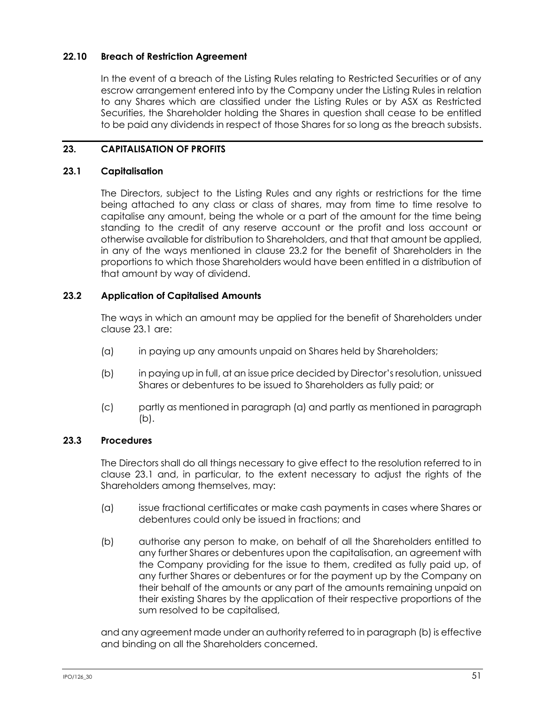# **22.10 Breach of Restriction Agreement**

In the event of a breach of the Listing Rules relating to Restricted Securities or of any escrow arrangement entered into by the Company under the Listing Rules in relation to any Shares which are classified under the Listing Rules or by ASX as Restricted Securities, the Shareholder holding the Shares in question shall cease to be entitled to be paid any dividends in respect of those Shares for so long as the breach subsists.

# **23. CAPITALISATION OF PROFITS**

## <span id="page-57-1"></span>**23.1 Capitalisation**

The Directors, subject to the Listing Rules and any rights or restrictions for the time being attached to any class or class of shares, may from time to time resolve to capitalise any amount, being the whole or a part of the amount for the time being standing to the credit of any reserve account or the profit and loss account or otherwise available for distribution to Shareholders, and that that amount be applied, in any of the ways mentioned in clause [23.2](#page-57-0) for the benefit of Shareholders in the proportions to which those Shareholders would have been entitled in a distribution of that amount by way of dividend.

# <span id="page-57-0"></span>**23.2 Application of Capitalised Amounts**

The ways in which an amount may be applied for the benefit of Shareholders under claus[e 23.1](#page-57-1) are:

- <span id="page-57-2"></span>(a) in paying up any amounts unpaid on Shares held by Shareholders;
- <span id="page-57-3"></span>(b) in paying up in full, at an issue price decided by Director's resolution, unissued Shares or debentures to be issued to Shareholders as fully paid; or
- (c) partly as mentioned in paragraph [\(a\)](#page-57-2) and partly as mentioned in paragraph [\(b\).](#page-57-3)

# **23.3 Procedures**

The Directors shall do all things necessary to give effect to the resolution referred to in clause [23.1](#page-57-1) and, in particular, to the extent necessary to adjust the rights of the Shareholders among themselves, may:

- (a) issue fractional certificates or make cash payments in cases where Shares or debentures could only be issued in fractions; and
- <span id="page-57-4"></span>(b) authorise any person to make, on behalf of all the Shareholders entitled to any further Shares or debentures upon the capitalisation, an agreement with the Company providing for the issue to them, credited as fully paid up, of any further Shares or debentures or for the payment up by the Company on their behalf of the amounts or any part of the amounts remaining unpaid on their existing Shares by the application of their respective proportions of the sum resolved to be capitalised,

and any agreement made under an authority referred to in paragraph [\(b\)](#page-57-4) is effective and binding on all the Shareholders concerned.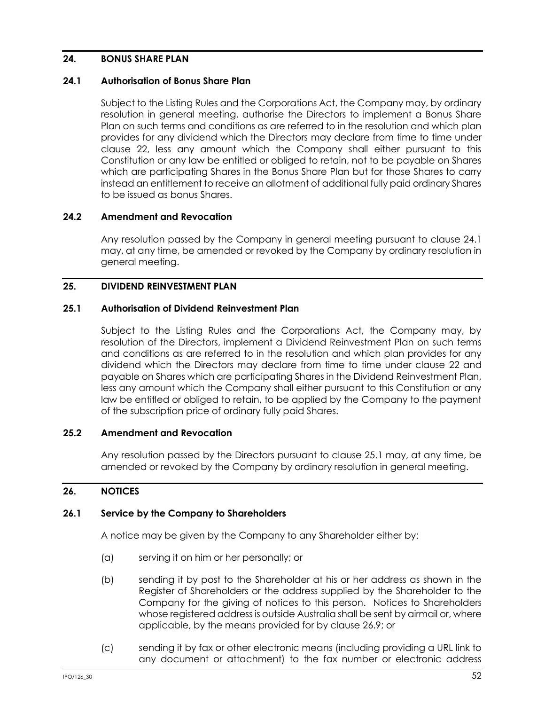# **24. BONUS SHARE PLAN**

### <span id="page-58-0"></span>**24.1 Authorisation of Bonus Share Plan**

Subject to the Listing Rules and the Corporations Act, the Company may, by ordinary resolution in general meeting, authorise the Directors to implement a Bonus Share Plan on such terms and conditions as are referred to in the resolution and which plan provides for any dividend which the Directors may declare from time to time under clause [22,](#page-55-0) less any amount which the Company shall either pursuant to this Constitution or any law be entitled or obliged to retain, not to be payable on Shares which are participating Shares in the Bonus Share Plan but for those Shares to carry instead an entitlement to receive an allotment of additional fully paid ordinary Shares to be issued as bonus Shares.

## **24.2 Amendment and Revocation**

Any resolution passed by the Company in general meeting pursuant to clause [24.1](#page-58-0) may, at any time, be amended or revoked by the Company by ordinary resolution in general meeting.

## **25. DIVIDEND REINVESTMENT PLAN**

### <span id="page-58-1"></span>**25.1 Authorisation of Dividend Reinvestment Plan**

Subject to the Listing Rules and the Corporations Act, the Company may, by resolution of the Directors, implement a Dividend Reinvestment Plan on such terms and conditions as are referred to in the resolution and which plan provides for any dividend which the Directors may declare from time to time under clause [22](#page-55-0) and payable on Shares which are participating Shares in the Dividend Reinvestment Plan, less any amount which the Company shall either pursuant to this Constitution or any law be entitled or obliged to retain, to be applied by the Company to the payment of the subscription price of ordinary fully paid Shares.

### **25.2 Amendment and Revocation**

Any resolution passed by the Directors pursuant to clause [25.1](#page-58-1) may, at any time, be amended or revoked by the Company by ordinary resolution in general meeting.

## **26. NOTICES**

### **26.1 Service by the Company to Shareholders**

A notice may be given by the Company to any Shareholder either by:

- (a) serving it on him or her personally; or
- (b) sending it by post to the Shareholder at his or her address as shown in the Register of Shareholders or the address supplied by the Shareholder to the Company for the giving of notices to this person. Notices to Shareholders whose registered address is outside Australia shall be sent by airmail or, where applicable, by the means provided for by clause [26.9;](#page-60-0) or
- (c) sending it by fax or other electronic means (including providing a URL link to any document or attachment) to the fax number or electronic address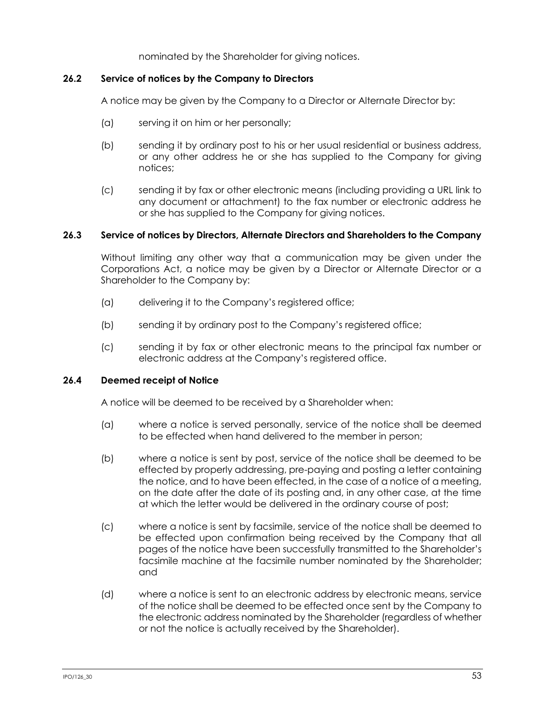nominated by the Shareholder for giving notices.

### **26.2 Service of notices by the Company to Directors**

A notice may be given by the Company to a Director or Alternate Director by:

- (a) serving it on him or her personally;
- (b) sending it by ordinary post to his or her usual residential or business address, or any other address he or she has supplied to the Company for giving notices;
- (c) sending it by fax or other electronic means (including providing a URL link to any document or attachment) to the fax number or electronic address he or she has supplied to the Company for giving notices.

### **26.3 Service of notices by Directors, Alternate Directors and Shareholders to the Company**

Without limiting any other way that a communication may be given under the Corporations Act, a notice may be given by a Director or Alternate Director or a Shareholder to the Company by:

- (a) delivering it to the Company's registered office;
- (b) sending it by ordinary post to the Company's registered office;
- (c) sending it by fax or other electronic means to the principal fax number or electronic address at the Company's registered office.

### **26.4 Deemed receipt of Notice**

A notice will be deemed to be received by a Shareholder when:

- (a) where a notice is served personally, service of the notice shall be deemed to be effected when hand delivered to the member in person;
- (b) where a notice is sent by post, service of the notice shall be deemed to be effected by properly addressing, pre-paying and posting a letter containing the notice, and to have been effected, in the case of a notice of a meeting, on the date after the date of its posting and, in any other case, at the time at which the letter would be delivered in the ordinary course of post;
- (c) where a notice is sent by facsimile, service of the notice shall be deemed to be effected upon confirmation being received by the Company that all pages of the notice have been successfully transmitted to the Shareholder's facsimile machine at the facsimile number nominated by the Shareholder; and
- (d) where a notice is sent to an electronic address by electronic means, service of the notice shall be deemed to be effected once sent by the Company to the electronic address nominated by the Shareholder (regardless of whether or not the notice is actually received by the Shareholder).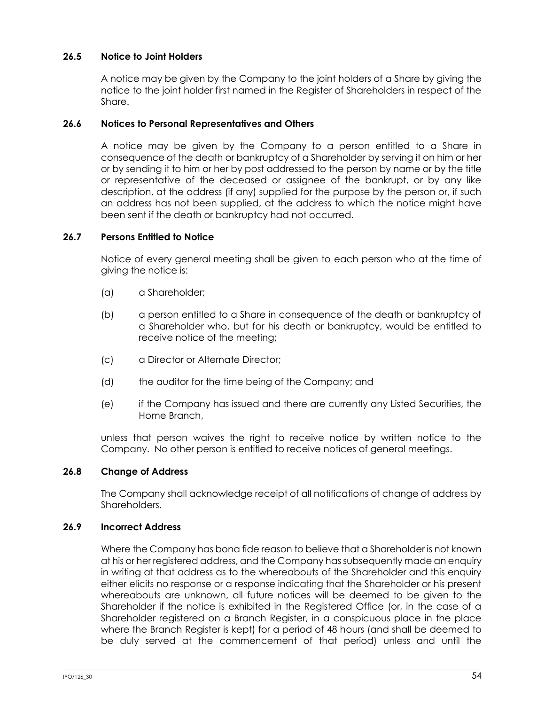# **26.5 Notice to Joint Holders**

A notice may be given by the Company to the joint holders of a Share by giving the notice to the joint holder first named in the Register of Shareholders in respect of the Share.

## **26.6 Notices to Personal Representatives and Others**

A notice may be given by the Company to a person entitled to a Share in consequence of the death or bankruptcy of a Shareholder by serving it on him or her or by sending it to him or her by post addressed to the person by name or by the title or representative of the deceased or assignee of the bankrupt, or by any like description, at the address (if any) supplied for the purpose by the person or, if such an address has not been supplied, at the address to which the notice might have been sent if the death or bankruptcy had not occurred.

### **26.7 Persons Entitled to Notice**

Notice of every general meeting shall be given to each person who at the time of giving the notice is:

- (a) a Shareholder;
- (b) a person entitled to a Share in consequence of the death or bankruptcy of a Shareholder who, but for his death or bankruptcy, would be entitled to receive notice of the meeting;
- (c) a Director or Alternate Director;
- (d) the auditor for the time being of the Company; and
- (e) if the Company has issued and there are currently any Listed Securities, the Home Branch,

unless that person waives the right to receive notice by written notice to the Company. No other person is entitled to receive notices of general meetings.

### **26.8 Change of Address**

The Company shall acknowledge receipt of all notifications of change of address by Shareholders.

### <span id="page-60-0"></span>**26.9 Incorrect Address**

Where the Company has bona fide reason to believe that a Shareholder is not known at his or her registered address, and the Company has subsequently made an enquiry in writing at that address as to the whereabouts of the Shareholder and this enquiry either elicits no response or a response indicating that the Shareholder or his present whereabouts are unknown, all future notices will be deemed to be given to the Shareholder if the notice is exhibited in the Registered Office (or, in the case of a Shareholder registered on a Branch Register, in a conspicuous place in the place where the Branch Register is kept) for a period of 48 hours (and shall be deemed to be duly served at the commencement of that period) unless and until the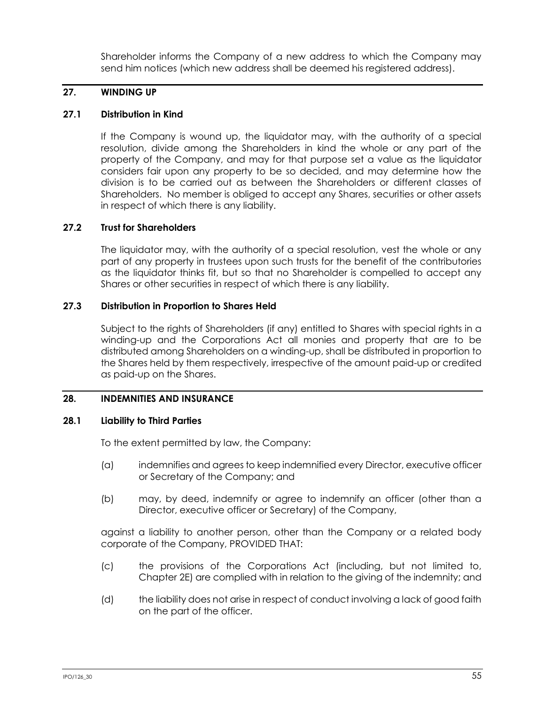Shareholder informs the Company of a new address to which the Company may send him notices (which new address shall be deemed his registered address).

# **27. WINDING UP**

# **27.1 Distribution in Kind**

If the Company is wound up, the liquidator may, with the authority of a special resolution, divide among the Shareholders in kind the whole or any part of the property of the Company, and may for that purpose set a value as the liquidator considers fair upon any property to be so decided, and may determine how the division is to be carried out as between the Shareholders or different classes of Shareholders. No member is obliged to accept any Shares, securities or other assets in respect of which there is any liability.

## **27.2 Trust for Shareholders**

The liquidator may, with the authority of a special resolution, vest the whole or any part of any property in trustees upon such trusts for the benefit of the contributories as the liquidator thinks fit, but so that no Shareholder is compelled to accept any Shares or other securities in respect of which there is any liability.

# **27.3 Distribution in Proportion to Shares Held**

Subject to the rights of Shareholders (if any) entitled to Shares with special rights in a winding-up and the Corporations Act all monies and property that are to be distributed among Shareholders on a winding-up, shall be distributed in proportion to the Shares held by them respectively, irrespective of the amount paid-up or credited as paid-up on the Shares.

# <span id="page-61-0"></span>**28. INDEMNITIES AND INSURANCE**

## **28.1 Liability to Third Parties**

To the extent permitted by law, the Company:

- (a) indemnifies and agrees to keep indemnified every Director, executive officer or Secretary of the Company; and
- (b) may, by deed, indemnify or agree to indemnify an officer (other than a Director, executive officer or Secretary) of the Company,

against a liability to another person, other than the Company or a related body corporate of the Company, PROVIDED THAT:

- (c) the provisions of the Corporations Act (including, but not limited to, Chapter 2E) are complied with in relation to the giving of the indemnity; and
- (d) the liability does not arise in respect of conduct involving a lack of good faith on the part of the officer.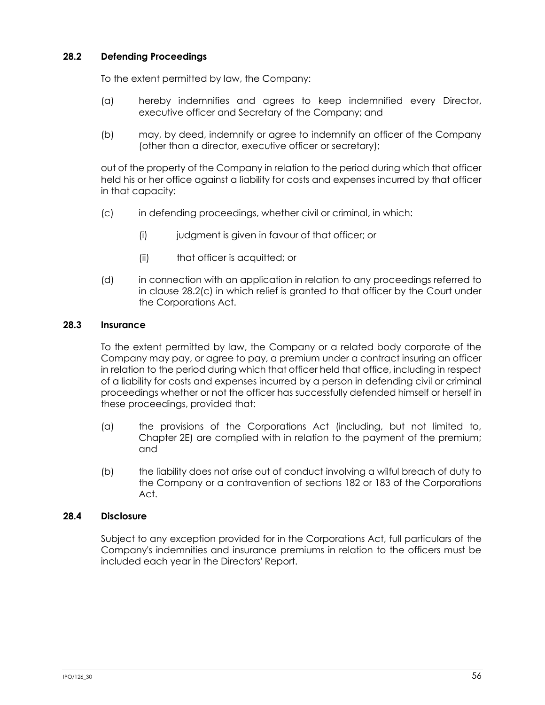# **28.2 Defending Proceedings**

To the extent permitted by law, the Company:

- (a) hereby indemnifies and agrees to keep indemnified every Director, executive officer and Secretary of the Company; and
- (b) may, by deed, indemnify or agree to indemnify an officer of the Company (other than a director, executive officer or secretary);

out of the property of the Company in relation to the period during which that officer held his or her office against a liability for costs and expenses incurred by that officer in that capacity:

- <span id="page-62-0"></span>(c) in defending proceedings, whether civil or criminal, in which:
	- (i) judgment is given in favour of that officer; or
	- (ii) that officer is acquitted; or
- (d) in connection with an application in relation to any proceedings referred to in clause [28.2\(c\)](#page-62-0) in which relief is granted to that officer by the Court under the Corporations Act.

### **28.3 Insurance**

To the extent permitted by law, the Company or a related body corporate of the Company may pay, or agree to pay, a premium under a contract insuring an officer in relation to the period during which that officer held that office, including in respect of a liability for costs and expenses incurred by a person in defending civil or criminal proceedings whether or not the officer has successfully defended himself or herself in these proceedings, provided that:

- (a) the provisions of the Corporations Act (including, but not limited to, Chapter 2E) are complied with in relation to the payment of the premium; and
- (b) the liability does not arise out of conduct involving a wilful breach of duty to the Company or a contravention of sections 182 or 183 of the Corporations Act.

## **28.4 Disclosure**

Subject to any exception provided for in the Corporations Act, full particulars of the Company's indemnities and insurance premiums in relation to the officers must be included each year in the Directors' Report.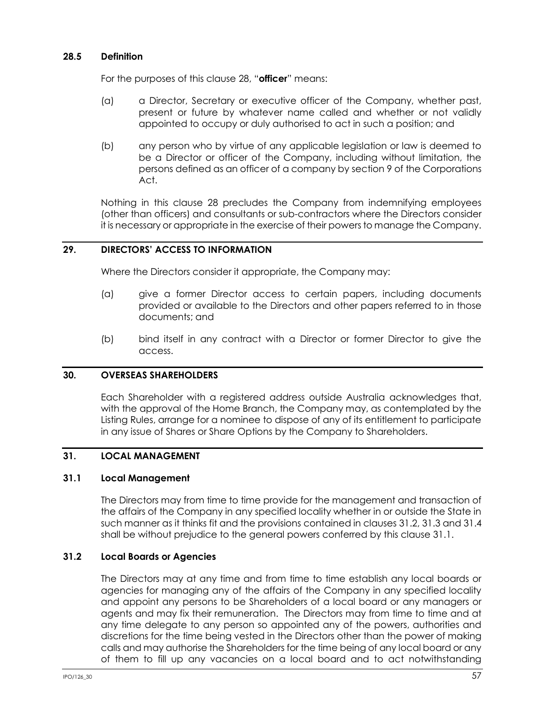### **28.5 Definition**

For the purposes of this clause [28](#page-61-0), "**officer**" means:

- (a) a Director, Secretary or executive officer of the Company, whether past, present or future by whatever name called and whether or not validly appointed to occupy or duly authorised to act in such a position; and
- (b) any person who by virtue of any applicable legislation or law is deemed to be a Director or officer of the Company, including without limitation, the persons defined as an officer of a company by section 9 of the Corporations Act.

Nothing in this clause [28](#page-61-0) precludes the Company from indemnifying employees (other than officers) and consultants or sub-contractors where the Directors consider it is necessary or appropriate in the exercise of their powers to manage the Company.

# **29. DIRECTORS' ACCESS TO INFORMATION**

Where the Directors consider it appropriate, the Company may:

- (a) give a former Director access to certain papers, including documents provided or available to the Directors and other papers referred to in those documents; and
- (b) bind itself in any contract with a Director or former Director to give the access.

### **30. OVERSEAS SHAREHOLDERS**

Each Shareholder with a registered address outside Australia acknowledges that, with the approval of the Home Branch, the Company may, as contemplated by the Listing Rules, arrange for a nominee to dispose of any of its entitlement to participate in any issue of Shares or Share Options by the Company to Shareholders.

## **31. LOCAL MANAGEMENT**

### <span id="page-63-1"></span>**31.1 Local Management**

The Directors may from time to time provide for the management and transaction of the affairs of the Company in any specified locality whether in or outside the State in such manner as it thinks fit and the provisions contained in clauses [31.2,](#page-63-0) [31.3](#page-64-0) an[d 31.4](#page-64-1) shall be without prejudice to the general powers conferred by this clause [31.1.](#page-63-1)

### <span id="page-63-0"></span>**31.2 Local Boards or Agencies**

The Directors may at any time and from time to time establish any local boards or agencies for managing any of the affairs of the Company in any specified locality and appoint any persons to be Shareholders of a local board or any managers or agents and may fix their remuneration. The Directors may from time to time and at any time delegate to any person so appointed any of the powers, authorities and discretions for the time being vested in the Directors other than the power of making calls and may authorise the Shareholders for the time being of any local board or any of them to fill up any vacancies on a local board and to act notwithstanding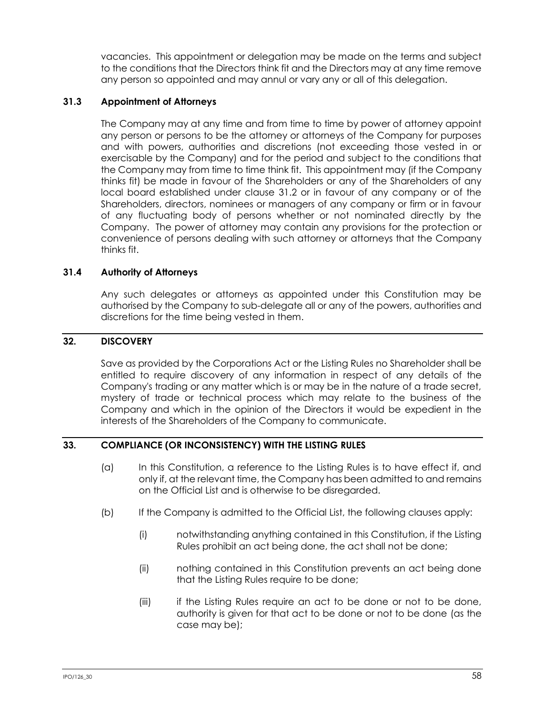vacancies. This appointment or delegation may be made on the terms and subject to the conditions that the Directors think fit and the Directors may at any time remove any person so appointed and may annul or vary any or all of this delegation.

## <span id="page-64-0"></span>**31.3 Appointment of Attorneys**

The Company may at any time and from time to time by power of attorney appoint any person or persons to be the attorney or attorneys of the Company for purposes and with powers, authorities and discretions (not exceeding those vested in or exercisable by the Company) and for the period and subject to the conditions that the Company may from time to time think fit. This appointment may (if the Company thinks fit) be made in favour of the Shareholders or any of the Shareholders of any local board established under clause [31.2](#page-63-0) or in favour of any company or of the Shareholders, directors, nominees or managers of any company or firm or in favour of any fluctuating body of persons whether or not nominated directly by the Company. The power of attorney may contain any provisions for the protection or convenience of persons dealing with such attorney or attorneys that the Company thinks fit.

## <span id="page-64-1"></span>**31.4 Authority of Attorneys**

Any such delegates or attorneys as appointed under this Constitution may be authorised by the Company to sub-delegate all or any of the powers, authorities and discretions for the time being vested in them.

### **32. DISCOVERY**

Save as provided by the Corporations Act or the Listing Rules no Shareholder shall be entitled to require discovery of any information in respect of any details of the Company's trading or any matter which is or may be in the nature of a trade secret, mystery of trade or technical process which may relate to the business of the Company and which in the opinion of the Directors it would be expedient in the interests of the Shareholders of the Company to communicate.

### **33. COMPLIANCE (OR INCONSISTENCY) WITH THE LISTING RULES**

- (a) In this Constitution, a reference to the Listing Rules is to have effect if, and only if, at the relevant time, the Company has been admitted to and remains on the Official List and is otherwise to be disregarded.
- (b) If the Company is admitted to the Official List, the following clauses apply:
	- (i) notwithstanding anything contained in this Constitution, if the Listing Rules prohibit an act being done, the act shall not be done;
	- (ii) nothing contained in this Constitution prevents an act being done that the Listing Rules require to be done;
	- (iii) if the Listing Rules require an act to be done or not to be done, authority is given for that act to be done or not to be done (as the case may be);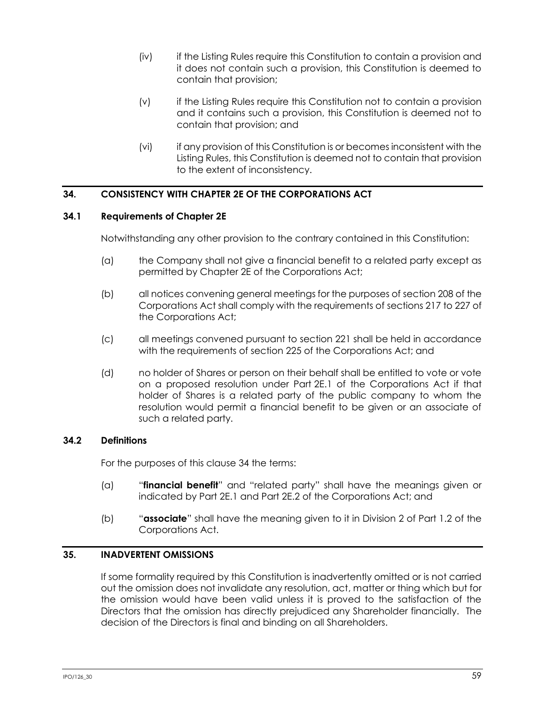- (iv) if the Listing Rules require this Constitution to contain a provision and it does not contain such a provision, this Constitution is deemed to contain that provision;
- (v) if the Listing Rules require this Constitution not to contain a provision and it contains such a provision, this Constitution is deemed not to contain that provision; and
- (vi) if any provision of this Constitution is or becomes inconsistent with the Listing Rules, this Constitution is deemed not to contain that provision to the extent of inconsistency.

# <span id="page-65-0"></span>**34. CONSISTENCY WITH CHAPTER 2E OF THE CORPORATIONS ACT**

## **34.1 Requirements of Chapter 2E**

Notwithstanding any other provision to the contrary contained in this Constitution:

- (a) the Company shall not give a financial benefit to a related party except as permitted by Chapter 2E of the Corporations Act;
- (b) all notices convening general meetings for the purposes of section 208 of the Corporations Act shall comply with the requirements of sections 217 to 227 of the Corporations Act;
- (c) all meetings convened pursuant to section 221 shall be held in accordance with the requirements of section 225 of the Corporations Act; and
- (d) no holder of Shares or person on their behalf shall be entitled to vote or vote on a proposed resolution under Part 2E.1 of the Corporations Act if that holder of Shares is a related party of the public company to whom the resolution would permit a financial benefit to be given or an associate of such a related party.

# **34.2 Definitions**

For the purposes of this clause [34](#page-65-0) the terms:

- (a) "**financial benefit**" and "related party" shall have the meanings given or indicated by Part 2E.1 and Part 2E.2 of the Corporations Act; and
- (b) "**associate**" shall have the meaning given to it in Division 2 of Part 1.2 of the Corporations Act.

## **35. INADVERTENT OMISSIONS**

If some formality required by this Constitution is inadvertently omitted or is not carried out the omission does not invalidate any resolution, act, matter or thing which but for the omission would have been valid unless it is proved to the satisfaction of the Directors that the omission has directly prejudiced any Shareholder financially. The decision of the Directors is final and binding on all Shareholders.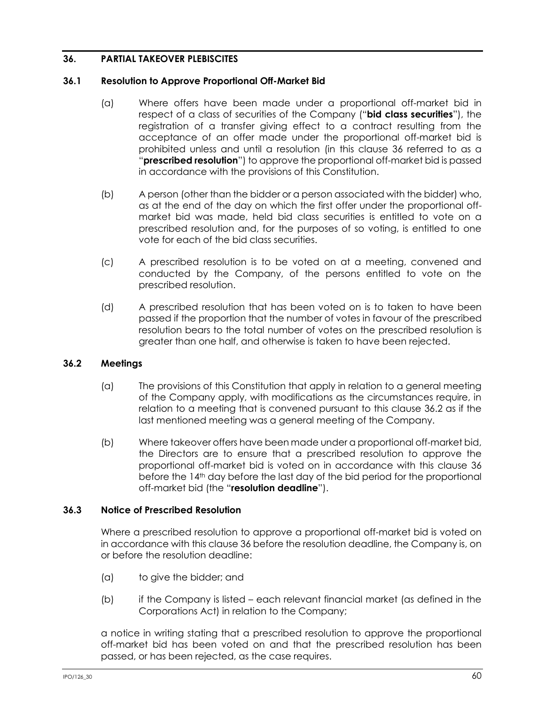# <span id="page-66-0"></span>**36. PARTIAL TAKEOVER PLEBISCITES**

### **36.1 Resolution to Approve Proportional Off-Market Bid**

- (a) Where offers have been made under a proportional off-market bid in respect of a class of securities of the Company ("**bid class securities**"), the registration of a transfer giving effect to a contract resulting from the acceptance of an offer made under the proportional off-market bid is prohibited unless and until a resolution (in this clause [36](#page-66-0) referred to as a "**prescribed resolution**") to approve the proportional off-market bid is passed in accordance with the provisions of this Constitution.
- (b) A person (other than the bidder or a person associated with the bidder) who, as at the end of the day on which the first offer under the proportional offmarket bid was made, held bid class securities is entitled to vote on a prescribed resolution and, for the purposes of so voting, is entitled to one vote for each of the bid class securities.
- (c) A prescribed resolution is to be voted on at a meeting, convened and conducted by the Company, of the persons entitled to vote on the prescribed resolution.
- (d) A prescribed resolution that has been voted on is to taken to have been passed if the proportion that the number of votes in favour of the prescribed resolution bears to the total number of votes on the prescribed resolution is greater than one half, and otherwise is taken to have been rejected.

## <span id="page-66-1"></span>**36.2 Meetings**

- (a) The provisions of this Constitution that apply in relation to a general meeting of the Company apply, with modifications as the circumstances require, in relation to a meeting that is convened pursuant to this clause [36.2](#page-66-1) as if the last mentioned meeting was a general meeting of the Company.
- (b) Where takeover offers have been made under a proportional off-market bid, the Directors are to ensure that a prescribed resolution to approve the proportional off-market bid is voted on in accordance with this clause [36](#page-66-0) before the 14<sup>th</sup> day before the last day of the bid period for the proportional off-market bid (the "**resolution deadline**").

## **36.3 Notice of Prescribed Resolution**

Where a prescribed resolution to approve a proportional off-market bid is voted on in accordance with this clause [36](#page-66-0) before the resolution deadline, the Company is, on or before the resolution deadline:

- (a) to give the bidder; and
- (b) if the Company is listed each relevant financial market (as defined in the Corporations Act) in relation to the Company;

a notice in writing stating that a prescribed resolution to approve the proportional off-market bid has been voted on and that the prescribed resolution has been passed, or has been rejected, as the case requires.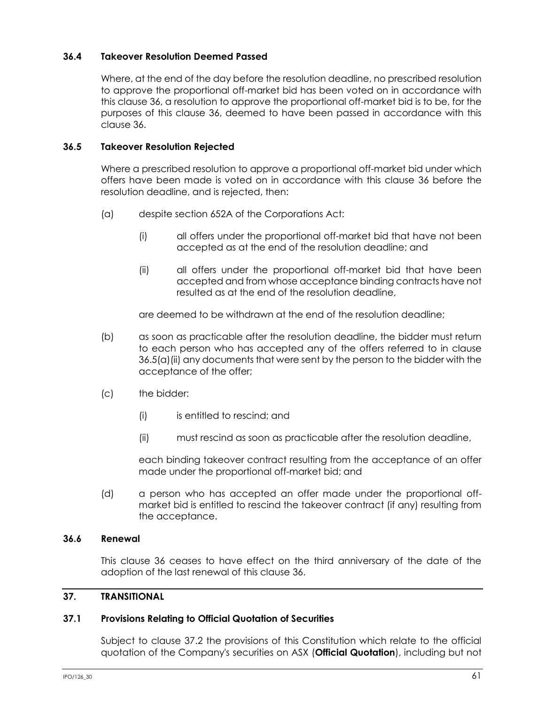## **36.4 Takeover Resolution Deemed Passed**

Where, at the end of the day before the resolution deadline, no prescribed resolution to approve the proportional off-market bid has been voted on in accordance with this clause [36,](#page-66-0) a resolution to approve the proportional off-market bid is to be, for the purposes of this clause [36,](#page-66-0) deemed to have been passed in accordance with this clause [36.](#page-66-0)

### **36.5 Takeover Resolution Rejected**

Where a prescribed resolution to approve a proportional off-market bid under which offers have been made is voted on in accordance with this clause [36](#page-66-0) before the resolution deadline, and is rejected, then:

- <span id="page-67-0"></span>(a) despite section 652A of the Corporations Act:
	- (i) all offers under the proportional off-market bid that have not been accepted as at the end of the resolution deadline; and
	- (ii) all offers under the proportional off-market bid that have been accepted and from whose acceptance binding contracts have not resulted as at the end of the resolution deadline,

are deemed to be withdrawn at the end of the resolution deadline;

- (b) as soon as practicable after the resolution deadline, the bidder must return to each person who has accepted any of the offers referred to in clause [36.5\(a\)\(ii\)](#page-67-0) any documents that were sent by the person to the bidder with the acceptance of the offer;
- (c) the bidder:
	- (i) is entitled to rescind; and
	- (ii) must rescind as soon as practicable after the resolution deadline,

each binding takeover contract resulting from the acceptance of an offer made under the proportional off-market bid; and

(d) a person who has accepted an offer made under the proportional offmarket bid is entitled to rescind the takeover contract (if any) resulting from the acceptance.

### **36.6 Renewal**

This clause [36](#page-66-0) ceases to have effect on the third anniversary of the date of the adoption of the last renewal of this clause [36.](#page-66-0)

### **37. TRANSITIONAL**

### <span id="page-67-1"></span>**37.1 Provisions Relating to Official Quotation of Securities**

Subject to clause [37.2](#page-68-0) the provisions of this Constitution which relate to the official quotation of the Company's securities on ASX (**Official Quotation**), including but not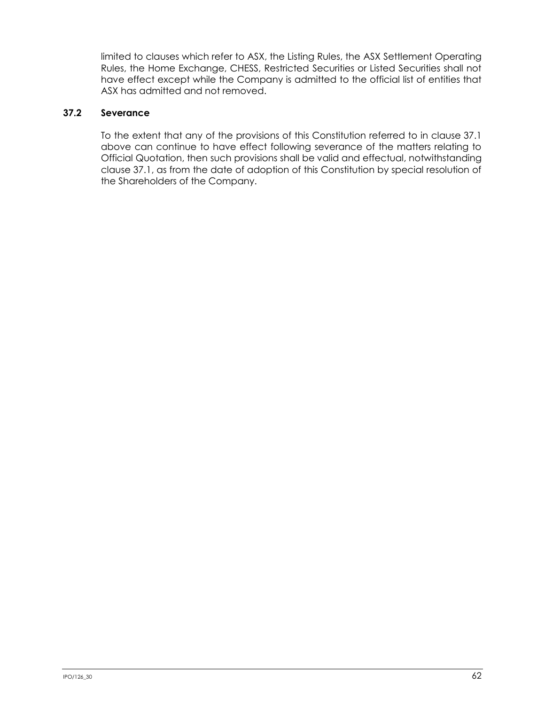limited to clauses which refer to ASX, the Listing Rules, the ASX Settlement Operating Rules, the Home Exchange, CHESS, Restricted Securities or Listed Securities shall not have effect except while the Company is admitted to the official list of entities that ASX has admitted and not removed.

## <span id="page-68-0"></span>**37.2 Severance**

To the extent that any of the provisions of this Constitution referred to in clause [37.1](#page-67-1) above can continue to have effect following severance of the matters relating to Official Quotation, then such provisions shall be valid and effectual, notwithstanding clause [37.1,](#page-67-1) as from the date of adoption of this Constitution by special resolution of the Shareholders of the Company.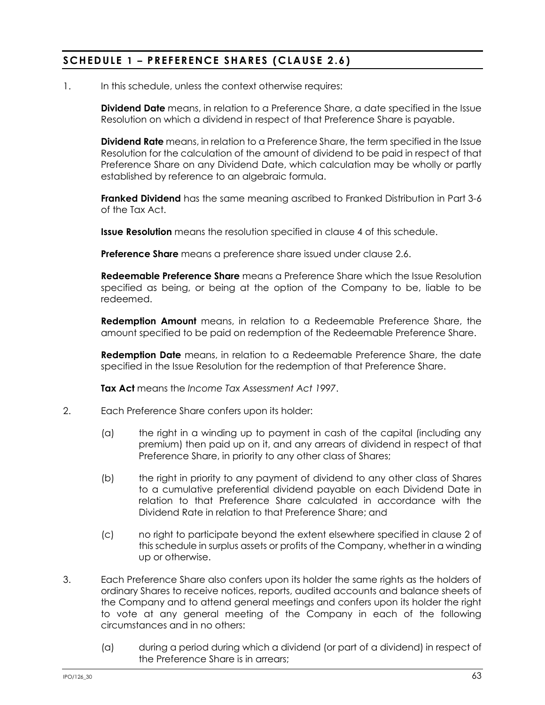# **SCHEDULE 1 – PREFERENCE SHARES (CLAUSE [2.6](#page-12-0) )**

1. In this schedule, unless the context otherwise requires:

**Dividend Date** means, in relation to a Preference Share, a date specified in the Issue Resolution on which a dividend in respect of that Preference Share is payable.

**Dividend Rate** means, in relation to a Preference Share, the term specified in the Issue Resolution for the calculation of the amount of dividend to be paid in respect of that Preference Share on any Dividend Date, which calculation may be wholly or partly established by reference to an algebraic formula.

**Franked Dividend** has the same meaning ascribed to Franked Distribution in Part 3-6 of the Tax Act.

**Issue Resolution** means the resolution specified in clause [4](#page-70-0) of this schedule.

**Preference Share** means a preference share issued under clause [2.6.](#page-12-0)

**Redeemable Preference Share** means a Preference Share which the Issue Resolution specified as being, or being at the option of the Company to be, liable to be redeemed.

**Redemption Amount** means, in relation to a Redeemable Preference Share, the amount specified to be paid on redemption of the Redeemable Preference Share.

**Redemption Date** means, in relation to a Redeemable Preference Share, the date specified in the Issue Resolution for the redemption of that Preference Share.

**Tax Act** means the *Income Tax Assessment Act 1997*.

- <span id="page-69-0"></span>2. Each Preference Share confers upon its holder:
	- (a) the right in a winding up to payment in cash of the capital (including any premium) then paid up on it, and any arrears of dividend in respect of that Preference Share, in priority to any other class of Shares;
	- (b) the right in priority to any payment of dividend to any other class of Shares to a cumulative preferential dividend payable on each Dividend Date in relation to that Preference Share calculated in accordance with the Dividend Rate in relation to that Preference Share; and
	- (c) no right to participate beyond the extent elsewhere specified in clause [2](#page-69-0) of this schedule in surplus assets or profits of the Company, whether in a winding up or otherwise.
- <span id="page-69-1"></span>3. Each Preference Share also confers upon its holder the same rights as the holders of ordinary Shares to receive notices, reports, audited accounts and balance sheets of the Company and to attend general meetings and confers upon its holder the right to vote at any general meeting of the Company in each of the following circumstances and in no others:
	- (a) during a period during which a dividend (or part of a dividend) in respect of the Preference Share is in arrears;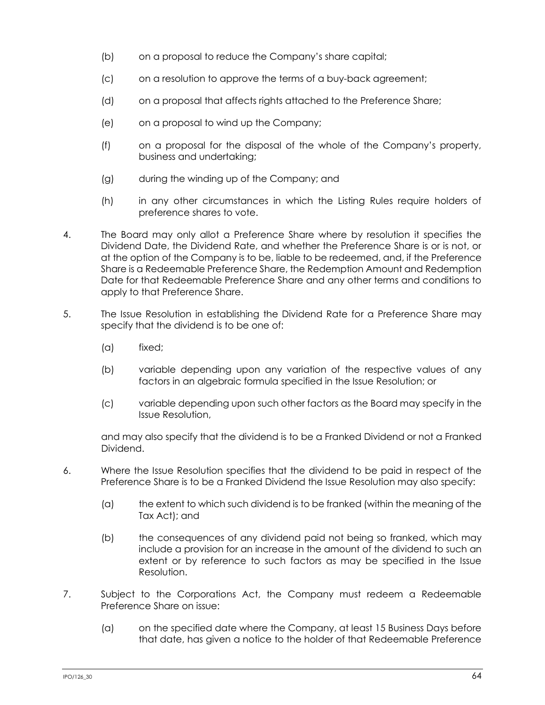- (b) on a proposal to reduce the Company's share capital;
- (c) on a resolution to approve the terms of a buy-back agreement;
- (d) on a proposal that affects rights attached to the Preference Share;
- (e) on a proposal to wind up the Company;
- (f) on a proposal for the disposal of the whole of the Company's property, business and undertaking;
- (g) during the winding up of the Company; and
- (h) in any other circumstances in which the Listing Rules require holders of preference shares to vote.
- <span id="page-70-0"></span>4. The Board may only allot a Preference Share where by resolution it specifies the Dividend Date, the Dividend Rate, and whether the Preference Share is or is not, or at the option of the Company is to be, liable to be redeemed, and, if the Preference Share is a Redeemable Preference Share, the Redemption Amount and Redemption Date for that Redeemable Preference Share and any other terms and conditions to apply to that Preference Share.
- 5. The Issue Resolution in establishing the Dividend Rate for a Preference Share may specify that the dividend is to be one of:
	- (a) fixed;
	- (b) variable depending upon any variation of the respective values of any factors in an algebraic formula specified in the Issue Resolution; or
	- (c) variable depending upon such other factors as the Board may specify in the Issue Resolution,

and may also specify that the dividend is to be a Franked Dividend or not a Franked Dividend.

- 6. Where the Issue Resolution specifies that the dividend to be paid in respect of the Preference Share is to be a Franked Dividend the Issue Resolution may also specify:
	- (a) the extent to which such dividend is to be franked (within the meaning of the Tax Act); and
	- (b) the consequences of any dividend paid not being so franked, which may include a provision for an increase in the amount of the dividend to such an extent or by reference to such factors as may be specified in the Issue Resolution.
- 7. Subject to the Corporations Act, the Company must redeem a Redeemable Preference Share on issue:
	- (a) on the specified date where the Company, at least 15 Business Days before that date, has given a notice to the holder of that Redeemable Preference